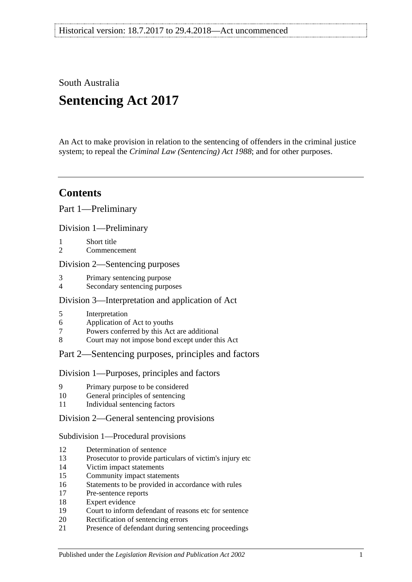South Australia

# **Sentencing Act 2017**

An Act to make provision in relation to the sentencing of offenders in the criminal justice system; to repeal the *[Criminal Law \(Sentencing\) Act](http://www.legislation.sa.gov.au/index.aspx?action=legref&type=act&legtitle=Criminal%20Law%20(Sentencing)%20Act%201988) 1988*; and for other purposes.

# **Contents**

Part [1—Preliminary](#page-4-0)

Division [1—Preliminary](#page-4-1)

- 1 [Short title](#page-4-2)
- 2 [Commencement](#page-4-3)

## Division [2—Sentencing purposes](#page-4-4)

- 3 [Primary sentencing purpose](#page-4-5)
- 4 [Secondary sentencing purposes](#page-4-6)

## Division [3—Interpretation and application of Act](#page-5-0)

- 5 [Interpretation](#page-5-1)
- 6 [Application of Act to youths](#page-9-0)
- 7 [Powers conferred by this Act are additional](#page-9-1)
- 8 [Court may not impose bond except under this Act](#page-9-2)

# Part [2—Sentencing purposes, principles and factors](#page-10-0)

## Division [1—Purposes, principles and factors](#page-10-1)

- 9 [Primary purpose to be considered](#page-10-2)
- 10 [General principles of sentencing](#page-10-3)
- 11 [Individual sentencing factors](#page-10-4)

## Division [2—General sentencing provisions](#page-12-0)

## Subdivision [1—Procedural provisions](#page-12-1)

- 12 [Determination of sentence](#page-12-2)
- 13 [Prosecutor to provide particulars of victim's injury etc](#page-12-3)
- 14 [Victim impact statements](#page-12-4)
- 15 [Community impact statements](#page-14-0)
- 16 [Statements to be provided in accordance with rules](#page-14-1)
- 17 [Pre-sentence reports](#page-14-2)
- 18 [Expert evidence](#page-15-0)
- 19 [Court to inform defendant of reasons etc for sentence](#page-16-0)
- 20 [Rectification of sentencing errors](#page-16-1)
- 21 [Presence of defendant during sentencing proceedings](#page-16-2)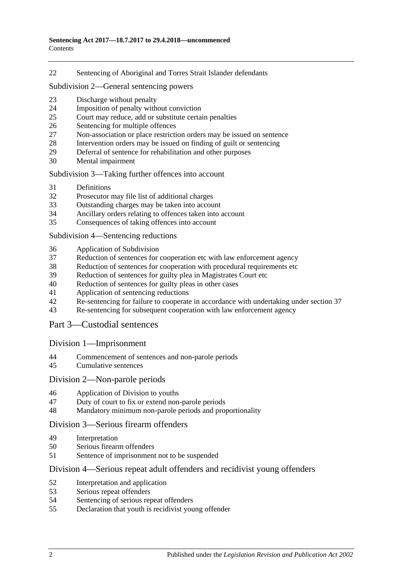[Sentencing of Aboriginal and Torres Strait Islander defendants](#page-17-0)

Subdivision [2—General sentencing powers](#page-18-0)

- [Discharge without penalty](#page-18-1)
- [Imposition of penalty without conviction](#page-18-2)
- [Court may reduce, add or substitute certain penalties](#page-19-0)
- [Sentencing for multiple offences](#page-20-0)
- [Non-association or place restriction orders may be issued on sentence](#page-20-1)<br>28 Intervention orders may be issued on finding of guilt or sentencing
- [Intervention orders may be issued on finding of guilt or sentencing](#page-21-0)
- [Deferral of sentence for rehabilitation and other purposes](#page-22-0)
- [Mental impairment](#page-23-0)

### Subdivision [3—Taking further offences into account](#page-24-0)

- [Definitions](#page-24-1)
- [Prosecutor may file list of additional charges](#page-25-0)
- [Outstanding charges may be taken into account](#page-25-1)
- [Ancillary orders relating to offences taken into account](#page-26-0)
- [Consequences of taking offences into account](#page-26-1)

### Subdivision [4—Sentencing reductions](#page-27-0)

- [Application of Subdivision](#page-27-1)
- [Reduction of sentences for cooperation etc with law enforcement agency](#page-27-2)
- [Reduction of sentences for cooperation with procedural requirements etc](#page-28-0)
- [Reduction of sentences for guilty plea in Magistrates Court etc](#page-28-1)
- [Reduction of sentences for guilty pleas in other cases](#page-30-0)
- [Application of sentencing reductions](#page-32-0)
- [Re-sentencing for failure to cooperate in accordance with undertaking under section](#page-33-0) 37
- [Re-sentencing for subsequent cooperation with law enforcement agency](#page-33-1)

# Part [3—Custodial sentences](#page-35-0)

## Division [1—Imprisonment](#page-35-1)

- [Commencement of sentences and non-parole periods](#page-35-2)
- [Cumulative sentences](#page-36-0)

## Division [2—Non-parole periods](#page-36-1)

- [Application of Division to youths](#page-36-2)
- [Duty of court to fix or extend non-parole periods](#page-36-3)
- [Mandatory minimum non-parole periods and proportionality](#page-40-0)

## Division [3—Serious firearm offenders](#page-40-1)

- [Interpretation](#page-40-2)
- [Serious firearm offenders](#page-42-0)
- [Sentence of imprisonment not to be suspended](#page-42-1)

## Division [4—Serious repeat adult offenders and recidivist young offenders](#page-43-0)

- [Interpretation and application](#page-43-1)
- [Serious repeat offenders](#page-45-0)
- [Sentencing of serious repeat offenders](#page-45-1)
- [Declaration that youth is recidivist young offender](#page-46-0)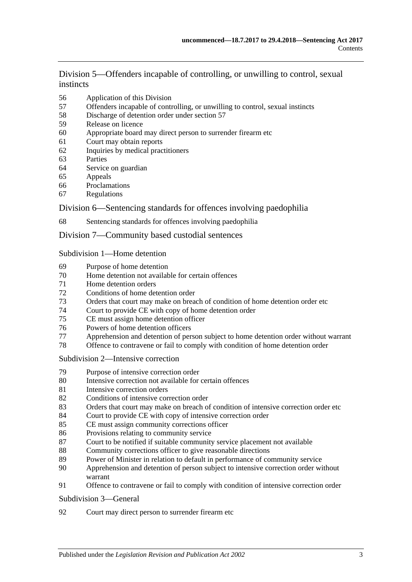Division [5—Offenders incapable of controlling, or unwilling to control, sexual](#page-46-1)  [instincts](#page-46-1)

- [Application of this Division](#page-46-2)
- [Offenders incapable of controlling, or unwilling to control, sexual instincts](#page-47-0)
- [Discharge of detention order under section](#page-49-0) 57
- [Release on licence](#page-50-0)
- [Appropriate board may direct person to surrender firearm etc](#page-53-0)
- [Court may obtain reports](#page-53-1)
- [Inquiries by medical practitioners](#page-54-0)
- [Parties](#page-54-1)
- [Service on guardian](#page-54-2)
- [Appeals](#page-54-3)<br>66 Proclama
- [Proclamations](#page-55-0)
- [Regulations](#page-55-1)

## Division [6—Sentencing standards for offences involving paedophilia](#page-55-2)

[Sentencing standards for offences involving paedophilia](#page-55-3)

## Division [7—Community based custodial sentences](#page-56-0)

### Subdivision [1—Home detention](#page-56-1)

- [Purpose of home detention](#page-56-2)
- [Home detention not available for certain offences](#page-56-3)
- [Home detention orders](#page-56-4)
- [Conditions of home detention order](#page-59-0)
- [Orders that court may make on breach of condition of home detention order etc](#page-61-0)
- [Court to provide CE with copy of home detention order](#page-63-0)
- [CE must assign home detention officer](#page-63-1)
- [Powers of home detention officers](#page-63-2)
- [Apprehension and detention of person subject to home detention order without warrant](#page-63-3)
- [Offence to contravene or fail to comply with condition of home detention order](#page-64-0)

#### Subdivision [2—Intensive correction](#page-64-1)

- [Purpose of intensive correction order](#page-64-2)
- [Intensive correction not available for certain offences](#page-64-3)
- [Intensive correction orders](#page-64-4)
- [Conditions of intensive correction order](#page-65-0)
- [Orders that court may make on breach of condition of intensive correction order etc](#page-67-0)
- [Court to provide CE with copy of intensive correction order](#page-69-0)
- [CE must assign community corrections officer](#page-69-1)
- [Provisions relating to community service](#page-69-2)
- [Court to be notified if suitable community service placement not available](#page-70-0)
- [Community corrections officer to give reasonable directions](#page-70-1)
- [Power of Minister in relation to default in performance of community service](#page-71-0)
- [Apprehension and detention of person subject to intensive correction order without](#page-71-1)  [warrant](#page-71-1)
- [Offence to contravene or fail to comply with condition of intensive correction order](#page-72-0)

#### [Subdivision](#page-72-1) 3—General

[Court may direct person to surrender firearm etc](#page-72-2)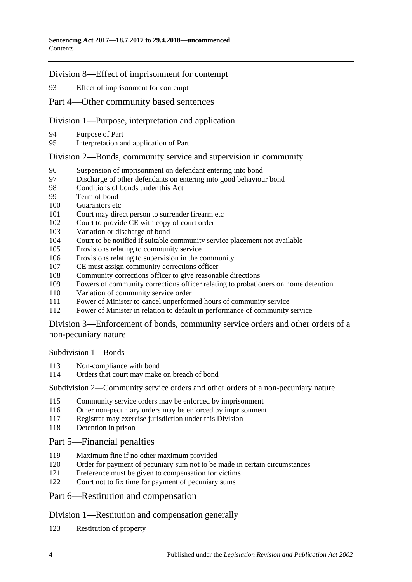## Division [8—Effect of imprisonment for contempt](#page-72-3)

[Effect of imprisonment for contempt](#page-72-4)

## Part [4—Other community based sentences](#page-72-5)

## Division [1—Purpose, interpretation and application](#page-72-6)

- [Purpose of Part](#page-72-7)
- [Interpretation and application of Part](#page-73-0)

## Division [2—Bonds, community service and supervision in community](#page-73-1)

- [Suspension of imprisonment on defendant entering into bond](#page-73-2)
- [Discharge of other defendants on entering into good behaviour bond](#page-76-0)<br>98 Conditions of bonds under this Act
- [Conditions of bonds under this Act](#page-76-1)
- [Term of bond](#page-78-0)
- [Guarantors etc](#page-78-1)
- [Court may direct person to surrender firearm etc](#page-79-0)
- [Court to provide CE with copy of court order](#page-79-1)
- [Variation or discharge of bond](#page-79-2)
- [Court to be notified if suitable community service placement not available](#page-80-0)
- [Provisions relating to community service](#page-80-1)
- [Provisions relating to supervision in the community](#page-81-0)
- [CE must assign community corrections officer](#page-81-1)
- [Community corrections officer to give reasonable directions](#page-82-0)
- [Powers of community corrections officer relating to probationers on home detention](#page-82-1)
- [Variation of community service order](#page-83-0)
- [Power of Minister to cancel unperformed hours of community service](#page-83-1)
- [Power of Minister in relation to default in performance of community service](#page-84-0)

Division [3—Enforcement of bonds, community service orders and other orders of a](#page-84-1)  [non-pecuniary nature](#page-84-1)

[Subdivision](#page-84-2) 1—Bonds

- [Non-compliance with bond](#page-84-3)
- [Orders that court may make on breach of bond](#page-85-0)

Subdivision [2—Community service orders and other orders of a non-pecuniary nature](#page-87-0)

- [Community service orders may be enforced by imprisonment](#page-87-1)
- [Other non-pecuniary orders may be enforced by imprisonment](#page-89-0)
- [Registrar may exercise jurisdiction under this Division](#page-89-1)
- [Detention in prison](#page-89-2)

# Part [5—Financial penalties](#page-90-0)

- [Maximum fine if no other maximum provided](#page-90-1)
- [Order for payment of pecuniary sum not to be made in certain circumstances](#page-90-2)
- [Preference must be given to compensation for victims](#page-90-3)
- [Court not to fix time for payment of pecuniary sums](#page-90-4)

# Part [6—Restitution and compensation](#page-91-0)

## Division [1—Restitution and compensation generally](#page-91-1)

[Restitution of property](#page-91-2)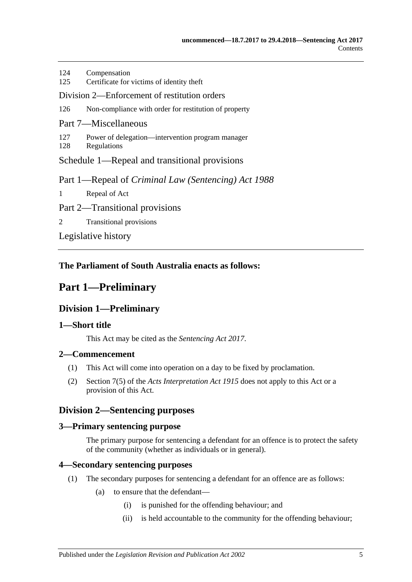| 124<br>125                                    | Compensation<br>Certificate for victims of identity theft           |
|-----------------------------------------------|---------------------------------------------------------------------|
| Division 2—Enforcement of restitution orders  |                                                                     |
| 126                                           | Non-compliance with order for restitution of property               |
| Part 7—Miscellaneous                          |                                                                     |
| 127<br>128                                    | Power of delegation—intervention program manager<br>Regulations     |
| Schedule 1—Repeal and transitional provisions |                                                                     |
|                                               | Part 1—Repeal of <i>Criminal Law</i> ( <i>Sentencing</i> ) Act 1988 |
| $\mathbf{1}$                                  | Repeal of Act                                                       |
| Part 2—Transitional provisions                |                                                                     |
| 2                                             | <b>Transitional provisions</b>                                      |

[Legislative history](#page-96-0)

# <span id="page-4-0"></span>**The Parliament of South Australia enacts as follows:**

# <span id="page-4-1"></span>**Part 1—Preliminary**

# **Division 1—Preliminary**

# <span id="page-4-2"></span>**1—Short title**

This Act may be cited as the *Sentencing Act 2017*.

# <span id="page-4-3"></span>**2—Commencement**

- (1) This Act will come into operation on a day to be fixed by proclamation.
- (2) Section 7(5) of the *[Acts Interpretation Act](http://www.legislation.sa.gov.au/index.aspx?action=legref&type=act&legtitle=Acts%20Interpretation%20Act%201915) 1915* does not apply to this Act or a provision of this Act.

# <span id="page-4-4"></span>**Division 2—Sentencing purposes**

# <span id="page-4-5"></span>**3—Primary sentencing purpose**

The primary purpose for sentencing a defendant for an offence is to protect the safety of the community (whether as individuals or in general).

# <span id="page-4-7"></span><span id="page-4-6"></span>**4—Secondary sentencing purposes**

- (1) The secondary purposes for sentencing a defendant for an offence are as follows:
	- (a) to ensure that the defendant—
		- (i) is punished for the offending behaviour; and
		- (ii) is held accountable to the community for the offending behaviour;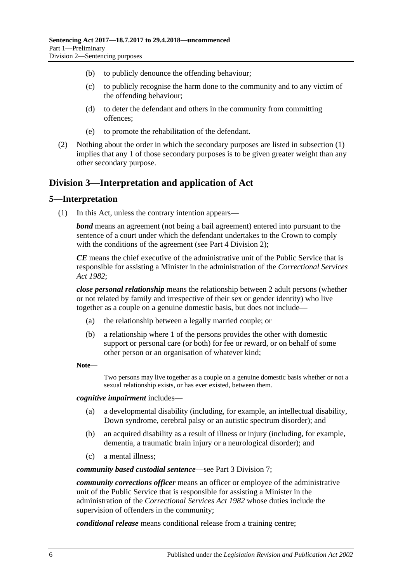- (b) to publicly denounce the offending behaviour;
- (c) to publicly recognise the harm done to the community and to any victim of the offending behaviour;
- (d) to deter the defendant and others in the community from committing offences;
- (e) to promote the rehabilitation of the defendant.
- (2) Nothing about the order in which the secondary purposes are listed in [subsection](#page-4-7) (1) implies that any 1 of those secondary purposes is to be given greater weight than any other secondary purpose.

# <span id="page-5-0"></span>**Division 3—Interpretation and application of Act**

## <span id="page-5-1"></span>**5—Interpretation**

(1) In this Act, unless the contrary intention appears—

*bond* means an agreement (not being a bail agreement) entered into pursuant to the sentence of a court under which the defendant undertakes to the Crown to comply with the conditions of the agreement (see Part [4 Division](#page-73-1) 2);

*CE* means the chief executive of the administrative unit of the Public Service that is responsible for assisting a Minister in the administration of the *[Correctional Services](http://www.legislation.sa.gov.au/index.aspx?action=legref&type=act&legtitle=Correctional%20Services%20Act%201982)  Act [1982](http://www.legislation.sa.gov.au/index.aspx?action=legref&type=act&legtitle=Correctional%20Services%20Act%201982)*;

*close personal relationship* means the relationship between 2 adult persons (whether or not related by family and irrespective of their sex or gender identity) who live together as a couple on a genuine domestic basis, but does not include—

- (a) the relationship between a legally married couple; or
- (b) a relationship where 1 of the persons provides the other with domestic support or personal care (or both) for fee or reward, or on behalf of some other person or an organisation of whatever kind;
- **Note—**

Two persons may live together as a couple on a genuine domestic basis whether or not a sexual relationship exists, or has ever existed, between them.

### *cognitive impairment* includes—

- (a) a developmental disability (including, for example, an intellectual disability, Down syndrome, cerebral palsy or an autistic spectrum disorder); and
- (b) an acquired disability as a result of illness or injury (including, for example, dementia, a traumatic brain injury or a neurological disorder); and
- (c) a mental illness;

#### *community based custodial sentence*—see Part [3 Division](#page-56-0) 7;

*community corrections officer* means an officer or employee of the administrative unit of the Public Service that is responsible for assisting a Minister in the administration of the *[Correctional Services Act](http://www.legislation.sa.gov.au/index.aspx?action=legref&type=act&legtitle=Correctional%20Services%20Act%201982) 1982* whose duties include the supervision of offenders in the community;

*conditional release* means conditional release from a training centre;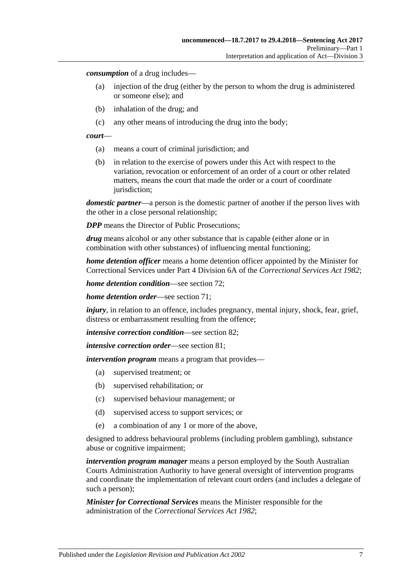*consumption* of a drug includes—

- (a) injection of the drug (either by the person to whom the drug is administered or someone else); and
- (b) inhalation of the drug; and
- (c) any other means of introducing the drug into the body;

#### *court*—

- (a) means a court of criminal jurisdiction; and
- (b) in relation to the exercise of powers under this Act with respect to the variation, revocation or enforcement of an order of a court or other related matters, means the court that made the order or a court of coordinate jurisdiction;

*domestic partner*—a person is the domestic partner of another if the person lives with the other in a close personal relationship;

*DPP* means the Director of Public Prosecutions;

*drug* means alcohol or any other substance that is capable (either alone or in combination with other substances) of influencing mental functioning;

*home detention officer* means a home detention officer appointed by the Minister for Correctional Services under Part 4 Division 6A of the *[Correctional Services Act](http://www.legislation.sa.gov.au/index.aspx?action=legref&type=act&legtitle=Correctional%20Services%20Act%201982) 1982*;

*home detention condition*—see [section](#page-59-0) 72;

*home detention order*—see [section](#page-56-4) 71;

*injury*, in relation to an offence, includes pregnancy, mental injury, shock, fear, grief, distress or embarrassment resulting from the offence;

*intensive correction condition*—see [section](#page-65-0) 82;

*intensive correction order*—see [section](#page-64-4) 81;

*intervention program* means a program that provides—

- (a) supervised treatment; or
- (b) supervised rehabilitation; or
- (c) supervised behaviour management; or
- (d) supervised access to support services; or
- (e) a combination of any 1 or more of the above,

designed to address behavioural problems (including problem gambling), substance abuse or cognitive impairment;

*intervention program manager* means a person employed by the South Australian Courts Administration Authority to have general oversight of intervention programs and coordinate the implementation of relevant court orders (and includes a delegate of such a person);

*Minister for Correctional Services* means the Minister responsible for the administration of the *[Correctional Services Act](http://www.legislation.sa.gov.au/index.aspx?action=legref&type=act&legtitle=Correctional%20Services%20Act%201982) 1982*;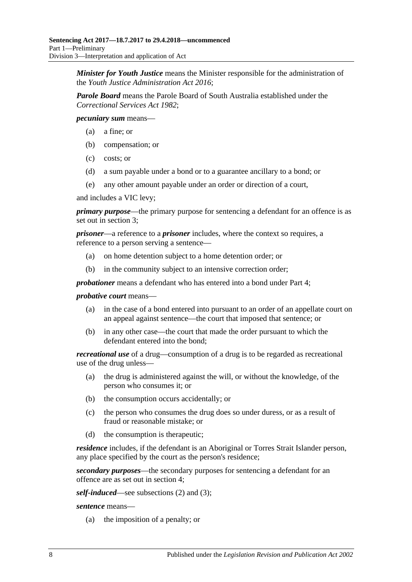*Minister for Youth Justice* means the Minister responsible for the administration of the *[Youth Justice Administration Act](http://www.legislation.sa.gov.au/index.aspx?action=legref&type=act&legtitle=Youth%20Justice%20Administration%20Act%202016) 2016*;

*Parole Board* means the Parole Board of South Australia established under the *[Correctional Services Act](http://www.legislation.sa.gov.au/index.aspx?action=legref&type=act&legtitle=Correctional%20Services%20Act%201982) 1982*;

*pecuniary sum* means—

- (a) a fine; or
- (b) compensation; or
- (c) costs; or
- (d) a sum payable under a bond or to a guarantee ancillary to a bond; or
- (e) any other amount payable under an order or direction of a court,

and includes a VIC levy;

*primary purpose*—the primary purpose for sentencing a defendant for an offence is as set out in [section](#page-4-5) 3;

*prisoner*—a reference to a *prisoner* includes, where the context so requires, a reference to a person serving a sentence—

- (a) on home detention subject to a home detention order; or
- (b) in the community subject to an intensive correction order;

*probationer* means a defendant who has entered into a bond under [Part](#page-72-5) 4;

#### *probative court* means—

- (a) in the case of a bond entered into pursuant to an order of an appellate court on an appeal against sentence—the court that imposed that sentence; or
- (b) in any other case—the court that made the order pursuant to which the defendant entered into the bond;

*recreational use* of a drug—consumption of a drug is to be regarded as recreational use of the drug unless—

- (a) the drug is administered against the will, or without the knowledge, of the person who consumes it; or
- (b) the consumption occurs accidentally; or
- (c) the person who consumes the drug does so under duress, or as a result of fraud or reasonable mistake; or
- (d) the consumption is therapeutic;

*residence* includes, if the defendant is an Aboriginal or Torres Strait Islander person, any place specified by the court as the person's residence;

*secondary purposes*—the secondary purposes for sentencing a defendant for an offence are as set out in [section](#page-4-6) 4;

*self-induced*—see [subsections \(2\)](#page-8-0) and [\(3\);](#page-8-1)

*sentence* means—

(a) the imposition of a penalty; or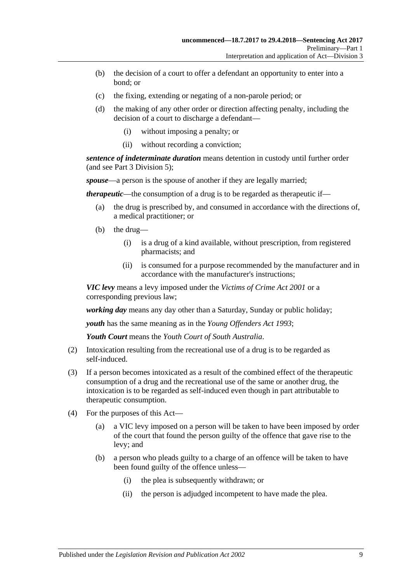- (b) the decision of a court to offer a defendant an opportunity to enter into a bond; or
- (c) the fixing, extending or negating of a non-parole period; or
- (d) the making of any other order or direction affecting penalty, including the decision of a court to discharge a defendant—
	- (i) without imposing a penalty; or
	- (ii) without recording a conviction;

*sentence of indeterminate duration* means detention in custody until further order (and see Part [3 Division](#page-46-1) 5);

*spouse*—a person is the spouse of another if they are legally married;

*therapeutic*—the consumption of a drug is to be regarded as therapeutic if—

- (a) the drug is prescribed by, and consumed in accordance with the directions of, a medical practitioner; or
- (b) the drug—
	- (i) is a drug of a kind available, without prescription, from registered pharmacists; and
	- (ii) is consumed for a purpose recommended by the manufacturer and in accordance with the manufacturer's instructions;

*VIC levy* means a levy imposed under the *[Victims of Crime Act](http://www.legislation.sa.gov.au/index.aspx?action=legref&type=act&legtitle=Victims%20of%20Crime%20Act%202001) 2001* or a corresponding previous law;

*working day* means any day other than a Saturday, Sunday or public holiday;

*youth* has the same meaning as in the *[Young Offenders Act](http://www.legislation.sa.gov.au/index.aspx?action=legref&type=act&legtitle=Young%20Offenders%20Act%201993) 1993*;

*Youth Court* means the *Youth Court of South Australia*.

- <span id="page-8-0"></span>(2) Intoxication resulting from the recreational use of a drug is to be regarded as self-induced.
- <span id="page-8-1"></span>(3) If a person becomes intoxicated as a result of the combined effect of the therapeutic consumption of a drug and the recreational use of the same or another drug, the intoxication is to be regarded as self-induced even though in part attributable to therapeutic consumption.
- (4) For the purposes of this Act—
	- (a) a VIC levy imposed on a person will be taken to have been imposed by order of the court that found the person guilty of the offence that gave rise to the levy; and
	- (b) a person who pleads guilty to a charge of an offence will be taken to have been found guilty of the offence unless—
		- (i) the plea is subsequently withdrawn; or
		- (ii) the person is adjudged incompetent to have made the plea.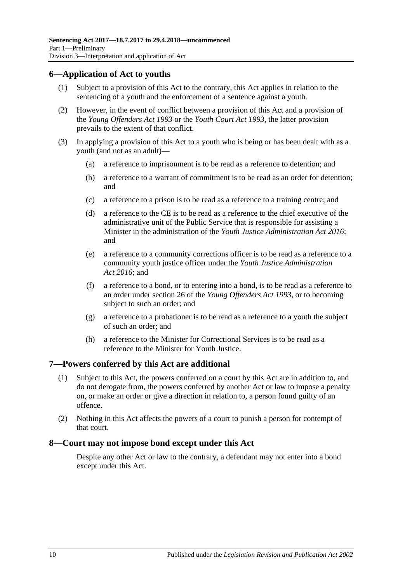# <span id="page-9-0"></span>**6—Application of Act to youths**

- (1) Subject to a provision of this Act to the contrary, this Act applies in relation to the sentencing of a youth and the enforcement of a sentence against a youth.
- (2) However, in the event of conflict between a provision of this Act and a provision of the *[Young Offenders Act](http://www.legislation.sa.gov.au/index.aspx?action=legref&type=act&legtitle=Young%20Offenders%20Act%201993) 1993* or the *[Youth Court Act](http://www.legislation.sa.gov.au/index.aspx?action=legref&type=act&legtitle=Youth%20Court%20Act%201993) 1993*, the latter provision prevails to the extent of that conflict.
- (3) In applying a provision of this Act to a youth who is being or has been dealt with as a youth (and not as an adult)—
	- (a) a reference to imprisonment is to be read as a reference to detention; and
	- (b) a reference to a warrant of commitment is to be read as an order for detention; and
	- (c) a reference to a prison is to be read as a reference to a training centre; and
	- (d) a reference to the CE is to be read as a reference to the chief executive of the administrative unit of the Public Service that is responsible for assisting a Minister in the administration of the *[Youth Justice Administration Act](http://www.legislation.sa.gov.au/index.aspx?action=legref&type=act&legtitle=Youth%20Justice%20Administration%20Act%202016) 2016*; and
	- (e) a reference to a community corrections officer is to be read as a reference to a community youth justice officer under the *[Youth Justice Administration](http://www.legislation.sa.gov.au/index.aspx?action=legref&type=act&legtitle=Youth%20Justice%20Administration%20Act%202016)  Act [2016](http://www.legislation.sa.gov.au/index.aspx?action=legref&type=act&legtitle=Youth%20Justice%20Administration%20Act%202016)*; and
	- (f) a reference to a bond, or to entering into a bond, is to be read as a reference to an order under section 26 of the *[Young Offenders Act](http://www.legislation.sa.gov.au/index.aspx?action=legref&type=act&legtitle=Young%20Offenders%20Act%201993) 1993*, or to becoming subject to such an order; and
	- (g) a reference to a probationer is to be read as a reference to a youth the subject of such an order; and
	- (h) a reference to the Minister for Correctional Services is to be read as a reference to the Minister for Youth Justice.

# <span id="page-9-1"></span>**7—Powers conferred by this Act are additional**

- (1) Subject to this Act, the powers conferred on a court by this Act are in addition to, and do not derogate from, the powers conferred by another Act or law to impose a penalty on, or make an order or give a direction in relation to, a person found guilty of an offence.
- (2) Nothing in this Act affects the powers of a court to punish a person for contempt of that court.

# <span id="page-9-2"></span>**8—Court may not impose bond except under this Act**

Despite any other Act or law to the contrary, a defendant may not enter into a bond except under this Act.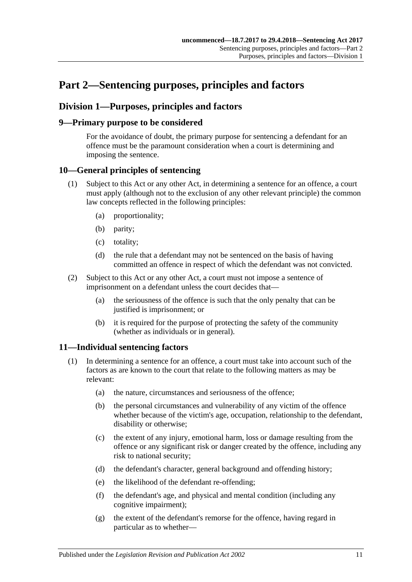# <span id="page-10-0"></span>**Part 2—Sentencing purposes, principles and factors**

# <span id="page-10-1"></span>**Division 1—Purposes, principles and factors**

# <span id="page-10-2"></span>**9—Primary purpose to be considered**

For the avoidance of doubt, the primary purpose for sentencing a defendant for an offence must be the paramount consideration when a court is determining and imposing the sentence.

# <span id="page-10-3"></span>**10—General principles of sentencing**

- (1) Subject to this Act or any other Act, in determining a sentence for an offence, a court must apply (although not to the exclusion of any other relevant principle) the common law concepts reflected in the following principles:
	- (a) proportionality;
	- (b) parity;
	- (c) totality;
	- (d) the rule that a defendant may not be sentenced on the basis of having committed an offence in respect of which the defendant was not convicted.
- (2) Subject to this Act or any other Act, a court must not impose a sentence of imprisonment on a defendant unless the court decides that—
	- (a) the seriousness of the offence is such that the only penalty that can be justified is imprisonment; or
	- (b) it is required for the purpose of protecting the safety of the community (whether as individuals or in general).

# <span id="page-10-5"></span><span id="page-10-4"></span>**11—Individual sentencing factors**

- <span id="page-10-6"></span>(1) In determining a sentence for an offence, a court must take into account such of the factors as are known to the court that relate to the following matters as may be relevant:
	- (a) the nature, circumstances and seriousness of the offence;
	- (b) the personal circumstances and vulnerability of any victim of the offence whether because of the victim's age, occupation, relationship to the defendant, disability or otherwise;
	- (c) the extent of any injury, emotional harm, loss or damage resulting from the offence or any significant risk or danger created by the offence, including any risk to national security;
	- (d) the defendant's character, general background and offending history;
	- (e) the likelihood of the defendant re-offending;
	- (f) the defendant's age, and physical and mental condition (including any cognitive impairment);
	- (g) the extent of the defendant's remorse for the offence, having regard in particular as to whether—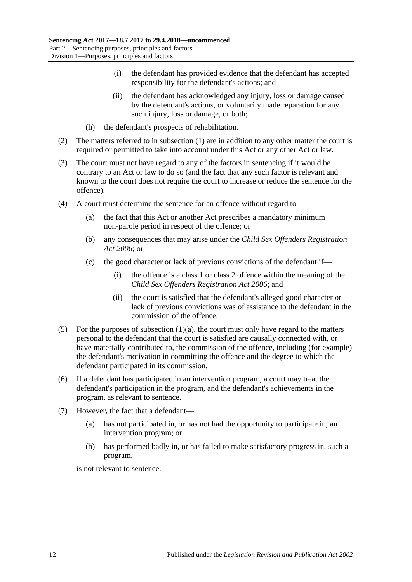- (i) the defendant has provided evidence that the defendant has accepted responsibility for the defendant's actions; and
- (ii) the defendant has acknowledged any injury, loss or damage caused by the defendant's actions, or voluntarily made reparation for any such injury, loss or damage, or both;
- (h) the defendant's prospects of rehabilitation.
- (2) The matters referred to in [subsection](#page-10-5) (1) are in addition to any other matter the court is required or permitted to take into account under this Act or any other Act or law.
- (3) The court must not have regard to any of the factors in sentencing if it would be contrary to an Act or law to do so (and the fact that any such factor is relevant and known to the court does not require the court to increase or reduce the sentence for the offence).
- (4) A court must determine the sentence for an offence without regard to—
	- (a) the fact that this Act or another Act prescribes a mandatory minimum non-parole period in respect of the offence; or
	- (b) any consequences that may arise under the *[Child Sex Offenders Registration](http://www.legislation.sa.gov.au/index.aspx?action=legref&type=act&legtitle=Child%20Sex%20Offenders%20Registration%20Act%202006)  Act [2006](http://www.legislation.sa.gov.au/index.aspx?action=legref&type=act&legtitle=Child%20Sex%20Offenders%20Registration%20Act%202006)*; or
	- (c) the good character or lack of previous convictions of the defendant if—
		- (i) the offence is a class 1 or class 2 offence within the meaning of the *[Child Sex Offenders Registration Act](http://www.legislation.sa.gov.au/index.aspx?action=legref&type=act&legtitle=Child%20Sex%20Offenders%20Registration%20Act%202006) 2006*; and
		- (ii) the court is satisfied that the defendant's alleged good character or lack of previous convictions was of assistance to the defendant in the commission of the offence.
- (5) For the purposes of [subsection](#page-10-6)  $(1)(a)$ , the court must only have regard to the matters personal to the defendant that the court is satisfied are causally connected with, or have materially contributed to, the commission of the offence, including (for example) the defendant's motivation in committing the offence and the degree to which the defendant participated in its commission.
- (6) If a defendant has participated in an intervention program, a court may treat the defendant's participation in the program, and the defendant's achievements in the program, as relevant to sentence.
- (7) However, the fact that a defendant—
	- (a) has not participated in, or has not had the opportunity to participate in, an intervention program; or
	- (b) has performed badly in, or has failed to make satisfactory progress in, such a program,

is not relevant to sentence.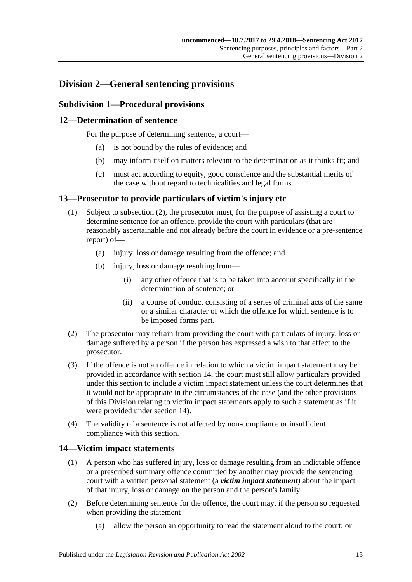# <span id="page-12-1"></span><span id="page-12-0"></span>**Division 2—General sentencing provisions**

# **Subdivision 1—Procedural provisions**

## <span id="page-12-2"></span>**12—Determination of sentence**

For the purpose of determining sentence, a court—

- (a) is not bound by the rules of evidence; and
- (b) may inform itself on matters relevant to the determination as it thinks fit; and
- (c) must act according to equity, good conscience and the substantial merits of the case without regard to technicalities and legal forms.

## <span id="page-12-3"></span>**13—Prosecutor to provide particulars of victim's injury etc**

- (1) Subject to [subsection](#page-12-5) (2), the prosecutor must, for the purpose of assisting a court to determine sentence for an offence, provide the court with particulars (that are reasonably ascertainable and not already before the court in evidence or a pre-sentence report) of—
	- (a) injury, loss or damage resulting from the offence; and
	- (b) injury, loss or damage resulting from—
		- (i) any other offence that is to be taken into account specifically in the determination of sentence; or
		- (ii) a course of conduct consisting of a series of criminal acts of the same or a similar character of which the offence for which sentence is to be imposed forms part.
- <span id="page-12-5"></span>(2) The prosecutor may refrain from providing the court with particulars of injury, loss or damage suffered by a person if the person has expressed a wish to that effect to the prosecutor.
- (3) If the offence is not an offence in relation to which a victim impact statement may be provided in accordance with [section](#page-12-4) 14, the court must still allow particulars provided under this section to include a victim impact statement unless the court determines that it would not be appropriate in the circumstances of the case (and the other provisions of this Division relating to victim impact statements apply to such a statement as if it were provided under [section](#page-12-4) 14).
- (4) The validity of a sentence is not affected by non-compliance or insufficient compliance with this section.

# <span id="page-12-4"></span>**14—Victim impact statements**

- (1) A person who has suffered injury, loss or damage resulting from an indictable offence or a prescribed summary offence committed by another may provide the sentencing court with a written personal statement (a *victim impact statement*) about the impact of that injury, loss or damage on the person and the person's family.
- (2) Before determining sentence for the offence, the court may, if the person so requested when providing the statement—
	- (a) allow the person an opportunity to read the statement aloud to the court; or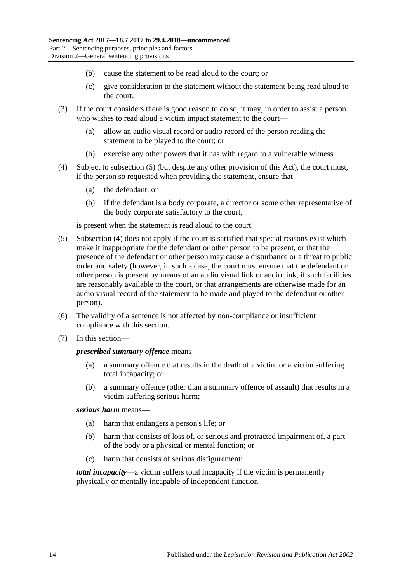- (b) cause the statement to be read aloud to the court; or
- (c) give consideration to the statement without the statement being read aloud to the court.
- (3) If the court considers there is good reason to do so, it may, in order to assist a person who wishes to read aloud a victim impact statement to the court—
	- (a) allow an audio visual record or audio record of the person reading the statement to be played to the court; or
	- (b) exercise any other powers that it has with regard to a vulnerable witness.
- <span id="page-13-1"></span>(4) Subject to [subsection](#page-13-0) (5) (but despite any other provision of this Act), the court must, if the person so requested when providing the statement, ensure that—
	- (a) the defendant; or
	- (b) if the defendant is a body corporate, a director or some other representative of the body corporate satisfactory to the court,

is present when the statement is read aloud to the court.

- <span id="page-13-0"></span>(5) [Subsection](#page-13-1) (4) does not apply if the court is satisfied that special reasons exist which make it inappropriate for the defendant or other person to be present, or that the presence of the defendant or other person may cause a disturbance or a threat to public order and safety (however, in such a case, the court must ensure that the defendant or other person is present by means of an audio visual link or audio link, if such facilities are reasonably available to the court, or that arrangements are otherwise made for an audio visual record of the statement to be made and played to the defendant or other person).
- (6) The validity of a sentence is not affected by non-compliance or insufficient compliance with this section.
- (7) In this section—

#### *prescribed summary offence* means—

- (a) a summary offence that results in the death of a victim or a victim suffering total incapacity; or
- (b) a summary offence (other than a summary offence of assault) that results in a victim suffering serious harm;

## *serious harm* means—

- (a) harm that endangers a person's life; or
- (b) harm that consists of loss of, or serious and protracted impairment of, a part of the body or a physical or mental function; or
- (c) harm that consists of serious disfigurement;

*total incapacity*—a victim suffers total incapacity if the victim is permanently physically or mentally incapable of independent function.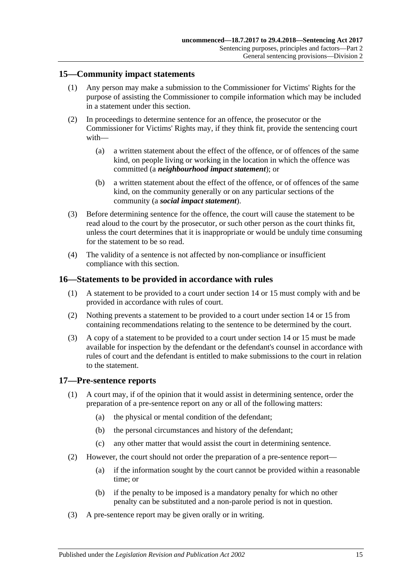## <span id="page-14-0"></span>**15—Community impact statements**

- (1) Any person may make a submission to the Commissioner for Victims' Rights for the purpose of assisting the Commissioner to compile information which may be included in a statement under this section.
- (2) In proceedings to determine sentence for an offence, the prosecutor or the Commissioner for Victims' Rights may, if they think fit, provide the sentencing court with—
	- (a) a written statement about the effect of the offence, or of offences of the same kind, on people living or working in the location in which the offence was committed (a *neighbourhood impact statement*); or
	- (b) a written statement about the effect of the offence, or of offences of the same kind, on the community generally or on any particular sections of the community (a *social impact statement*).
- (3) Before determining sentence for the offence, the court will cause the statement to be read aloud to the court by the prosecutor, or such other person as the court thinks fit, unless the court determines that it is inappropriate or would be unduly time consuming for the statement to be so read.
- (4) The validity of a sentence is not affected by non-compliance or insufficient compliance with this section.

## <span id="page-14-1"></span>**16—Statements to be provided in accordance with rules**

- (1) A statement to be provided to a court under [section](#page-12-4) 14 or [15](#page-14-0) must comply with and be provided in accordance with rules of court.
- (2) Nothing prevents a statement to be provided to a court under [section](#page-12-4) 14 or [15](#page-14-0) from containing recommendations relating to the sentence to be determined by the court.
- (3) A copy of a statement to be provided to a court under [section](#page-12-4) 14 or [15](#page-14-0) must be made available for inspection by the defendant or the defendant's counsel in accordance with rules of court and the defendant is entitled to make submissions to the court in relation to the statement.

## <span id="page-14-2"></span>**17—Pre-sentence reports**

- (1) A court may, if of the opinion that it would assist in determining sentence, order the preparation of a pre-sentence report on any or all of the following matters:
	- (a) the physical or mental condition of the defendant;
	- (b) the personal circumstances and history of the defendant;
	- (c) any other matter that would assist the court in determining sentence.
- (2) However, the court should not order the preparation of a pre-sentence report—
	- (a) if the information sought by the court cannot be provided within a reasonable time; or
	- (b) if the penalty to be imposed is a mandatory penalty for which no other penalty can be substituted and a non-parole period is not in question.
- (3) A pre-sentence report may be given orally or in writing.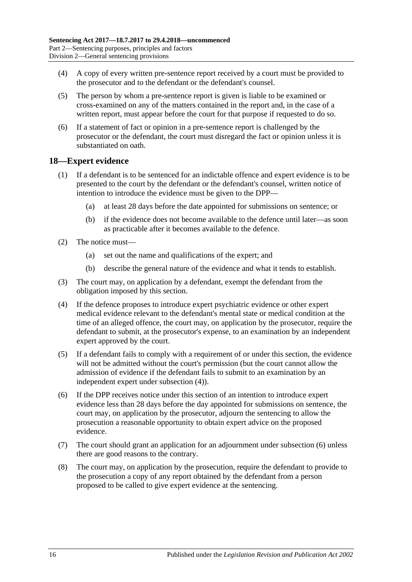- (4) A copy of every written pre-sentence report received by a court must be provided to the prosecutor and to the defendant or the defendant's counsel.
- (5) The person by whom a pre-sentence report is given is liable to be examined or cross-examined on any of the matters contained in the report and, in the case of a written report, must appear before the court for that purpose if requested to do so.
- (6) If a statement of fact or opinion in a pre-sentence report is challenged by the prosecutor or the defendant, the court must disregard the fact or opinion unless it is substantiated on oath.

## <span id="page-15-0"></span>**18—Expert evidence**

- (1) If a defendant is to be sentenced for an indictable offence and expert evidence is to be presented to the court by the defendant or the defendant's counsel, written notice of intention to introduce the evidence must be given to the DPP—
	- (a) at least 28 days before the date appointed for submissions on sentence; or
	- (b) if the evidence does not become available to the defence until later—as soon as practicable after it becomes available to the defence.
- (2) The notice must—
	- (a) set out the name and qualifications of the expert; and
	- (b) describe the general nature of the evidence and what it tends to establish.
- (3) The court may, on application by a defendant, exempt the defendant from the obligation imposed by this section.
- <span id="page-15-1"></span>(4) If the defence proposes to introduce expert psychiatric evidence or other expert medical evidence relevant to the defendant's mental state or medical condition at the time of an alleged offence, the court may, on application by the prosecutor, require the defendant to submit, at the prosecutor's expense, to an examination by an independent expert approved by the court.
- (5) If a defendant fails to comply with a requirement of or under this section, the evidence will not be admitted without the court's permission (but the court cannot allow the admission of evidence if the defendant fails to submit to an examination by an independent expert under [subsection](#page-15-1) (4)).
- <span id="page-15-2"></span>(6) If the DPP receives notice under this section of an intention to introduce expert evidence less than 28 days before the day appointed for submissions on sentence, the court may, on application by the prosecutor, adjourn the sentencing to allow the prosecution a reasonable opportunity to obtain expert advice on the proposed evidence.
- (7) The court should grant an application for an adjournment under [subsection](#page-15-2) (6) unless there are good reasons to the contrary.
- (8) The court may, on application by the prosecution, require the defendant to provide to the prosecution a copy of any report obtained by the defendant from a person proposed to be called to give expert evidence at the sentencing.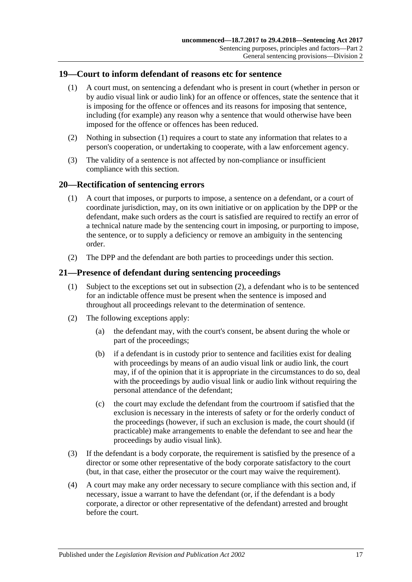## <span id="page-16-3"></span><span id="page-16-0"></span>**19—Court to inform defendant of reasons etc for sentence**

- (1) A court must, on sentencing a defendant who is present in court (whether in person or by audio visual link or audio link) for an offence or offences, state the sentence that it is imposing for the offence or offences and its reasons for imposing that sentence, including (for example) any reason why a sentence that would otherwise have been imposed for the offence or offences has been reduced.
- (2) Nothing in [subsection](#page-16-3) (1) requires a court to state any information that relates to a person's cooperation, or undertaking to cooperate, with a law enforcement agency.
- (3) The validity of a sentence is not affected by non-compliance or insufficient compliance with this section.

## <span id="page-16-1"></span>**20—Rectification of sentencing errors**

- (1) A court that imposes, or purports to impose, a sentence on a defendant, or a court of coordinate jurisdiction, may, on its own initiative or on application by the DPP or the defendant, make such orders as the court is satisfied are required to rectify an error of a technical nature made by the sentencing court in imposing, or purporting to impose, the sentence, or to supply a deficiency or remove an ambiguity in the sentencing order.
- (2) The DPP and the defendant are both parties to proceedings under this section.

## <span id="page-16-2"></span>**21—Presence of defendant during sentencing proceedings**

- (1) Subject to the exceptions set out in [subsection](#page-16-4) (2), a defendant who is to be sentenced for an indictable offence must be present when the sentence is imposed and throughout all proceedings relevant to the determination of sentence.
- <span id="page-16-4"></span>(2) The following exceptions apply:
	- (a) the defendant may, with the court's consent, be absent during the whole or part of the proceedings;
	- (b) if a defendant is in custody prior to sentence and facilities exist for dealing with proceedings by means of an audio visual link or audio link, the court may, if of the opinion that it is appropriate in the circumstances to do so, deal with the proceedings by audio visual link or audio link without requiring the personal attendance of the defendant;
	- (c) the court may exclude the defendant from the courtroom if satisfied that the exclusion is necessary in the interests of safety or for the orderly conduct of the proceedings (however, if such an exclusion is made, the court should (if practicable) make arrangements to enable the defendant to see and hear the proceedings by audio visual link).
- (3) If the defendant is a body corporate, the requirement is satisfied by the presence of a director or some other representative of the body corporate satisfactory to the court (but, in that case, either the prosecutor or the court may waive the requirement).
- (4) A court may make any order necessary to secure compliance with this section and, if necessary, issue a warrant to have the defendant (or, if the defendant is a body corporate, a director or other representative of the defendant) arrested and brought before the court.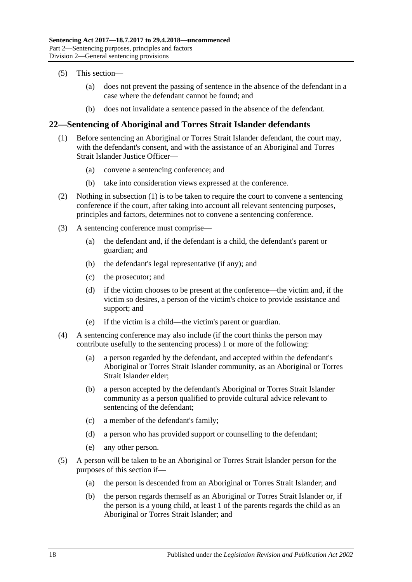- (5) This section—
	- (a) does not prevent the passing of sentence in the absence of the defendant in a case where the defendant cannot be found; and
	- (b) does not invalidate a sentence passed in the absence of the defendant.

# <span id="page-17-1"></span><span id="page-17-0"></span>**22—Sentencing of Aboriginal and Torres Strait Islander defendants**

- (1) Before sentencing an Aboriginal or Torres Strait Islander defendant, the court may, with the defendant's consent, and with the assistance of an Aboriginal and Torres Strait Islander Justice Officer—
	- (a) convene a sentencing conference; and
	- (b) take into consideration views expressed at the conference.
- (2) Nothing in [subsection](#page-17-1) (1) is to be taken to require the court to convene a sentencing conference if the court, after taking into account all relevant sentencing purposes, principles and factors, determines not to convene a sentencing conference.
- (3) A sentencing conference must comprise—
	- (a) the defendant and, if the defendant is a child, the defendant's parent or guardian; and
	- (b) the defendant's legal representative (if any); and
	- (c) the prosecutor; and
	- (d) if the victim chooses to be present at the conference—the victim and, if the victim so desires, a person of the victim's choice to provide assistance and support; and
	- (e) if the victim is a child—the victim's parent or guardian.
- (4) A sentencing conference may also include (if the court thinks the person may contribute usefully to the sentencing process) 1 or more of the following:
	- (a) a person regarded by the defendant, and accepted within the defendant's Aboriginal or Torres Strait Islander community, as an Aboriginal or Torres Strait Islander elder;
	- (b) a person accepted by the defendant's Aboriginal or Torres Strait Islander community as a person qualified to provide cultural advice relevant to sentencing of the defendant;
	- (c) a member of the defendant's family;
	- (d) a person who has provided support or counselling to the defendant;
	- (e) any other person.
- (5) A person will be taken to be an Aboriginal or Torres Strait Islander person for the purposes of this section if—
	- (a) the person is descended from an Aboriginal or Torres Strait Islander; and
	- (b) the person regards themself as an Aboriginal or Torres Strait Islander or, if the person is a young child, at least 1 of the parents regards the child as an Aboriginal or Torres Strait Islander; and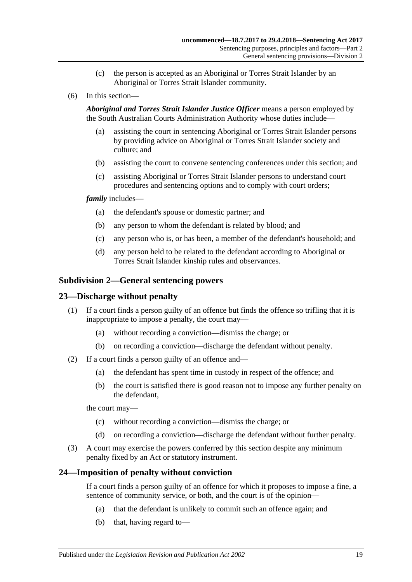- (c) the person is accepted as an Aboriginal or Torres Strait Islander by an Aboriginal or Torres Strait Islander community.
- (6) In this section—

*Aboriginal and Torres Strait Islander Justice Officer* means a person employed by the South Australian Courts Administration Authority whose duties include—

- (a) assisting the court in sentencing Aboriginal or Torres Strait Islander persons by providing advice on Aboriginal or Torres Strait Islander society and culture; and
- (b) assisting the court to convene sentencing conferences under this section; and
- (c) assisting Aboriginal or Torres Strait Islander persons to understand court procedures and sentencing options and to comply with court orders;

### *family* includes—

- (a) the defendant's spouse or domestic partner; and
- (b) any person to whom the defendant is related by blood; and
- (c) any person who is, or has been, a member of the defendant's household; and
- (d) any person held to be related to the defendant according to Aboriginal or Torres Strait Islander kinship rules and observances.

## <span id="page-18-0"></span>**Subdivision 2—General sentencing powers**

## <span id="page-18-1"></span>**23—Discharge without penalty**

- (1) If a court finds a person guilty of an offence but finds the offence so trifling that it is inappropriate to impose a penalty, the court may—
	- (a) without recording a conviction—dismiss the charge; or
	- (b) on recording a conviction—discharge the defendant without penalty.
- (2) If a court finds a person guilty of an offence and—
	- (a) the defendant has spent time in custody in respect of the offence; and
	- (b) the court is satisfied there is good reason not to impose any further penalty on the defendant,

the court may—

- (c) without recording a conviction—dismiss the charge; or
- (d) on recording a conviction—discharge the defendant without further penalty.
- (3) A court may exercise the powers conferred by this section despite any minimum penalty fixed by an Act or statutory instrument.

## <span id="page-18-2"></span>**24—Imposition of penalty without conviction**

If a court finds a person guilty of an offence for which it proposes to impose a fine, a sentence of community service, or both, and the court is of the opinion—

- (a) that the defendant is unlikely to commit such an offence again; and
- (b) that, having regard to—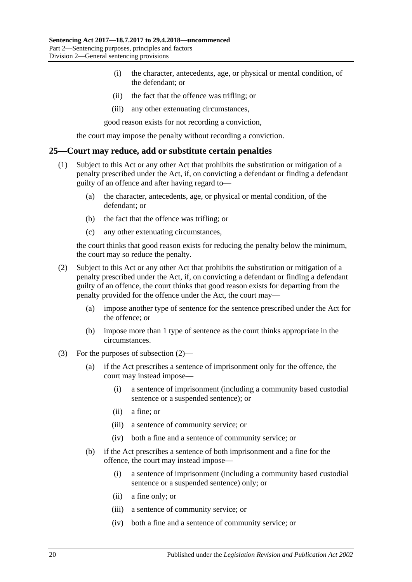- (i) the character, antecedents, age, or physical or mental condition, of the defendant; or
- (ii) the fact that the offence was trifling; or
- (iii) any other extenuating circumstances,

good reason exists for not recording a conviction,

the court may impose the penalty without recording a conviction.

#### <span id="page-19-0"></span>**25—Court may reduce, add or substitute certain penalties**

- (1) Subject to this Act or any other Act that prohibits the substitution or mitigation of a penalty prescribed under the Act, if, on convicting a defendant or finding a defendant guilty of an offence and after having regard to—
	- (a) the character, antecedents, age, or physical or mental condition, of the defendant; or
	- (b) the fact that the offence was trifling; or
	- (c) any other extenuating circumstances,

the court thinks that good reason exists for reducing the penalty below the minimum, the court may so reduce the penalty.

- <span id="page-19-1"></span>(2) Subject to this Act or any other Act that prohibits the substitution or mitigation of a penalty prescribed under the Act, if, on convicting a defendant or finding a defendant guilty of an offence, the court thinks that good reason exists for departing from the penalty provided for the offence under the Act, the court may—
	- (a) impose another type of sentence for the sentence prescribed under the Act for the offence; or
	- (b) impose more than 1 type of sentence as the court thinks appropriate in the circumstances.
- (3) For the purposes of [subsection](#page-19-1) (2)—
	- (a) if the Act prescribes a sentence of imprisonment only for the offence, the court may instead impose—
		- (i) a sentence of imprisonment (including a community based custodial sentence or a suspended sentence); or
		- (ii) a fine; or
		- (iii) a sentence of community service; or
		- (iv) both a fine and a sentence of community service; or
	- (b) if the Act prescribes a sentence of both imprisonment and a fine for the offence, the court may instead impose—
		- (i) a sentence of imprisonment (including a community based custodial sentence or a suspended sentence) only; or
		- (ii) a fine only; or
		- (iii) a sentence of community service; or
		- (iv) both a fine and a sentence of community service; or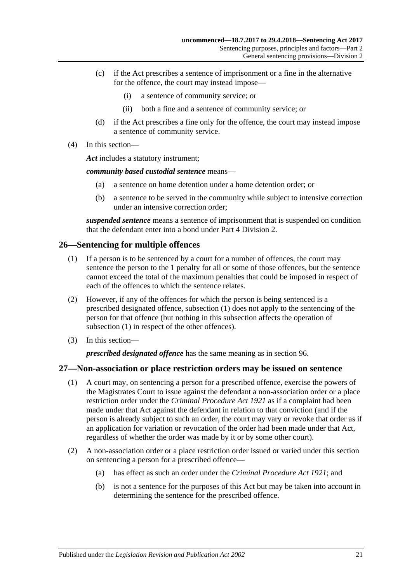- (c) if the Act prescribes a sentence of imprisonment or a fine in the alternative for the offence, the court may instead impose—
	- (i) a sentence of community service; or
	- (ii) both a fine and a sentence of community service; or
- (d) if the Act prescribes a fine only for the offence, the court may instead impose a sentence of community service.
- (4) In this section—

*Act* includes a statutory instrument;

*community based custodial sentence* means—

- (a) a sentence on home detention under a home detention order; or
- (b) a sentence to be served in the community while subject to intensive correction under an intensive correction order;

*suspended sentence* means a sentence of imprisonment that is suspended on condition that the defendant enter into a bond under Part [4 Division](#page-73-1) 2.

# <span id="page-20-2"></span><span id="page-20-0"></span>**26—Sentencing for multiple offences**

- (1) If a person is to be sentenced by a court for a number of offences, the court may sentence the person to the 1 penalty for all or some of those offences, but the sentence cannot exceed the total of the maximum penalties that could be imposed in respect of each of the offences to which the sentence relates.
- (2) However, if any of the offences for which the person is being sentenced is a prescribed designated offence, [subsection](#page-20-2) (1) does not apply to the sentencing of the person for that offence (but nothing in this subsection affects the operation of [subsection](#page-20-2) (1) in respect of the other offences).
- (3) In this section—

*prescribed designated offence* has the same meaning as in [section](#page-73-2) 96.

# <span id="page-20-1"></span>**27—Non-association or place restriction orders may be issued on sentence**

- (1) A court may, on sentencing a person for a prescribed offence, exercise the powers of the Magistrates Court to issue against the defendant a non-association order or a place restriction order under the *[Criminal Procedure Act](http://www.legislation.sa.gov.au/index.aspx?action=legref&type=act&legtitle=Criminal%20Procedure%20Act%201921) 1921* as if a complaint had been made under that Act against the defendant in relation to that conviction (and if the person is already subject to such an order, the court may vary or revoke that order as if an application for variation or revocation of the order had been made under that Act, regardless of whether the order was made by it or by some other court).
- (2) A non-association order or a place restriction order issued or varied under this section on sentencing a person for a prescribed offence—
	- (a) has effect as such an order under the *[Criminal Procedure Act](http://www.legislation.sa.gov.au/index.aspx?action=legref&type=act&legtitle=Criminal%20Procedure%20Act%201921) 1921*; and
	- (b) is not a sentence for the purposes of this Act but may be taken into account in determining the sentence for the prescribed offence.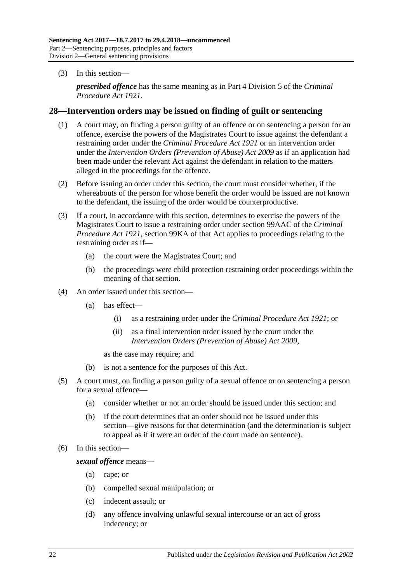(3) In this section—

*prescribed offence* has the same meaning as in Part 4 Division 5 of the *[Criminal](http://www.legislation.sa.gov.au/index.aspx?action=legref&type=act&legtitle=Criminal%20Procedure%20Act%201921)  [Procedure Act](http://www.legislation.sa.gov.au/index.aspx?action=legref&type=act&legtitle=Criminal%20Procedure%20Act%201921) 1921*.

## <span id="page-21-0"></span>**28—Intervention orders may be issued on finding of guilt or sentencing**

- (1) A court may, on finding a person guilty of an offence or on sentencing a person for an offence, exercise the powers of the Magistrates Court to issue against the defendant a restraining order under the *[Criminal Procedure Act](http://www.legislation.sa.gov.au/index.aspx?action=legref&type=act&legtitle=Criminal%20Procedure%20Act%201921) 1921* or an intervention order under the *[Intervention Orders \(Prevention of Abuse\) Act](http://www.legislation.sa.gov.au/index.aspx?action=legref&type=act&legtitle=Intervention%20Orders%20(Prevention%20of%20Abuse)%20Act%202009) 2009* as if an application had been made under the relevant Act against the defendant in relation to the matters alleged in the proceedings for the offence.
- (2) Before issuing an order under this section, the court must consider whether, if the whereabouts of the person for whose benefit the order would be issued are not known to the defendant, the issuing of the order would be counterproductive.
- (3) If a court, in accordance with this section, determines to exercise the powers of the Magistrates Court to issue a restraining order under section 99AAC of the *[Criminal](http://www.legislation.sa.gov.au/index.aspx?action=legref&type=act&legtitle=Criminal%20Procedure%20Act%201921)  [Procedure Act](http://www.legislation.sa.gov.au/index.aspx?action=legref&type=act&legtitle=Criminal%20Procedure%20Act%201921) 1921*, section 99KA of that Act applies to proceedings relating to the restraining order as if—
	- (a) the court were the Magistrates Court; and
	- (b) the proceedings were child protection restraining order proceedings within the meaning of that section.
- (4) An order issued under this section—
	- (a) has effect—
		- (i) as a restraining order under the *[Criminal Procedure Act](http://www.legislation.sa.gov.au/index.aspx?action=legref&type=act&legtitle=Criminal%20Procedure%20Act%201921) 1921*; or
		- (ii) as a final intervention order issued by the court under the *[Intervention Orders \(Prevention of Abuse\) Act](http://www.legislation.sa.gov.au/index.aspx?action=legref&type=act&legtitle=Intervention%20Orders%20(Prevention%20of%20Abuse)%20Act%202009) 2009*,

as the case may require; and

- (b) is not a sentence for the purposes of this Act.
- (5) A court must, on finding a person guilty of a sexual offence or on sentencing a person for a sexual offence—
	- (a) consider whether or not an order should be issued under this section; and
	- (b) if the court determines that an order should not be issued under this section—give reasons for that determination (and the determination is subject to appeal as if it were an order of the court made on sentence).
- (6) In this section—

*sexual offence* means—

- (a) rape; or
- (b) compelled sexual manipulation; or
- (c) indecent assault; or
- (d) any offence involving unlawful sexual intercourse or an act of gross indecency; or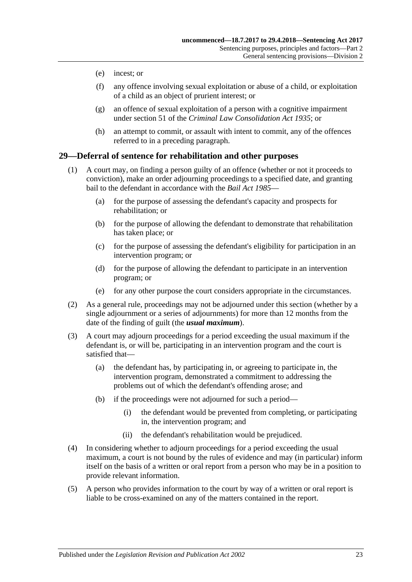- (e) incest; or
- (f) any offence involving sexual exploitation or abuse of a child, or exploitation of a child as an object of prurient interest; or
- (g) an offence of sexual exploitation of a person with a cognitive impairment under section 51 of the *[Criminal Law Consolidation Act](http://www.legislation.sa.gov.au/index.aspx?action=legref&type=act&legtitle=Criminal%20Law%20Consolidation%20Act%201935) 1935*; or
- (h) an attempt to commit, or assault with intent to commit, any of the offences referred to in a preceding paragraph.

## <span id="page-22-0"></span>**29—Deferral of sentence for rehabilitation and other purposes**

- (1) A court may, on finding a person guilty of an offence (whether or not it proceeds to conviction), make an order adjourning proceedings to a specified date, and granting bail to the defendant in accordance with the *[Bail Act](http://www.legislation.sa.gov.au/index.aspx?action=legref&type=act&legtitle=Bail%20Act%201985) 1985*—
	- (a) for the purpose of assessing the defendant's capacity and prospects for rehabilitation; or
	- (b) for the purpose of allowing the defendant to demonstrate that rehabilitation has taken place; or
	- (c) for the purpose of assessing the defendant's eligibility for participation in an intervention program; or
	- (d) for the purpose of allowing the defendant to participate in an intervention program; or
	- (e) for any other purpose the court considers appropriate in the circumstances.
- (2) As a general rule, proceedings may not be adjourned under this section (whether by a single adjournment or a series of adjournments) for more than 12 months from the date of the finding of guilt (the *usual maximum*).
- (3) A court may adjourn proceedings for a period exceeding the usual maximum if the defendant is, or will be, participating in an intervention program and the court is satisfied that—
	- (a) the defendant has, by participating in, or agreeing to participate in, the intervention program, demonstrated a commitment to addressing the problems out of which the defendant's offending arose; and
	- (b) if the proceedings were not adjourned for such a period—
		- (i) the defendant would be prevented from completing, or participating in, the intervention program; and
		- (ii) the defendant's rehabilitation would be prejudiced.
- (4) In considering whether to adjourn proceedings for a period exceeding the usual maximum, a court is not bound by the rules of evidence and may (in particular) inform itself on the basis of a written or oral report from a person who may be in a position to provide relevant information.
- (5) A person who provides information to the court by way of a written or oral report is liable to be cross-examined on any of the matters contained in the report.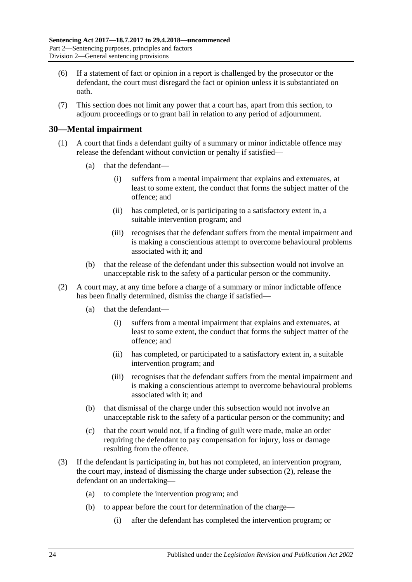- (6) If a statement of fact or opinion in a report is challenged by the prosecutor or the defendant, the court must disregard the fact or opinion unless it is substantiated on oath.
- (7) This section does not limit any power that a court has, apart from this section, to adjourn proceedings or to grant bail in relation to any period of adjournment.

# <span id="page-23-0"></span>**30—Mental impairment**

- (1) A court that finds a defendant guilty of a summary or minor indictable offence may release the defendant without conviction or penalty if satisfied—
	- (a) that the defendant—
		- (i) suffers from a mental impairment that explains and extenuates, at least to some extent, the conduct that forms the subject matter of the offence; and
		- (ii) has completed, or is participating to a satisfactory extent in, a suitable intervention program; and
		- (iii) recognises that the defendant suffers from the mental impairment and is making a conscientious attempt to overcome behavioural problems associated with it; and
	- (b) that the release of the defendant under this subsection would not involve an unacceptable risk to the safety of a particular person or the community.
- <span id="page-23-1"></span>(2) A court may, at any time before a charge of a summary or minor indictable offence has been finally determined, dismiss the charge if satisfied—
	- (a) that the defendant—
		- (i) suffers from a mental impairment that explains and extenuates, at least to some extent, the conduct that forms the subject matter of the offence; and
		- (ii) has completed, or participated to a satisfactory extent in, a suitable intervention program; and
		- (iii) recognises that the defendant suffers from the mental impairment and is making a conscientious attempt to overcome behavioural problems associated with it; and
	- (b) that dismissal of the charge under this subsection would not involve an unacceptable risk to the safety of a particular person or the community; and
	- (c) that the court would not, if a finding of guilt were made, make an order requiring the defendant to pay compensation for injury, loss or damage resulting from the offence.
- <span id="page-23-2"></span>(3) If the defendant is participating in, but has not completed, an intervention program, the court may, instead of dismissing the charge under [subsection](#page-23-1) (2), release the defendant on an undertaking—
	- (a) to complete the intervention program; and
	- (b) to appear before the court for determination of the charge—
		- (i) after the defendant has completed the intervention program; or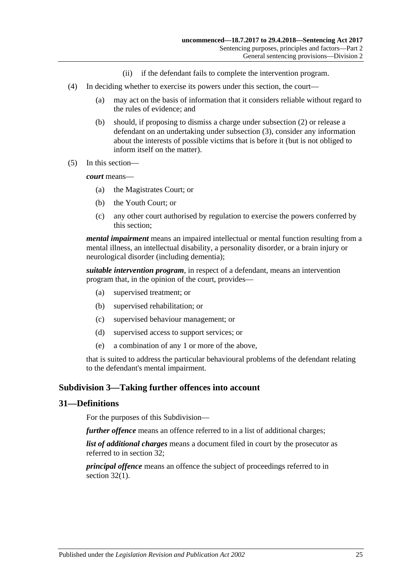- (ii) if the defendant fails to complete the intervention program.
- (4) In deciding whether to exercise its powers under this section, the court—
	- (a) may act on the basis of information that it considers reliable without regard to the rules of evidence; and
	- (b) should, if proposing to dismiss a charge under [subsection](#page-23-1) (2) or release a defendant on an undertaking under [subsection](#page-23-2) (3), consider any information about the interests of possible victims that is before it (but is not obliged to inform itself on the matter).
- (5) In this section—

*court* means—

- (a) the Magistrates Court; or
- (b) the Youth Court; or
- (c) any other court authorised by regulation to exercise the powers conferred by this section;

*mental impairment* means an impaired intellectual or mental function resulting from a mental illness, an intellectual disability, a personality disorder, or a brain injury or neurological disorder (including dementia);

*suitable intervention program*, in respect of a defendant, means an intervention program that, in the opinion of the court, provides—

- (a) supervised treatment; or
- (b) supervised rehabilitation; or
- (c) supervised behaviour management; or
- (d) supervised access to support services; or
- (e) a combination of any 1 or more of the above,

that is suited to address the particular behavioural problems of the defendant relating to the defendant's mental impairment.

# <span id="page-24-0"></span>**Subdivision 3—Taking further offences into account**

## <span id="page-24-1"></span>**31—Definitions**

For the purposes of this Subdivision—

*further offence* means an offence referred to in a list of additional charges;

*list of additional charges* means a document filed in court by the prosecutor as referred to in [section](#page-25-0) 32;

*principal offence* means an offence the subject of proceedings referred to in [section](#page-25-2) 32(1).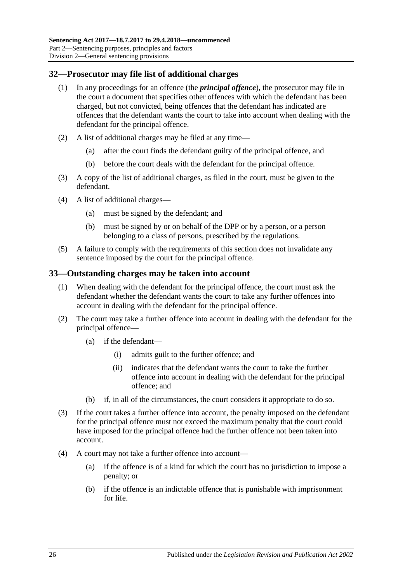# <span id="page-25-2"></span><span id="page-25-0"></span>**32—Prosecutor may file list of additional charges**

- (1) In any proceedings for an offence (the *principal offence*), the prosecutor may file in the court a document that specifies other offences with which the defendant has been charged, but not convicted, being offences that the defendant has indicated are offences that the defendant wants the court to take into account when dealing with the defendant for the principal offence.
- (2) A list of additional charges may be filed at any time—
	- (a) after the court finds the defendant guilty of the principal offence, and
	- (b) before the court deals with the defendant for the principal offence.
- (3) A copy of the list of additional charges, as filed in the court, must be given to the defendant.
- (4) A list of additional charges—
	- (a) must be signed by the defendant; and
	- (b) must be signed by or on behalf of the DPP or by a person, or a person belonging to a class of persons, prescribed by the regulations.
- (5) A failure to comply with the requirements of this section does not invalidate any sentence imposed by the court for the principal offence.

# <span id="page-25-1"></span>**33—Outstanding charges may be taken into account**

- (1) When dealing with the defendant for the principal offence, the court must ask the defendant whether the defendant wants the court to take any further offences into account in dealing with the defendant for the principal offence.
- (2) The court may take a further offence into account in dealing with the defendant for the principal offence—
	- (a) if the defendant—
		- (i) admits guilt to the further offence; and
		- (ii) indicates that the defendant wants the court to take the further offence into account in dealing with the defendant for the principal offence; and
	- (b) if, in all of the circumstances, the court considers it appropriate to do so.
- (3) If the court takes a further offence into account, the penalty imposed on the defendant for the principal offence must not exceed the maximum penalty that the court could have imposed for the principal offence had the further offence not been taken into account.
- <span id="page-25-3"></span>(4) A court may not take a further offence into account—
	- (a) if the offence is of a kind for which the court has no jurisdiction to impose a penalty; or
	- (b) if the offence is an indictable offence that is punishable with imprisonment for life.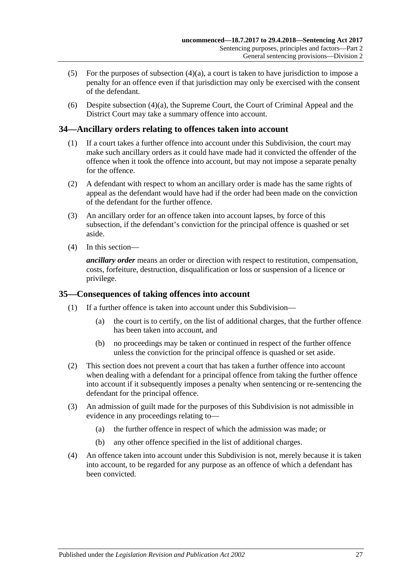- (5) For the purposes of [subsection](#page-25-3)  $(4)(a)$ , a court is taken to have jurisdiction to impose a penalty for an offence even if that jurisdiction may only be exercised with the consent of the defendant.
- (6) Despite [subsection](#page-25-3) (4)(a), the Supreme Court, the Court of Criminal Appeal and the District Court may take a summary offence into account.

# <span id="page-26-0"></span>**34—Ancillary orders relating to offences taken into account**

- (1) If a court takes a further offence into account under this Subdivision, the court may make such ancillary orders as it could have made had it convicted the offender of the offence when it took the offence into account, but may not impose a separate penalty for the offence.
- (2) A defendant with respect to whom an ancillary order is made has the same rights of appeal as the defendant would have had if the order had been made on the conviction of the defendant for the further offence.
- (3) An ancillary order for an offence taken into account lapses, by force of this subsection, if the defendant's conviction for the principal offence is quashed or set aside.
- (4) In this section—

*ancillary order* means an order or direction with respect to restitution, compensation, costs, forfeiture, destruction, disqualification or loss or suspension of a licence or privilege.

## <span id="page-26-1"></span>**35—Consequences of taking offences into account**

- (1) If a further offence is taken into account under this Subdivision—
	- (a) the court is to certify, on the list of additional charges, that the further offence has been taken into account, and
	- (b) no proceedings may be taken or continued in respect of the further offence unless the conviction for the principal offence is quashed or set aside.
- (2) This section does not prevent a court that has taken a further offence into account when dealing with a defendant for a principal offence from taking the further offence into account if it subsequently imposes a penalty when sentencing or re-sentencing the defendant for the principal offence.
- (3) An admission of guilt made for the purposes of this Subdivision is not admissible in evidence in any proceedings relating to—
	- (a) the further offence in respect of which the admission was made; or
	- (b) any other offence specified in the list of additional charges.
- (4) An offence taken into account under this Subdivision is not, merely because it is taken into account, to be regarded for any purpose as an offence of which a defendant has been convicted.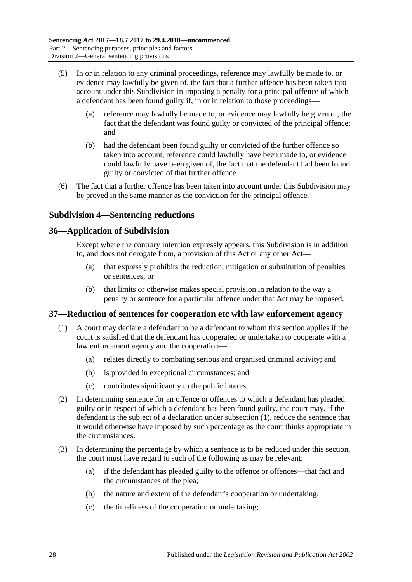- (5) In or in relation to any criminal proceedings, reference may lawfully be made to, or evidence may lawfully be given of, the fact that a further offence has been taken into account under this Subdivision in imposing a penalty for a principal offence of which a defendant has been found guilty if, in or in relation to those proceedings—
	- (a) reference may lawfully be made to, or evidence may lawfully be given of, the fact that the defendant was found guilty or convicted of the principal offence; and
	- (b) had the defendant been found guilty or convicted of the further offence so taken into account, reference could lawfully have been made to, or evidence could lawfully have been given of, the fact that the defendant had been found guilty or convicted of that further offence.
- (6) The fact that a further offence has been taken into account under this Subdivision may be proved in the same manner as the conviction for the principal offence.

# <span id="page-27-0"></span>**Subdivision 4—Sentencing reductions**

# <span id="page-27-1"></span>**36—Application of Subdivision**

Except where the contrary intention expressly appears, this Subdivision is in addition to, and does not derogate from, a provision of this Act or any other Act—

- (a) that expressly prohibits the reduction, mitigation or substitution of penalties or sentences; or
- (b) that limits or otherwise makes special provision in relation to the way a penalty or sentence for a particular offence under that Act may be imposed.

# <span id="page-27-3"></span><span id="page-27-2"></span>**37—Reduction of sentences for cooperation etc with law enforcement agency**

- (1) A court may declare a defendant to be a defendant to whom this section applies if the court is satisfied that the defendant has cooperated or undertaken to cooperate with a law enforcement agency and the cooperation—
	- (a) relates directly to combating serious and organised criminal activity; and
	- (b) is provided in exceptional circumstances; and
	- (c) contributes significantly to the public interest.
- (2) In determining sentence for an offence or offences to which a defendant has pleaded guilty or in respect of which a defendant has been found guilty, the court may, if the defendant is the subject of a declaration under [subsection](#page-27-3) (1), reduce the sentence that it would otherwise have imposed by such percentage as the court thinks appropriate in the circumstances.
- (3) In determining the percentage by which a sentence is to be reduced under this section, the court must have regard to such of the following as may be relevant:
	- (a) if the defendant has pleaded guilty to the offence or offences—that fact and the circumstances of the plea;
	- (b) the nature and extent of the defendant's cooperation or undertaking;
	- (c) the timeliness of the cooperation or undertaking;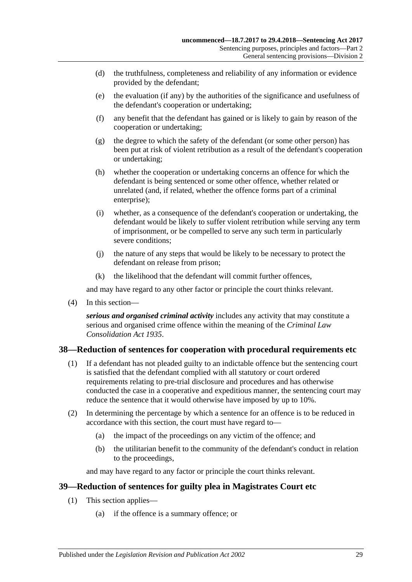- (d) the truthfulness, completeness and reliability of any information or evidence provided by the defendant;
- (e) the evaluation (if any) by the authorities of the significance and usefulness of the defendant's cooperation or undertaking;
- (f) any benefit that the defendant has gained or is likely to gain by reason of the cooperation or undertaking;
- (g) the degree to which the safety of the defendant (or some other person) has been put at risk of violent retribution as a result of the defendant's cooperation or undertaking;
- (h) whether the cooperation or undertaking concerns an offence for which the defendant is being sentenced or some other offence, whether related or unrelated (and, if related, whether the offence forms part of a criminal enterprise);
- (i) whether, as a consequence of the defendant's cooperation or undertaking, the defendant would be likely to suffer violent retribution while serving any term of imprisonment, or be compelled to serve any such term in particularly severe conditions;
- (j) the nature of any steps that would be likely to be necessary to protect the defendant on release from prison;
- (k) the likelihood that the defendant will commit further offences,

and may have regard to any other factor or principle the court thinks relevant.

(4) In this section—

*serious and organised criminal activity* includes any activity that may constitute a serious and organised crime offence within the meaning of the *[Criminal Law](http://www.legislation.sa.gov.au/index.aspx?action=legref&type=act&legtitle=Criminal%20Law%20Consolidation%20Act%201935)  [Consolidation Act](http://www.legislation.sa.gov.au/index.aspx?action=legref&type=act&legtitle=Criminal%20Law%20Consolidation%20Act%201935) 1935*.

# <span id="page-28-0"></span>**38—Reduction of sentences for cooperation with procedural requirements etc**

- (1) If a defendant has not pleaded guilty to an indictable offence but the sentencing court is satisfied that the defendant complied with all statutory or court ordered requirements relating to pre-trial disclosure and procedures and has otherwise conducted the case in a cooperative and expeditious manner, the sentencing court may reduce the sentence that it would otherwise have imposed by up to 10%.
- (2) In determining the percentage by which a sentence for an offence is to be reduced in accordance with this section, the court must have regard to—
	- (a) the impact of the proceedings on any victim of the offence; and
	- (b) the utilitarian benefit to the community of the defendant's conduct in relation to the proceedings,

and may have regard to any factor or principle the court thinks relevant.

## <span id="page-28-2"></span><span id="page-28-1"></span>**39—Reduction of sentences for guilty plea in Magistrates Court etc**

- (1) This section applies—
	- (a) if the offence is a summary offence; or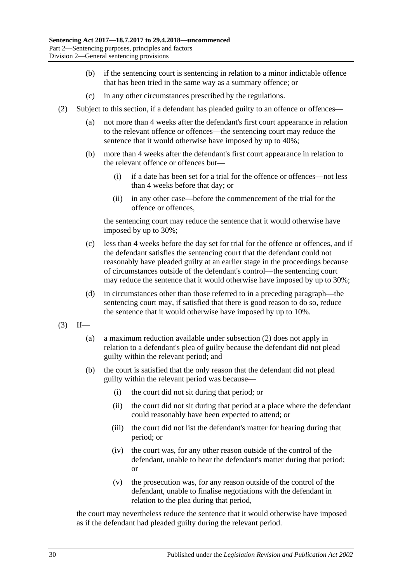- (b) if the sentencing court is sentencing in relation to a minor indictable offence that has been tried in the same way as a summary offence; or
- (c) in any other circumstances prescribed by the regulations.
- <span id="page-29-0"></span>(2) Subject to this section, if a defendant has pleaded guilty to an offence or offences—
	- (a) not more than 4 weeks after the defendant's first court appearance in relation to the relevant offence or offences—the sentencing court may reduce the sentence that it would otherwise have imposed by up to 40%;
	- (b) more than 4 weeks after the defendant's first court appearance in relation to the relevant offence or offences but—
		- (i) if a date has been set for a trial for the offence or offences—not less than 4 weeks before that day; or
		- (ii) in any other case—before the commencement of the trial for the offence or offences,

the sentencing court may reduce the sentence that it would otherwise have imposed by up to 30%;

- (c) less than 4 weeks before the day set for trial for the offence or offences, and if the defendant satisfies the sentencing court that the defendant could not reasonably have pleaded guilty at an earlier stage in the proceedings because of circumstances outside of the defendant's control—the sentencing court may reduce the sentence that it would otherwise have imposed by up to 30%;
- (d) in circumstances other than those referred to in a preceding paragraph—the sentencing court may, if satisfied that there is good reason to do so, reduce the sentence that it would otherwise have imposed by up to 10%.
- $(3)$  If—
	- (a) a maximum reduction available under [subsection](#page-29-0) (2) does not apply in relation to a defendant's plea of guilty because the defendant did not plead guilty within the relevant period; and
	- (b) the court is satisfied that the only reason that the defendant did not plead guilty within the relevant period was because—
		- (i) the court did not sit during that period; or
		- (ii) the court did not sit during that period at a place where the defendant could reasonably have been expected to attend; or
		- (iii) the court did not list the defendant's matter for hearing during that period; or
		- (iv) the court was, for any other reason outside of the control of the defendant, unable to hear the defendant's matter during that period; or
		- (v) the prosecution was, for any reason outside of the control of the defendant, unable to finalise negotiations with the defendant in relation to the plea during that period,

the court may nevertheless reduce the sentence that it would otherwise have imposed as if the defendant had pleaded guilty during the relevant period.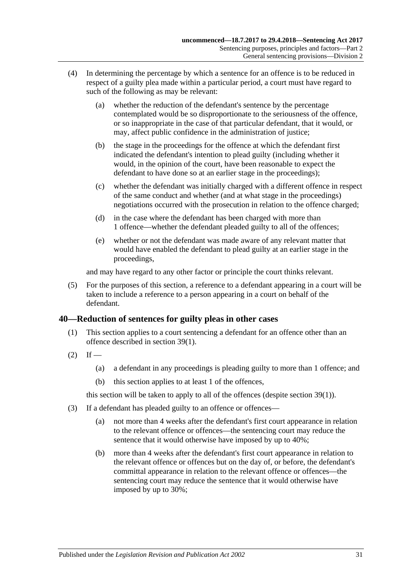- (4) In determining the percentage by which a sentence for an offence is to be reduced in respect of a guilty plea made within a particular period, a court must have regard to such of the following as may be relevant:
	- (a) whether the reduction of the defendant's sentence by the percentage contemplated would be so disproportionate to the seriousness of the offence, or so inappropriate in the case of that particular defendant, that it would, or may, affect public confidence in the administration of justice;
	- (b) the stage in the proceedings for the offence at which the defendant first indicated the defendant's intention to plead guilty (including whether it would, in the opinion of the court, have been reasonable to expect the defendant to have done so at an earlier stage in the proceedings);
	- (c) whether the defendant was initially charged with a different offence in respect of the same conduct and whether (and at what stage in the proceedings) negotiations occurred with the prosecution in relation to the offence charged;
	- (d) in the case where the defendant has been charged with more than 1 offence—whether the defendant pleaded guilty to all of the offences;
	- (e) whether or not the defendant was made aware of any relevant matter that would have enabled the defendant to plead guilty at an earlier stage in the proceedings,

and may have regard to any other factor or principle the court thinks relevant.

(5) For the purposes of this section, a reference to a defendant appearing in a court will be taken to include a reference to a person appearing in a court on behalf of the defendant.

# <span id="page-30-0"></span>**40—Reduction of sentences for guilty pleas in other cases**

- (1) This section applies to a court sentencing a defendant for an offence other than an offence described in [section](#page-28-2) 39(1).
- $(2)$  If
	- (a) a defendant in any proceedings is pleading guilty to more than 1 offence; and
	- (b) this section applies to at least 1 of the offences,

this section will be taken to apply to all of the offences (despite [section](#page-28-2) 39(1)).

- <span id="page-30-1"></span>(3) If a defendant has pleaded guilty to an offence or offences—
	- (a) not more than 4 weeks after the defendant's first court appearance in relation to the relevant offence or offences—the sentencing court may reduce the sentence that it would otherwise have imposed by up to 40%;
	- (b) more than 4 weeks after the defendant's first court appearance in relation to the relevant offence or offences but on the day of, or before, the defendant's committal appearance in relation to the relevant offence or offences—the sentencing court may reduce the sentence that it would otherwise have imposed by up to 30%;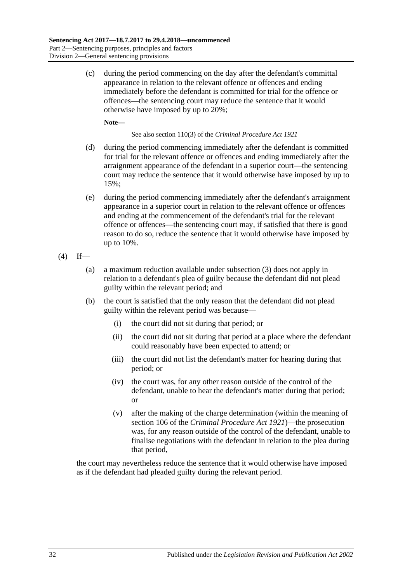(c) during the period commencing on the day after the defendant's committal appearance in relation to the relevant offence or offences and ending immediately before the defendant is committed for trial for the offence or offences—the sentencing court may reduce the sentence that it would otherwise have imposed by up to 20%;

**Note—**

See also section 110(3) of the *[Criminal Procedure Act](http://www.legislation.sa.gov.au/index.aspx?action=legref&type=act&legtitle=Criminal%20Procedure%20Act%201921) 1921*

- (d) during the period commencing immediately after the defendant is committed for trial for the relevant offence or offences and ending immediately after the arraignment appearance of the defendant in a superior court—the sentencing court may reduce the sentence that it would otherwise have imposed by up to 15%;
- (e) during the period commencing immediately after the defendant's arraignment appearance in a superior court in relation to the relevant offence or offences and ending at the commencement of the defendant's trial for the relevant offence or offences—the sentencing court may, if satisfied that there is good reason to do so, reduce the sentence that it would otherwise have imposed by up to 10%.

$$
(4) If
$$

- (a) a maximum reduction available under [subsection](#page-30-1) (3) does not apply in relation to a defendant's plea of guilty because the defendant did not plead guilty within the relevant period; and
- (b) the court is satisfied that the only reason that the defendant did not plead guilty within the relevant period was because—
	- (i) the court did not sit during that period; or
	- (ii) the court did not sit during that period at a place where the defendant could reasonably have been expected to attend; or
	- (iii) the court did not list the defendant's matter for hearing during that period; or
	- (iv) the court was, for any other reason outside of the control of the defendant, unable to hear the defendant's matter during that period; or
	- (v) after the making of the charge determination (within the meaning of section 106 of the *[Criminal Procedure Act](http://www.legislation.sa.gov.au/index.aspx?action=legref&type=act&legtitle=Criminal%20Procedure%20Act%201921) 1921*)—the prosecution was, for any reason outside of the control of the defendant, unable to finalise negotiations with the defendant in relation to the plea during that period,

the court may nevertheless reduce the sentence that it would otherwise have imposed as if the defendant had pleaded guilty during the relevant period.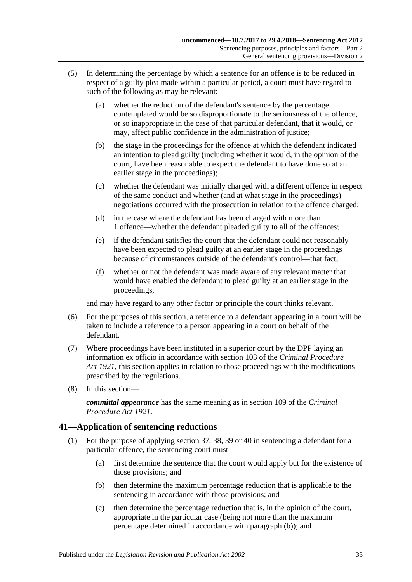- (5) In determining the percentage by which a sentence for an offence is to be reduced in respect of a guilty plea made within a particular period, a court must have regard to such of the following as may be relevant:
	- (a) whether the reduction of the defendant's sentence by the percentage contemplated would be so disproportionate to the seriousness of the offence, or so inappropriate in the case of that particular defendant, that it would, or may, affect public confidence in the administration of justice;
	- (b) the stage in the proceedings for the offence at which the defendant indicated an intention to plead guilty (including whether it would, in the opinion of the court, have been reasonable to expect the defendant to have done so at an earlier stage in the proceedings);
	- (c) whether the defendant was initially charged with a different offence in respect of the same conduct and whether (and at what stage in the proceedings) negotiations occurred with the prosecution in relation to the offence charged;
	- (d) in the case where the defendant has been charged with more than 1 offence—whether the defendant pleaded guilty to all of the offences;
	- (e) if the defendant satisfies the court that the defendant could not reasonably have been expected to plead guilty at an earlier stage in the proceedings because of circumstances outside of the defendant's control—that fact;
	- (f) whether or not the defendant was made aware of any relevant matter that would have enabled the defendant to plead guilty at an earlier stage in the proceedings,

and may have regard to any other factor or principle the court thinks relevant.

- (6) For the purposes of this section, a reference to a defendant appearing in a court will be taken to include a reference to a person appearing in a court on behalf of the defendant.
- (7) Where proceedings have been instituted in a superior court by the DPP laying an information ex officio in accordance with section 103 of the *[Criminal Procedure](http://www.legislation.sa.gov.au/index.aspx?action=legref&type=act&legtitle=Criminal%20Procedure%20Act%201921)  Act [1921](http://www.legislation.sa.gov.au/index.aspx?action=legref&type=act&legtitle=Criminal%20Procedure%20Act%201921)*, this section applies in relation to those proceedings with the modifications prescribed by the regulations.
- (8) In this section—

*committal appearance* has the same meaning as in section 109 of the *[Criminal](http://www.legislation.sa.gov.au/index.aspx?action=legref&type=act&legtitle=Criminal%20Procedure%20Act%201921)  [Procedure Act](http://www.legislation.sa.gov.au/index.aspx?action=legref&type=act&legtitle=Criminal%20Procedure%20Act%201921) 1921*.

# <span id="page-32-4"></span><span id="page-32-0"></span>**41—Application of sentencing reductions**

- <span id="page-32-3"></span><span id="page-32-2"></span><span id="page-32-1"></span>(1) For the purpose of applying [section](#page-27-2) 37, [38,](#page-28-0) [39](#page-28-1) or [40](#page-30-0) in sentencing a defendant for a particular offence, the sentencing court must—
	- (a) first determine the sentence that the court would apply but for the existence of those provisions; and
	- (b) then determine the maximum percentage reduction that is applicable to the sentencing in accordance with those provisions; and
	- (c) then determine the percentage reduction that is, in the opinion of the court, appropriate in the particular case (being not more than the maximum percentage determined in accordance with [paragraph](#page-32-1) (b)); and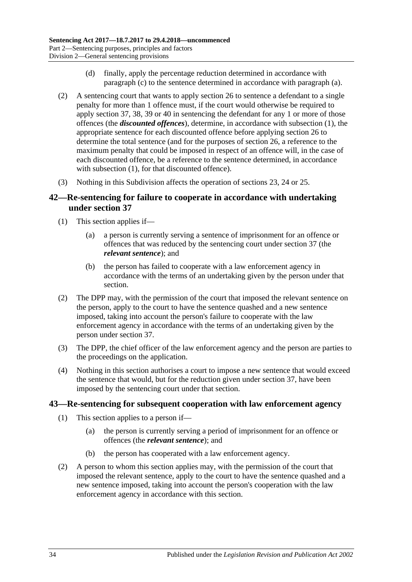- (d) finally, apply the percentage reduction determined in accordance with [paragraph](#page-32-2) (c) to the sentence determined in accordance with [paragraph](#page-32-3) (a).
- (2) A sentencing court that wants to apply [section](#page-20-0) 26 to sentence a defendant to a single penalty for more than 1 offence must, if the court would otherwise be required to apply [section](#page-27-2) 37, [38,](#page-28-0) [39](#page-28-1) or [40](#page-30-0) in sentencing the defendant for any 1 or more of those offences (the *discounted offences*), determine, in accordance with [subsection](#page-32-4) (1), the appropriate sentence for each discounted offence before applying [section](#page-20-0) 26 to determine the total sentence (and for the purposes of [section](#page-20-0) 26, a reference to the maximum penalty that could be imposed in respect of an offence will, in the case of each discounted offence, be a reference to the sentence determined, in accordance with [subsection](#page-32-4) (1), for that discounted offence).
- (3) Nothing in this Subdivision affects the operation of [sections 23,](#page-18-1) [24](#page-18-2) or [25.](#page-19-0)

# <span id="page-33-0"></span>**42—Re-sentencing for failure to cooperate in accordance with undertaking under [section](#page-27-2) 37**

- (1) This section applies if—
	- (a) a person is currently serving a sentence of imprisonment for an offence or offences that was reduced by the sentencing court under [section](#page-27-2) 37 (the *relevant sentence*); and
	- (b) the person has failed to cooperate with a law enforcement agency in accordance with the terms of an undertaking given by the person under that section.
- (2) The DPP may, with the permission of the court that imposed the relevant sentence on the person, apply to the court to have the sentence quashed and a new sentence imposed, taking into account the person's failure to cooperate with the law enforcement agency in accordance with the terms of an undertaking given by the person under [section](#page-27-2) 37.
- (3) The DPP, the chief officer of the law enforcement agency and the person are parties to the proceedings on the application.
- (4) Nothing in this section authorises a court to impose a new sentence that would exceed the sentence that would, but for the reduction given under [section](#page-27-2) 37, have been imposed by the sentencing court under that section.

## <span id="page-33-1"></span>**43—Re-sentencing for subsequent cooperation with law enforcement agency**

- (1) This section applies to a person if—
	- (a) the person is currently serving a period of imprisonment for an offence or offences (the *relevant sentence*); and
	- (b) the person has cooperated with a law enforcement agency.
- (2) A person to whom this section applies may, with the permission of the court that imposed the relevant sentence, apply to the court to have the sentence quashed and a new sentence imposed, taking into account the person's cooperation with the law enforcement agency in accordance with this section.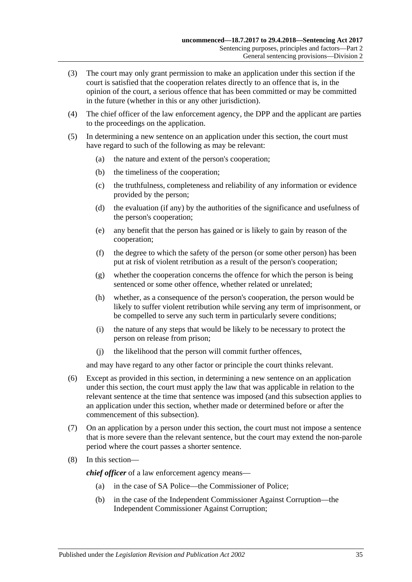- (3) The court may only grant permission to make an application under this section if the court is satisfied that the cooperation relates directly to an offence that is, in the opinion of the court, a serious offence that has been committed or may be committed in the future (whether in this or any other jurisdiction).
- (4) The chief officer of the law enforcement agency, the DPP and the applicant are parties to the proceedings on the application.
- (5) In determining a new sentence on an application under this section, the court must have regard to such of the following as may be relevant:
	- (a) the nature and extent of the person's cooperation;
	- (b) the timeliness of the cooperation;
	- (c) the truthfulness, completeness and reliability of any information or evidence provided by the person;
	- (d) the evaluation (if any) by the authorities of the significance and usefulness of the person's cooperation;
	- (e) any benefit that the person has gained or is likely to gain by reason of the cooperation;
	- (f) the degree to which the safety of the person (or some other person) has been put at risk of violent retribution as a result of the person's cooperation;
	- (g) whether the cooperation concerns the offence for which the person is being sentenced or some other offence, whether related or unrelated;
	- (h) whether, as a consequence of the person's cooperation, the person would be likely to suffer violent retribution while serving any term of imprisonment, or be compelled to serve any such term in particularly severe conditions;
	- (i) the nature of any steps that would be likely to be necessary to protect the person on release from prison;
	- (j) the likelihood that the person will commit further offences,

and may have regard to any other factor or principle the court thinks relevant.

- (6) Except as provided in this section, in determining a new sentence on an application under this section, the court must apply the law that was applicable in relation to the relevant sentence at the time that sentence was imposed (and this subsection applies to an application under this section, whether made or determined before or after the commencement of this subsection).
- (7) On an application by a person under this section, the court must not impose a sentence that is more severe than the relevant sentence, but the court may extend the non-parole period where the court passes a shorter sentence.
- (8) In this section—

*chief officer* of a law enforcement agency means—

- (a) in the case of SA Police—the Commissioner of Police;
- (b) in the case of the Independent Commissioner Against Corruption—the Independent Commissioner Against Corruption;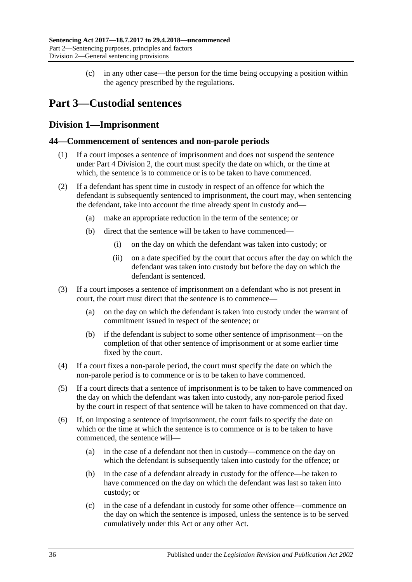(c) in any other case—the person for the time being occupying a position within the agency prescribed by the regulations.

# <span id="page-35-0"></span>**Part 3—Custodial sentences**

# <span id="page-35-1"></span>**Division 1—Imprisonment**

# <span id="page-35-2"></span>**44—Commencement of sentences and non-parole periods**

- (1) If a court imposes a sentence of imprisonment and does not suspend the sentence under Part 4 [Division](#page-73-1) 2, the court must specify the date on which, or the time at which, the sentence is to commence or is to be taken to have commenced.
- (2) If a defendant has spent time in custody in respect of an offence for which the defendant is subsequently sentenced to imprisonment, the court may, when sentencing the defendant, take into account the time already spent in custody and—
	- (a) make an appropriate reduction in the term of the sentence; or
	- (b) direct that the sentence will be taken to have commenced—
		- (i) on the day on which the defendant was taken into custody; or
		- (ii) on a date specified by the court that occurs after the day on which the defendant was taken into custody but before the day on which the defendant is sentenced.
- (3) If a court imposes a sentence of imprisonment on a defendant who is not present in court, the court must direct that the sentence is to commence—
	- (a) on the day on which the defendant is taken into custody under the warrant of commitment issued in respect of the sentence; or
	- (b) if the defendant is subject to some other sentence of imprisonment—on the completion of that other sentence of imprisonment or at some earlier time fixed by the court.
- (4) If a court fixes a non-parole period, the court must specify the date on which the non-parole period is to commence or is to be taken to have commenced.
- (5) If a court directs that a sentence of imprisonment is to be taken to have commenced on the day on which the defendant was taken into custody, any non-parole period fixed by the court in respect of that sentence will be taken to have commenced on that day.
- (6) If, on imposing a sentence of imprisonment, the court fails to specify the date on which or the time at which the sentence is to commence or is to be taken to have commenced, the sentence will—
	- (a) in the case of a defendant not then in custody—commence on the day on which the defendant is subsequently taken into custody for the offence; or
	- (b) in the case of a defendant already in custody for the offence—be taken to have commenced on the day on which the defendant was last so taken into custody; or
	- (c) in the case of a defendant in custody for some other offence—commence on the day on which the sentence is imposed, unless the sentence is to be served cumulatively under this Act or any other Act.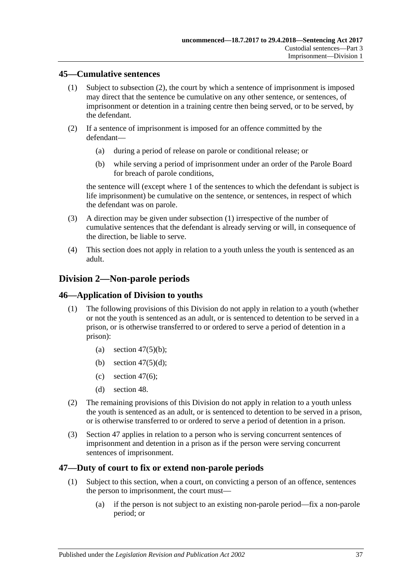### <span id="page-36-1"></span>**45—Cumulative sentences**

- (1) Subject to [subsection](#page-36-0) (2), the court by which a sentence of imprisonment is imposed may direct that the sentence be cumulative on any other sentence, or sentences, of imprisonment or detention in a training centre then being served, or to be served, by the defendant.
- <span id="page-36-0"></span>(2) If a sentence of imprisonment is imposed for an offence committed by the defendant—
	- (a) during a period of release on parole or conditional release; or
	- (b) while serving a period of imprisonment under an order of the Parole Board for breach of parole conditions,

the sentence will (except where 1 of the sentences to which the defendant is subject is life imprisonment) be cumulative on the sentence, or sentences, in respect of which the defendant was on parole.

- (3) A direction may be given under [subsection](#page-36-1) (1) irrespective of the number of cumulative sentences that the defendant is already serving or will, in consequence of the direction, be liable to serve.
- (4) This section does not apply in relation to a youth unless the youth is sentenced as an adult.

# **Division 2—Non-parole periods**

### **46—Application of Division to youths**

- (1) The following provisions of this Division do not apply in relation to a youth (whether or not the youth is sentenced as an adult, or is sentenced to detention to be served in a prison, or is otherwise transferred to or ordered to serve a period of detention in a prison):
	- (a) section  $47(5)(b)$ ;
	- (b) section  $47(5)(d)$ ;
	- (c) [section](#page-38-0)  $47(6)$ ;
	- (d) [section](#page-40-0) 48.
- (2) The remaining provisions of this Division do not apply in relation to a youth unless the youth is sentenced as an adult, or is sentenced to detention to be served in a prison, or is otherwise transferred to or ordered to serve a period of detention in a prison.
- (3) [Section](#page-36-2) 47 applies in relation to a person who is serving concurrent sentences of imprisonment and detention in a prison as if the person were serving concurrent sentences of imprisonment.

### <span id="page-36-2"></span>**47—Duty of court to fix or extend non-parole periods**

- <span id="page-36-3"></span>(1) Subject to this section, when a court, on convicting a person of an offence, sentences the person to imprisonment, the court must—
	- (a) if the person is not subject to an existing non-parole period—fix a non-parole period; or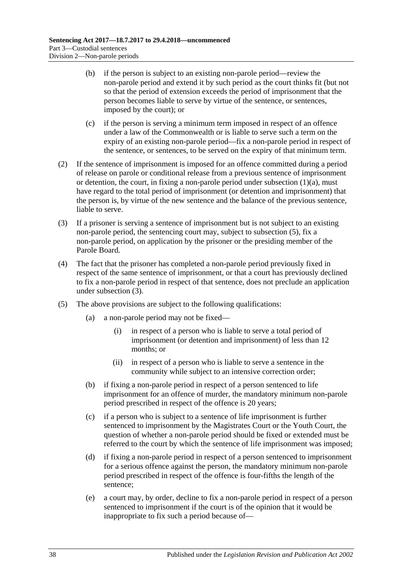- (b) if the person is subject to an existing non-parole period—review the non-parole period and extend it by such period as the court thinks fit (but not so that the period of extension exceeds the period of imprisonment that the person becomes liable to serve by virtue of the sentence, or sentences, imposed by the court); or
- (c) if the person is serving a minimum term imposed in respect of an offence under a law of the Commonwealth or is liable to serve such a term on the expiry of an existing non-parole period—fix a non-parole period in respect of the sentence, or sentences, to be served on the expiry of that minimum term.
- (2) If the sentence of imprisonment is imposed for an offence committed during a period of release on parole or conditional release from a previous sentence of imprisonment or detention, the court, in fixing a non-parole period under [subsection](#page-36-3)  $(1)(a)$ , must have regard to the total period of imprisonment (or detention and imprisonment) that the person is, by virtue of the new sentence and the balance of the previous sentence, liable to serve.
- <span id="page-37-3"></span>(3) If a prisoner is serving a sentence of imprisonment but is not subject to an existing non-parole period, the sentencing court may, subject to [subsection](#page-37-2) (5), fix a non-parole period, on application by the prisoner or the presiding member of the Parole Board.
- (4) The fact that the prisoner has completed a non-parole period previously fixed in respect of the same sentence of imprisonment, or that a court has previously declined to fix a non-parole period in respect of that sentence, does not preclude an application under [subsection](#page-37-3) (3).
- <span id="page-37-2"></span><span id="page-37-1"></span><span id="page-37-0"></span>(5) The above provisions are subject to the following qualifications:
	- (a) a non-parole period may not be fixed—
		- (i) in respect of a person who is liable to serve a total period of imprisonment (or detention and imprisonment) of less than 12 months; or
		- (ii) in respect of a person who is liable to serve a sentence in the community while subject to an intensive correction order;
	- (b) if fixing a non-parole period in respect of a person sentenced to life imprisonment for an offence of murder, the mandatory minimum non-parole period prescribed in respect of the offence is 20 years;
	- (c) if a person who is subject to a sentence of life imprisonment is further sentenced to imprisonment by the Magistrates Court or the Youth Court, the question of whether a non-parole period should be fixed or extended must be referred to the court by which the sentence of life imprisonment was imposed;
	- (d) if fixing a non-parole period in respect of a person sentenced to imprisonment for a serious offence against the person, the mandatory minimum non-parole period prescribed in respect of the offence is four-fifths the length of the sentence;
	- (e) a court may, by order, decline to fix a non-parole period in respect of a person sentenced to imprisonment if the court is of the opinion that it would be inappropriate to fix such a period because of—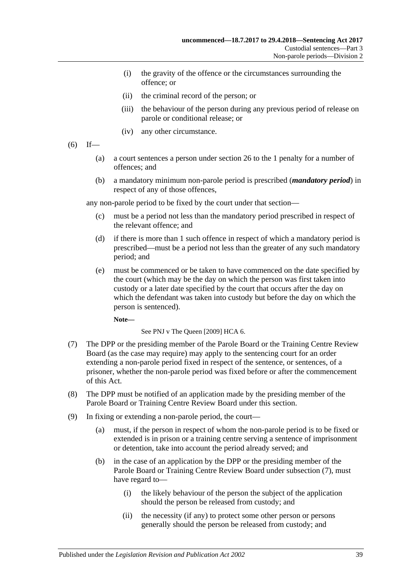- (i) the gravity of the offence or the circumstances surrounding the offence; or
- (ii) the criminal record of the person; or
- (iii) the behaviour of the person during any previous period of release on parole or conditional release; or
- (iv) any other circumstance.
- <span id="page-38-0"></span> $(6)$  If—
	- (a) a court sentences a person under [section](#page-20-0) 26 to the 1 penalty for a number of offences; and
	- (b) a mandatory minimum non-parole period is prescribed (*mandatory period*) in respect of any of those offences,

any non-parole period to be fixed by the court under that section—

- (c) must be a period not less than the mandatory period prescribed in respect of the relevant offence; and
- (d) if there is more than 1 such offence in respect of which a mandatory period is prescribed—must be a period not less than the greater of any such mandatory period; and
- (e) must be commenced or be taken to have commenced on the date specified by the court (which may be the day on which the person was first taken into custody or a later date specified by the court that occurs after the day on which the defendant was taken into custody but before the day on which the person is sentenced).

**Note—**

See PNJ v The Queen [2009] HCA 6.

- <span id="page-38-1"></span>(7) The DPP or the presiding member of the Parole Board or the Training Centre Review Board (as the case may require) may apply to the sentencing court for an order extending a non-parole period fixed in respect of the sentence, or sentences, of a prisoner, whether the non-parole period was fixed before or after the commencement of this Act.
- (8) The DPP must be notified of an application made by the presiding member of the Parole Board or Training Centre Review Board under this section.
- (9) In fixing or extending a non-parole period, the court—
	- (a) must, if the person in respect of whom the non-parole period is to be fixed or extended is in prison or a training centre serving a sentence of imprisonment or detention, take into account the period already served; and
	- (b) in the case of an application by the DPP or the presiding member of the Parole Board or Training Centre Review Board under [subsection](#page-38-1) (7), must have regard to—
		- (i) the likely behaviour of the person the subject of the application should the person be released from custody; and
		- (ii) the necessity (if any) to protect some other person or persons generally should the person be released from custody; and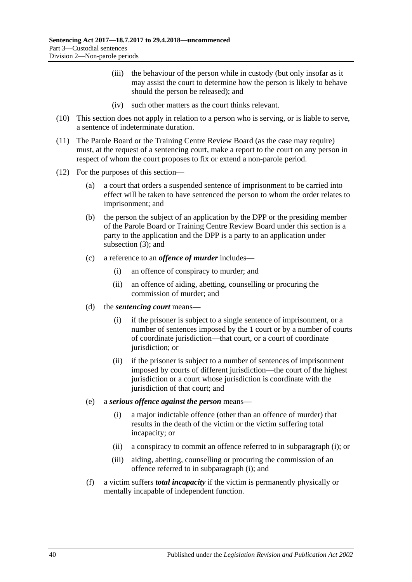- (iii) the behaviour of the person while in custody (but only insofar as it may assist the court to determine how the person is likely to behave should the person be released); and
- (iv) such other matters as the court thinks relevant.
- (10) This section does not apply in relation to a person who is serving, or is liable to serve, a sentence of indeterminate duration.
- (11) The Parole Board or the Training Centre Review Board (as the case may require) must, at the request of a sentencing court, make a report to the court on any person in respect of whom the court proposes to fix or extend a non-parole period.
- <span id="page-39-0"></span>(12) For the purposes of this section—
	- (a) a court that orders a suspended sentence of imprisonment to be carried into effect will be taken to have sentenced the person to whom the order relates to imprisonment; and
	- (b) the person the subject of an application by the DPP or the presiding member of the Parole Board or Training Centre Review Board under this section is a party to the application and the DPP is a party to an application under [subsection](#page-37-3) (3); and
	- (c) a reference to an *offence of murder* includes—
		- (i) an offence of conspiracy to murder; and
		- (ii) an offence of aiding, abetting, counselling or procuring the commission of murder; and
	- (d) the *sentencing court* means—
		- (i) if the prisoner is subject to a single sentence of imprisonment, or a number of sentences imposed by the 1 court or by a number of courts of coordinate jurisdiction—that court, or a court of coordinate jurisdiction; or
		- (ii) if the prisoner is subject to a number of sentences of imprisonment imposed by courts of different jurisdiction—the court of the highest jurisdiction or a court whose jurisdiction is coordinate with the jurisdiction of that court; and
	- (e) a *serious offence against the person* means—
		- (i) a major indictable offence (other than an offence of murder) that results in the death of the victim or the victim suffering total incapacity; or
		- (ii) a conspiracy to commit an offence referred to in [subparagraph](#page-39-0) (i); or
		- (iii) aiding, abetting, counselling or procuring the commission of an offence referred to in [subparagraph](#page-39-0) (i); and
	- (f) a victim suffers *total incapacity* if the victim is permanently physically or mentally incapable of independent function.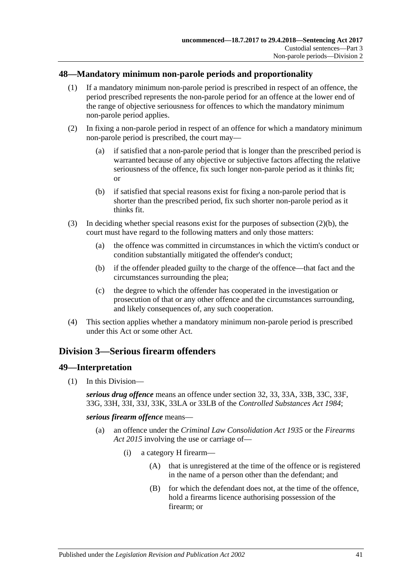## <span id="page-40-0"></span>**48—Mandatory minimum non-parole periods and proportionality**

- (1) If a mandatory minimum non-parole period is prescribed in respect of an offence, the period prescribed represents the non-parole period for an offence at the lower end of the range of objective seriousness for offences to which the mandatory minimum non-parole period applies.
- (2) In fixing a non-parole period in respect of an offence for which a mandatory minimum non-parole period is prescribed, the court may—
	- (a) if satisfied that a non-parole period that is longer than the prescribed period is warranted because of any objective or subjective factors affecting the relative seriousness of the offence, fix such longer non-parole period as it thinks fit; or
	- (b) if satisfied that special reasons exist for fixing a non-parole period that is shorter than the prescribed period, fix such shorter non-parole period as it thinks fit.
- <span id="page-40-1"></span>(3) In deciding whether special reasons exist for the purposes of [subsection](#page-40-1)  $(2)(b)$ , the court must have regard to the following matters and only those matters:
	- (a) the offence was committed in circumstances in which the victim's conduct or condition substantially mitigated the offender's conduct;
	- (b) if the offender pleaded guilty to the charge of the offence—that fact and the circumstances surrounding the plea;
	- (c) the degree to which the offender has cooperated in the investigation or prosecution of that or any other offence and the circumstances surrounding, and likely consequences of, any such cooperation.
- (4) This section applies whether a mandatory minimum non-parole period is prescribed under this Act or some other Act.

# <span id="page-40-2"></span>**Division 3—Serious firearm offenders**

## **49—Interpretation**

(1) In this Division—

*serious drug offence* means an offence under section 32, 33, 33A, 33B, 33C, 33F, 33G, 33H, 33I, 33J, 33K, 33LA or 33LB of the *[Controlled Substances Act](http://www.legislation.sa.gov.au/index.aspx?action=legref&type=act&legtitle=Controlled%20Substances%20Act%201984) 1984*;

*serious firearm offence* means—

- (a) an offence under the *[Criminal Law Consolidation Act](http://www.legislation.sa.gov.au/index.aspx?action=legref&type=act&legtitle=Criminal%20Law%20Consolidation%20Act%201935) 1935* or the *[Firearms](http://www.legislation.sa.gov.au/index.aspx?action=legref&type=act&legtitle=Firearms%20Act%202015)  Act [2015](http://www.legislation.sa.gov.au/index.aspx?action=legref&type=act&legtitle=Firearms%20Act%202015)* involving the use or carriage of—
	- (i) a category H firearm—
		- (A) that is unregistered at the time of the offence or is registered in the name of a person other than the defendant; and
		- (B) for which the defendant does not, at the time of the offence, hold a firearms licence authorising possession of the firearm; or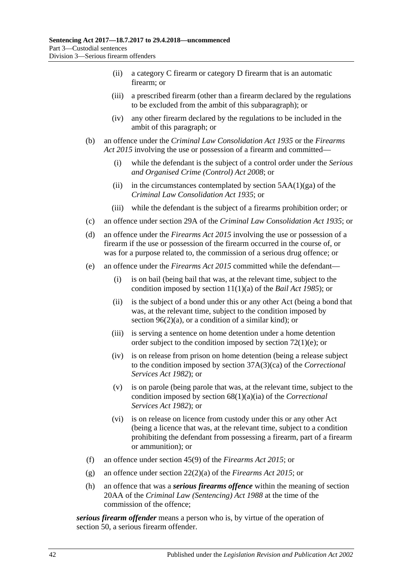- (ii) a category C firearm or category D firearm that is an automatic firearm; or
- (iii) a prescribed firearm (other than a firearm declared by the regulations to be excluded from the ambit of this subparagraph); or
- (iv) any other firearm declared by the regulations to be included in the ambit of this paragraph; or
- (b) an offence under the *[Criminal Law Consolidation Act](http://www.legislation.sa.gov.au/index.aspx?action=legref&type=act&legtitle=Criminal%20Law%20Consolidation%20Act%201935) 1935* or the *[Firearms](http://www.legislation.sa.gov.au/index.aspx?action=legref&type=act&legtitle=Firearms%20Act%202015)  Act [2015](http://www.legislation.sa.gov.au/index.aspx?action=legref&type=act&legtitle=Firearms%20Act%202015)* involving the use or possession of a firearm and committed—
	- (i) while the defendant is the subject of a control order under the *[Serious](http://www.legislation.sa.gov.au/index.aspx?action=legref&type=act&legtitle=Serious%20and%20Organised%20Crime%20(Control)%20Act%202008)  [and Organised Crime \(Control\) Act](http://www.legislation.sa.gov.au/index.aspx?action=legref&type=act&legtitle=Serious%20and%20Organised%20Crime%20(Control)%20Act%202008) 2008*; or
	- (ii) in the circumstances contemplated by section  $5AA(1)(ga)$  of the *[Criminal Law Consolidation Act](http://www.legislation.sa.gov.au/index.aspx?action=legref&type=act&legtitle=Criminal%20Law%20Consolidation%20Act%201935) 1935*; or
	- (iii) while the defendant is the subject of a firearms prohibition order; or
- (c) an offence under section 29A of the *[Criminal Law Consolidation Act](http://www.legislation.sa.gov.au/index.aspx?action=legref&type=act&legtitle=Criminal%20Law%20Consolidation%20Act%201935) 1935*; or
- (d) an offence under the *[Firearms Act](http://www.legislation.sa.gov.au/index.aspx?action=legref&type=act&legtitle=Firearms%20Act%202015) 2015* involving the use or possession of a firearm if the use or possession of the firearm occurred in the course of, or was for a purpose related to, the commission of a serious drug offence; or
- (e) an offence under the *[Firearms Act](http://www.legislation.sa.gov.au/index.aspx?action=legref&type=act&legtitle=Firearms%20Act%202015) 2015* committed while the defendant—
	- (i) is on bail (being bail that was, at the relevant time, subject to the condition imposed by section 11(1)(a) of the *[Bail Act](http://www.legislation.sa.gov.au/index.aspx?action=legref&type=act&legtitle=Bail%20Act%201985) 1985*); or
	- (ii) is the subject of a bond under this or any other Act (being a bond that was, at the relevant time, subject to the condition imposed by section  $96(2)(a)$ , or a condition of a similar kind); or
	- (iii) is serving a sentence on home detention under a home detention order subject to the condition imposed by section [72\(1\)\(e\);](#page-60-0) or
	- (iv) is on release from prison on home detention (being a release subject to the condition imposed by section 37A(3)(ca) of the *[Correctional](http://www.legislation.sa.gov.au/index.aspx?action=legref&type=act&legtitle=Correctional%20Services%20Act%201982)  [Services Act](http://www.legislation.sa.gov.au/index.aspx?action=legref&type=act&legtitle=Correctional%20Services%20Act%201982) 1982*); or
	- (v) is on parole (being parole that was, at the relevant time, subject to the condition imposed by section 68(1)(a)(ia) of the *[Correctional](http://www.legislation.sa.gov.au/index.aspx?action=legref&type=act&legtitle=Correctional%20Services%20Act%201982)  [Services Act](http://www.legislation.sa.gov.au/index.aspx?action=legref&type=act&legtitle=Correctional%20Services%20Act%201982) 1982*); or
	- (vi) is on release on licence from custody under this or any other Act (being a licence that was, at the relevant time, subject to a condition prohibiting the defendant from possessing a firearm, part of a firearm or ammunition); or
- (f) an offence under section 45(9) of the *[Firearms Act](http://www.legislation.sa.gov.au/index.aspx?action=legref&type=act&legtitle=Firearms%20Act%202015) 2015*; or
- (g) an offence under section 22(2)(a) of the *[Firearms Act](http://www.legislation.sa.gov.au/index.aspx?action=legref&type=act&legtitle=Firearms%20Act%202015) 2015*; or
- (h) an offence that was a *serious firearms offence* within the meaning of section 20AA of the *[Criminal Law \(Sentencing\) Act](http://www.legislation.sa.gov.au/index.aspx?action=legref&type=act&legtitle=Criminal%20Law%20(Sentencing)%20Act%201988) 1988* at the time of the commission of the offence;

*serious firearm offender* means a person who is, by virtue of the operation of [section](#page-42-0) 50, a serious firearm offender.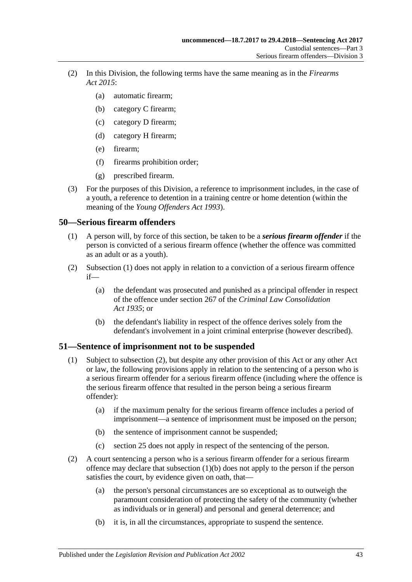- (2) In this Division, the following terms have the same meaning as in the *[Firearms](http://www.legislation.sa.gov.au/index.aspx?action=legref&type=act&legtitle=Firearms%20Act%202015)  Act [2015](http://www.legislation.sa.gov.au/index.aspx?action=legref&type=act&legtitle=Firearms%20Act%202015)*:
	- (a) automatic firearm;
	- (b) category C firearm;
	- (c) category D firearm;
	- (d) category H firearm;
	- (e) firearm;
	- (f) firearms prohibition order;
	- (g) prescribed firearm.
- (3) For the purposes of this Division, a reference to imprisonment includes, in the case of a youth, a reference to detention in a training centre or home detention (within the meaning of the *[Young Offenders Act](http://www.legislation.sa.gov.au/index.aspx?action=legref&type=act&legtitle=Young%20Offenders%20Act%201993) 1993*).

# <span id="page-42-1"></span><span id="page-42-0"></span>**50—Serious firearm offenders**

- (1) A person will, by force of this section, be taken to be a *serious firearm offender* if the person is convicted of a serious firearm offence (whether the offence was committed as an adult or as a youth).
- (2) [Subsection](#page-42-1) (1) does not apply in relation to a conviction of a serious firearm offence if—
	- (a) the defendant was prosecuted and punished as a principal offender in respect of the offence under section 267 of the *[Criminal Law Consolidation](http://www.legislation.sa.gov.au/index.aspx?action=legref&type=act&legtitle=Criminal%20Law%20Consolidation%20Act%201935)  Act [1935](http://www.legislation.sa.gov.au/index.aspx?action=legref&type=act&legtitle=Criminal%20Law%20Consolidation%20Act%201935)*; or
	- (b) the defendant's liability in respect of the offence derives solely from the defendant's involvement in a joint criminal enterprise (however described).

## **51—Sentence of imprisonment not to be suspended**

- (1) Subject to [subsection](#page-42-2) (2), but despite any other provision of this Act or any other Act or law, the following provisions apply in relation to the sentencing of a person who is a serious firearm offender for a serious firearm offence (including where the offence is the serious firearm offence that resulted in the person being a serious firearm offender):
	- (a) if the maximum penalty for the serious firearm offence includes a period of imprisonment—a sentence of imprisonment must be imposed on the person;
	- (b) the sentence of imprisonment cannot be suspended;
	- (c) [section](#page-19-0) 25 does not apply in respect of the sentencing of the person.
- <span id="page-42-3"></span><span id="page-42-2"></span>(2) A court sentencing a person who is a serious firearm offender for a serious firearm offence may declare that [subsection](#page-42-3) (1)(b) does not apply to the person if the person satisfies the court, by evidence given on oath, that—
	- (a) the person's personal circumstances are so exceptional as to outweigh the paramount consideration of protecting the safety of the community (whether as individuals or in general) and personal and general deterrence; and
	- (b) it is, in all the circumstances, appropriate to suspend the sentence.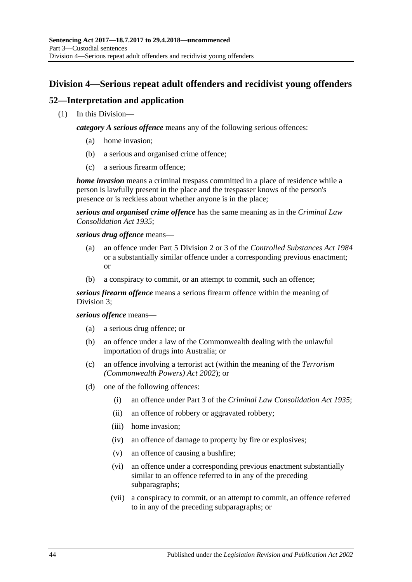# **Division 4—Serious repeat adult offenders and recidivist young offenders**

# **52—Interpretation and application**

(1) In this Division—

*category A serious offence* means any of the following serious offences:

- (a) home invasion;
- (b) a serious and organised crime offence;
- (c) a serious firearm offence;

*home invasion* means a criminal trespass committed in a place of residence while a person is lawfully present in the place and the trespasser knows of the person's presence or is reckless about whether anyone is in the place;

*serious and organised crime offence* has the same meaning as in the *[Criminal Law](http://www.legislation.sa.gov.au/index.aspx?action=legref&type=act&legtitle=Criminal%20Law%20Consolidation%20Act%201935)  [Consolidation Act](http://www.legislation.sa.gov.au/index.aspx?action=legref&type=act&legtitle=Criminal%20Law%20Consolidation%20Act%201935) 1935*;

*serious drug offence* means—

- (a) an offence under Part 5 Division 2 or 3 of the *[Controlled Substances Act](http://www.legislation.sa.gov.au/index.aspx?action=legref&type=act&legtitle=Controlled%20Substances%20Act%201984) 1984* or a substantially similar offence under a corresponding previous enactment; or
- (b) a conspiracy to commit, or an attempt to commit, such an offence;

*serious firearm offence* means a serious firearm offence within the meaning of [Division](#page-40-2) 3;

### *serious offence* means—

- (a) a serious drug offence; or
- (b) an offence under a law of the Commonwealth dealing with the unlawful importation of drugs into Australia; or
- (c) an offence involving a terrorist act (within the meaning of the *Terrorism (Commonwealth Powers) Act 2002*); or
- <span id="page-43-0"></span>(d) one of the following offences:
	- (i) an offence under Part 3 of the *[Criminal Law Consolidation Act](http://www.legislation.sa.gov.au/index.aspx?action=legref&type=act&legtitle=Criminal%20Law%20Consolidation%20Act%201935) 1935*;
	- (ii) an offence of robbery or aggravated robbery;
	- (iii) home invasion;
	- (iv) an offence of damage to property by fire or explosives;
	- (v) an offence of causing a bushfire;
	- (vi) an offence under a corresponding previous enactment substantially similar to an offence referred to in any of the preceding subparagraphs;
	- (vii) a conspiracy to commit, or an attempt to commit, an offence referred to in any of the preceding subparagraphs; or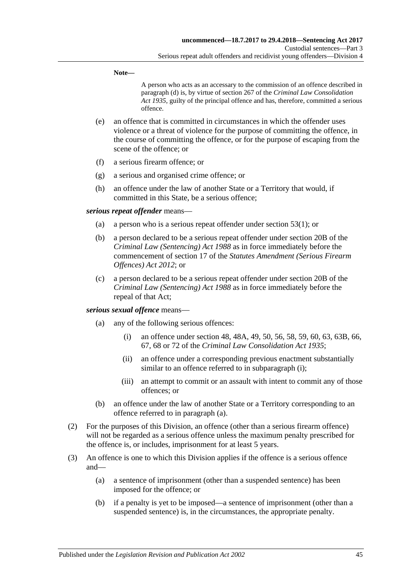#### **Note—**

A person who acts as an accessary to the commission of an offence described in [paragraph](#page-43-0) (d) is, by virtue of section 267 of the *[Criminal Law Consolidation](http://www.legislation.sa.gov.au/index.aspx?action=legref&type=act&legtitle=Criminal%20Law%20Consolidation%20Act%201935)  Act [1935](http://www.legislation.sa.gov.au/index.aspx?action=legref&type=act&legtitle=Criminal%20Law%20Consolidation%20Act%201935)*, guilty of the principal offence and has, therefore, committed a serious offence.

- (e) an offence that is committed in circumstances in which the offender uses violence or a threat of violence for the purpose of committing the offence, in the course of committing the offence, or for the purpose of escaping from the scene of the offence; or
- (f) a serious firearm offence; or
- (g) a serious and organised crime offence; or
- (h) an offence under the law of another State or a Territory that would, if committed in this State, be a serious offence;

#### *serious repeat offender* means—

- (a) a person who is a serious repeat offender under [section](#page-45-0) 53(1); or
- (b) a person declared to be a serious repeat offender under section 20B of the *[Criminal Law \(Sentencing\) Act](http://www.legislation.sa.gov.au/index.aspx?action=legref&type=act&legtitle=Criminal%20Law%20(Sentencing)%20Act%201988) 1988* as in force immediately before the commencement of section 17 of the *[Statutes Amendment \(Serious Firearm](http://www.legislation.sa.gov.au/index.aspx?action=legref&type=act&legtitle=Statutes%20Amendment%20(Serious%20Firearm%20Offences)%20Act%202012)  [Offences\) Act](http://www.legislation.sa.gov.au/index.aspx?action=legref&type=act&legtitle=Statutes%20Amendment%20(Serious%20Firearm%20Offences)%20Act%202012) 2012*; or
- (c) a person declared to be a serious repeat offender under section 20B of the *[Criminal Law \(Sentencing\) Act](http://www.legislation.sa.gov.au/index.aspx?action=legref&type=act&legtitle=Criminal%20Law%20(Sentencing)%20Act%201988) 1988* as in force immediately before the repeal of that Act;

### <span id="page-44-1"></span><span id="page-44-0"></span>*serious sexual offence* means—

- (a) any of the following serious offences:
	- (i) an offence under section 48, 48A, 49, 50, 56, 58, 59, 60, 63, 63B, 66, 67, 68 or 72 of the *[Criminal Law Consolidation Act](http://www.legislation.sa.gov.au/index.aspx?action=legref&type=act&legtitle=Criminal%20Law%20Consolidation%20Act%201935) 1935*;
	- (ii) an offence under a corresponding previous enactment substantially similar to an offence referred to in [subparagraph](#page-44-0) (i);
	- (iii) an attempt to commit or an assault with intent to commit any of those offences; or
- (b) an offence under the law of another State or a Territory corresponding to an offence referred to in [paragraph](#page-44-1) (a).
- (2) For the purposes of this Division, an offence (other than a serious firearm offence) will not be regarded as a serious offence unless the maximum penalty prescribed for the offence is, or includes, imprisonment for at least 5 years.
- (3) An offence is one to which this Division applies if the offence is a serious offence and—
	- (a) a sentence of imprisonment (other than a suspended sentence) has been imposed for the offence; or
	- (b) if a penalty is yet to be imposed—a sentence of imprisonment (other than a suspended sentence) is, in the circumstances, the appropriate penalty.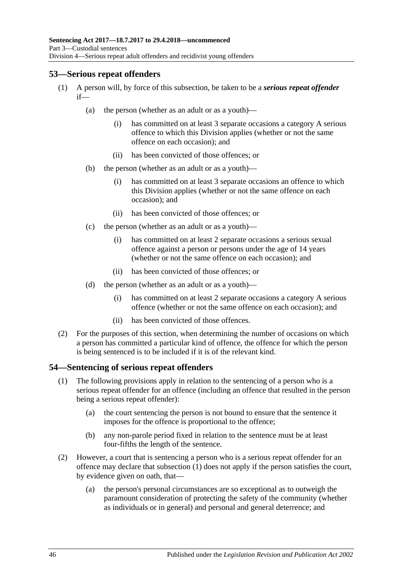# <span id="page-45-0"></span>**53—Serious repeat offenders**

- (1) A person will, by force of this subsection, be taken to be a *serious repeat offender* if—
	- (a) the person (whether as an adult or as a youth)—
		- (i) has committed on at least 3 separate occasions a category A serious offence to which this Division applies (whether or not the same offence on each occasion); and
		- (ii) has been convicted of those offences; or
	- (b) the person (whether as an adult or as a youth)—
		- (i) has committed on at least 3 separate occasions an offence to which this Division applies (whether or not the same offence on each occasion); and
		- (ii) has been convicted of those offences; or
	- (c) the person (whether as an adult or as a youth)—
		- (i) has committed on at least 2 separate occasions a serious sexual offence against a person or persons under the age of 14 years (whether or not the same offence on each occasion); and
		- (ii) has been convicted of those offences; or
	- (d) the person (whether as an adult or as a youth)—
		- (i) has committed on at least 2 separate occasions a category A serious offence (whether or not the same offence on each occasion); and
		- (ii) has been convicted of those offences.
- (2) For the purposes of this section, when determining the number of occasions on which a person has committed a particular kind of offence, the offence for which the person is being sentenced is to be included if it is of the relevant kind.

## <span id="page-45-1"></span>**54—Sentencing of serious repeat offenders**

- (1) The following provisions apply in relation to the sentencing of a person who is a serious repeat offender for an offence (including an offence that resulted in the person being a serious repeat offender):
	- (a) the court sentencing the person is not bound to ensure that the sentence it imposes for the offence is proportional to the offence;
	- (b) any non-parole period fixed in relation to the sentence must be at least four-fifths the length of the sentence.
- (2) However, a court that is sentencing a person who is a serious repeat offender for an offence may declare that [subsection](#page-45-1) (1) does not apply if the person satisfies the court, by evidence given on oath, that—
	- (a) the person's personal circumstances are so exceptional as to outweigh the paramount consideration of protecting the safety of the community (whether as individuals or in general) and personal and general deterrence; and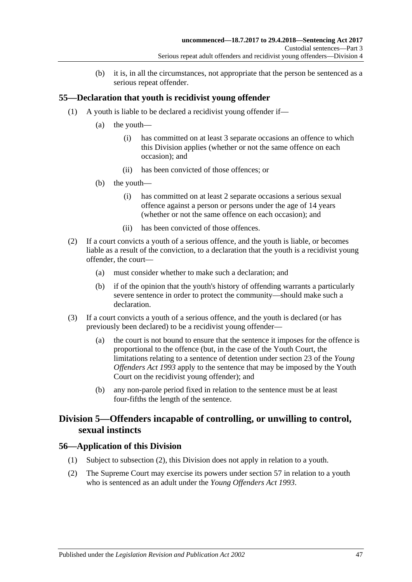(b) it is, in all the circumstances, not appropriate that the person be sentenced as a serious repeat offender.

# **55—Declaration that youth is recidivist young offender**

- (1) A youth is liable to be declared a recidivist young offender if—
	- (a) the youth—
		- (i) has committed on at least 3 separate occasions an offence to which this Division applies (whether or not the same offence on each occasion); and
		- (ii) has been convicted of those offences; or
	- (b) the youth—
		- (i) has committed on at least 2 separate occasions a serious sexual offence against a person or persons under the age of 14 years (whether or not the same offence on each occasion); and
		- (ii) has been convicted of those offences.
- (2) If a court convicts a youth of a serious offence, and the youth is liable, or becomes liable as a result of the conviction, to a declaration that the youth is a recidivist young offender, the court—
	- (a) must consider whether to make such a declaration; and
	- (b) if of the opinion that the youth's history of offending warrants a particularly severe sentence in order to protect the community—should make such a declaration.
- (3) If a court convicts a youth of a serious offence, and the youth is declared (or has previously been declared) to be a recidivist young offender—
	- (a) the court is not bound to ensure that the sentence it imposes for the offence is proportional to the offence (but, in the case of the Youth Court, the limitations relating to a sentence of detention under section 23 of the *[Young](http://www.legislation.sa.gov.au/index.aspx?action=legref&type=act&legtitle=Young%20Offenders%20Act%201993)  [Offenders Act](http://www.legislation.sa.gov.au/index.aspx?action=legref&type=act&legtitle=Young%20Offenders%20Act%201993) 1993* apply to the sentence that may be imposed by the Youth Court on the recidivist young offender); and
	- (b) any non-parole period fixed in relation to the sentence must be at least four-fifths the length of the sentence.

# **Division 5—Offenders incapable of controlling, or unwilling to control, sexual instincts**

## **56—Application of this Division**

- (1) Subject to [subsection](#page-46-0) (2), this Division does not apply in relation to a youth.
- <span id="page-46-0"></span>(2) The Supreme Court may exercise its powers under [section](#page-47-0) 57 in relation to a youth who is sentenced as an adult under the *[Young Offenders Act](http://www.legislation.sa.gov.au/index.aspx?action=legref&type=act&legtitle=Young%20Offenders%20Act%201993) 1993*.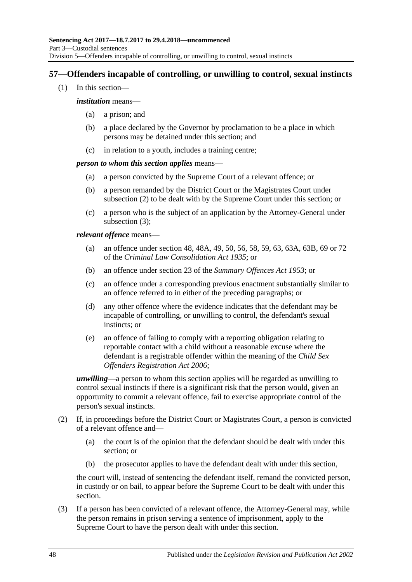# <span id="page-47-0"></span>**57—Offenders incapable of controlling, or unwilling to control, sexual instincts**

(1) In this section—

### *institution* means—

- (a) a prison; and
- (b) a place declared by the Governor by proclamation to be a place in which persons may be detained under this section; and
- (c) in relation to a youth, includes a training centre;

### *person to whom this section applies* means—

- (a) a person convicted by the Supreme Court of a relevant offence; or
- (b) a person remanded by the District Court or the Magistrates Court under [subsection](#page-47-1) (2) to be dealt with by the Supreme Court under this section; or
- (c) a person who is the subject of an application by the Attorney-General under [subsection](#page-47-2) (3);

*relevant offence* means—

- (a) an offence under section 48, 48A, 49, 50, 56, 58, 59, 63, 63A, 63B, 69 or 72 of the *[Criminal Law Consolidation Act](http://www.legislation.sa.gov.au/index.aspx?action=legref&type=act&legtitle=Criminal%20Law%20Consolidation%20Act%201935) 1935*; or
- (b) an offence under section 23 of the *[Summary Offences Act](http://www.legislation.sa.gov.au/index.aspx?action=legref&type=act&legtitle=Summary%20Offences%20Act%201953) 1953*; or
- (c) an offence under a corresponding previous enactment substantially similar to an offence referred to in either of the preceding paragraphs; or
- (d) any other offence where the evidence indicates that the defendant may be incapable of controlling, or unwilling to control, the defendant's sexual instincts; or
- (e) an offence of failing to comply with a reporting obligation relating to reportable contact with a child without a reasonable excuse where the defendant is a registrable offender within the meaning of the *[Child Sex](http://www.legislation.sa.gov.au/index.aspx?action=legref&type=act&legtitle=Child%20Sex%20Offenders%20Registration%20Act%202006)  [Offenders Registration Act](http://www.legislation.sa.gov.au/index.aspx?action=legref&type=act&legtitle=Child%20Sex%20Offenders%20Registration%20Act%202006) 2006*;

*unwilling*—a person to whom this section applies will be regarded as unwilling to control sexual instincts if there is a significant risk that the person would, given an opportunity to commit a relevant offence, fail to exercise appropriate control of the person's sexual instincts.

- <span id="page-47-1"></span>(2) If, in proceedings before the District Court or Magistrates Court, a person is convicted of a relevant offence and—
	- (a) the court is of the opinion that the defendant should be dealt with under this section; or
	- (b) the prosecutor applies to have the defendant dealt with under this section,

the court will, instead of sentencing the defendant itself, remand the convicted person, in custody or on bail, to appear before the Supreme Court to be dealt with under this section.

<span id="page-47-2"></span>(3) If a person has been convicted of a relevant offence, the Attorney-General may, while the person remains in prison serving a sentence of imprisonment, apply to the Supreme Court to have the person dealt with under this section.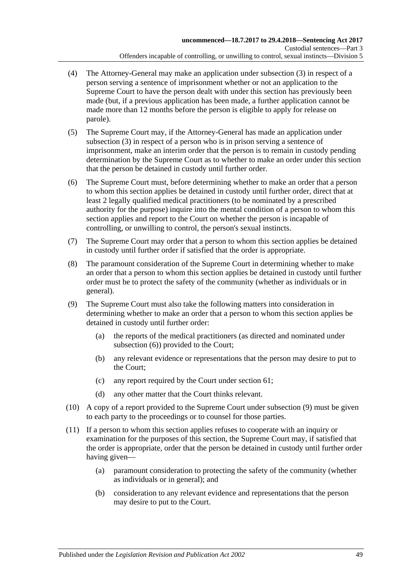- (4) The Attorney-General may make an application under [subsection](#page-47-2) (3) in respect of a person serving a sentence of imprisonment whether or not an application to the Supreme Court to have the person dealt with under this section has previously been made (but, if a previous application has been made, a further application cannot be made more than 12 months before the person is eligible to apply for release on parole).
- (5) The Supreme Court may, if the Attorney-General has made an application under [subsection](#page-47-2) (3) in respect of a person who is in prison serving a sentence of imprisonment, make an interim order that the person is to remain in custody pending determination by the Supreme Court as to whether to make an order under this section that the person be detained in custody until further order.
- <span id="page-48-0"></span>(6) The Supreme Court must, before determining whether to make an order that a person to whom this section applies be detained in custody until further order, direct that at least 2 legally qualified medical practitioners (to be nominated by a prescribed authority for the purpose) inquire into the mental condition of a person to whom this section applies and report to the Court on whether the person is incapable of controlling, or unwilling to control, the person's sexual instincts.
- (7) The Supreme Court may order that a person to whom this section applies be detained in custody until further order if satisfied that the order is appropriate.
- (8) The paramount consideration of the Supreme Court in determining whether to make an order that a person to whom this section applies be detained in custody until further order must be to protect the safety of the community (whether as individuals or in general).
- <span id="page-48-1"></span>(9) The Supreme Court must also take the following matters into consideration in determining whether to make an order that a person to whom this section applies be detained in custody until further order:
	- (a) the reports of the medical practitioners (as directed and nominated under [subsection](#page-48-0) (6)) provided to the Court;
	- (b) any relevant evidence or representations that the person may desire to put to the Court;
	- (c) any report required by the Court under [section](#page-53-0) 61;
	- (d) any other matter that the Court thinks relevant.
- (10) A copy of a report provided to the Supreme Court under [subsection](#page-48-1) (9) must be given to each party to the proceedings or to counsel for those parties.
- (11) If a person to whom this section applies refuses to cooperate with an inquiry or examination for the purposes of this section, the Supreme Court may, if satisfied that the order is appropriate, order that the person be detained in custody until further order having given—
	- (a) paramount consideration to protecting the safety of the community (whether as individuals or in general); and
	- (b) consideration to any relevant evidence and representations that the person may desire to put to the Court.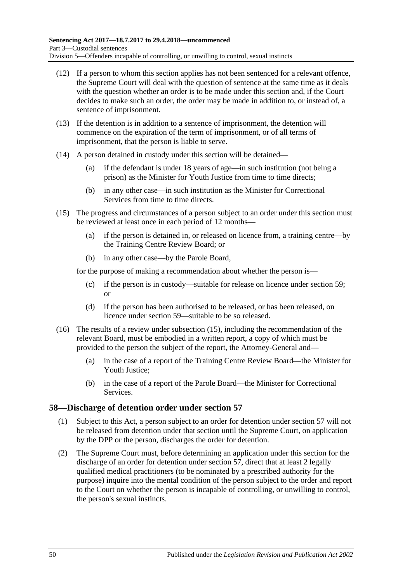- (12) If a person to whom this section applies has not been sentenced for a relevant offence, the Supreme Court will deal with the question of sentence at the same time as it deals with the question whether an order is to be made under this section and, if the Court decides to make such an order, the order may be made in addition to, or instead of, a sentence of imprisonment.
- (13) If the detention is in addition to a sentence of imprisonment, the detention will commence on the expiration of the term of imprisonment, or of all terms of imprisonment, that the person is liable to serve.
- (14) A person detained in custody under this section will be detained—
	- (a) if the defendant is under 18 years of age—in such institution (not being a prison) as the Minister for Youth Justice from time to time directs;
	- (b) in any other case—in such institution as the Minister for Correctional Services from time to time directs.
- <span id="page-49-0"></span>(15) The progress and circumstances of a person subject to an order under this section must be reviewed at least once in each period of 12 months—
	- (a) if the person is detained in, or released on licence from, a training centre—by the Training Centre Review Board; or
	- (b) in any other case—by the Parole Board,

for the purpose of making a recommendation about whether the person is—

- (c) if the person is in custody—suitable for release on licence under [section](#page-50-0) 59; or
- (d) if the person has been authorised to be released, or has been released, on licence under [section](#page-50-0) 59—suitable to be so released.
- (16) The results of a review under [subsection](#page-49-0) (15), including the recommendation of the relevant Board, must be embodied in a written report, a copy of which must be provided to the person the subject of the report, the Attorney-General and—
	- (a) in the case of a report of the Training Centre Review Board—the Minister for Youth Justice;
	- (b) in the case of a report of the Parole Board—the Minister for Correctional Services.

## **58—Discharge of detention order under [section](#page-47-0) 57**

- (1) Subject to this Act, a person subject to an order for detention under [section](#page-47-0) 57 will not be released from detention under that section until the Supreme Court, on application by the DPP or the person, discharges the order for detention.
- <span id="page-49-1"></span>(2) The Supreme Court must, before determining an application under this section for the discharge of an order for detention under [section](#page-47-0) 57, direct that at least 2 legally qualified medical practitioners (to be nominated by a prescribed authority for the purpose) inquire into the mental condition of the person subject to the order and report to the Court on whether the person is incapable of controlling, or unwilling to control, the person's sexual instincts.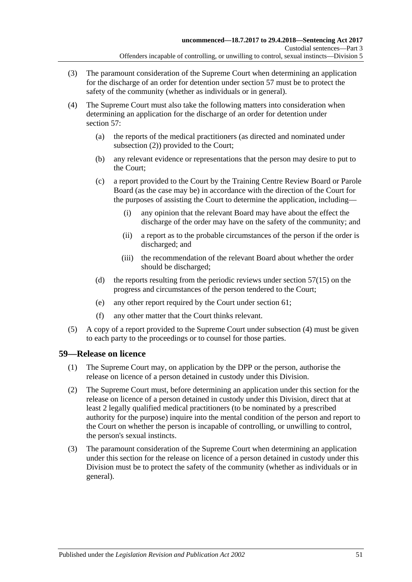- (3) The paramount consideration of the Supreme Court when determining an application for the discharge of an order for detention under [section](#page-47-0) 57 must be to protect the safety of the community (whether as individuals or in general).
- <span id="page-50-1"></span>(4) The Supreme Court must also take the following matters into consideration when determining an application for the discharge of an order for detention under [section](#page-47-0) 57:
	- (a) the reports of the medical practitioners (as directed and nominated under [subsection](#page-49-1) (2)) provided to the Court;
	- (b) any relevant evidence or representations that the person may desire to put to the Court;
	- (c) a report provided to the Court by the Training Centre Review Board or Parole Board (as the case may be) in accordance with the direction of the Court for the purposes of assisting the Court to determine the application, including—
		- (i) any opinion that the relevant Board may have about the effect the discharge of the order may have on the safety of the community; and
		- (ii) a report as to the probable circumstances of the person if the order is discharged; and
		- (iii) the recommendation of the relevant Board about whether the order should be discharged;
	- (d) the reports resulting from the periodic reviews under [section](#page-49-0) 57(15) on the progress and circumstances of the person tendered to the Court;
	- (e) any other report required by the Court under [section](#page-53-0) 61;
	- (f) any other matter that the Court thinks relevant.
- (5) A copy of a report provided to the Supreme Court under [subsection](#page-50-1) (4) must be given to each party to the proceedings or to counsel for those parties.

## <span id="page-50-3"></span><span id="page-50-0"></span>**59—Release on licence**

- (1) The Supreme Court may, on application by the DPP or the person, authorise the release on licence of a person detained in custody under this Division.
- <span id="page-50-2"></span>(2) The Supreme Court must, before determining an application under this section for the release on licence of a person detained in custody under this Division, direct that at least 2 legally qualified medical practitioners (to be nominated by a prescribed authority for the purpose) inquire into the mental condition of the person and report to the Court on whether the person is incapable of controlling, or unwilling to control, the person's sexual instincts.
- (3) The paramount consideration of the Supreme Court when determining an application under this section for the release on licence of a person detained in custody under this Division must be to protect the safety of the community (whether as individuals or in general).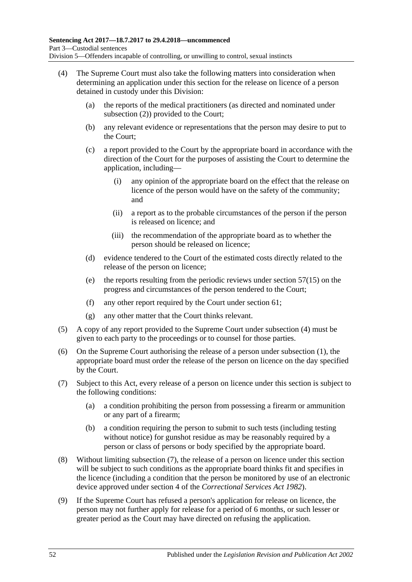- <span id="page-51-0"></span>(4) The Supreme Court must also take the following matters into consideration when determining an application under this section for the release on licence of a person detained in custody under this Division:
	- (a) the reports of the medical practitioners (as directed and nominated under [subsection](#page-50-2) (2)) provided to the Court;
	- (b) any relevant evidence or representations that the person may desire to put to the Court;
	- (c) a report provided to the Court by the appropriate board in accordance with the direction of the Court for the purposes of assisting the Court to determine the application, including—
		- (i) any opinion of the appropriate board on the effect that the release on licence of the person would have on the safety of the community; and
		- (ii) a report as to the probable circumstances of the person if the person is released on licence; and
		- (iii) the recommendation of the appropriate board as to whether the person should be released on licence;
	- (d) evidence tendered to the Court of the estimated costs directly related to the release of the person on licence;
	- (e) the reports resulting from the periodic reviews under [section](#page-49-0) 57(15) on the progress and circumstances of the person tendered to the Court;
	- (f) any other report required by the Court under [section](#page-53-0) 61;
	- (g) any other matter that the Court thinks relevant.
- (5) A copy of any report provided to the Supreme Court under [subsection](#page-51-0) (4) must be given to each party to the proceedings or to counsel for those parties.
- (6) On the Supreme Court authorising the release of a person under [subsection](#page-50-3) (1), the appropriate board must order the release of the person on licence on the day specified by the Court.
- <span id="page-51-2"></span><span id="page-51-1"></span>(7) Subject to this Act, every release of a person on licence under this section is subject to the following conditions:
	- (a) a condition prohibiting the person from possessing a firearm or ammunition or any part of a firearm;
	- (b) a condition requiring the person to submit to such tests (including testing without notice) for gunshot residue as may be reasonably required by a person or class of persons or body specified by the appropriate board.
- (8) Without limiting [subsection](#page-51-1) (7), the release of a person on licence under this section will be subject to such conditions as the appropriate board thinks fit and specifies in the licence (including a condition that the person be monitored by use of an electronic device approved under section 4 of the *[Correctional Services Act](http://www.legislation.sa.gov.au/index.aspx?action=legref&type=act&legtitle=Correctional%20Services%20Act%201982) 1982*).
- (9) If the Supreme Court has refused a person's application for release on licence, the person may not further apply for release for a period of 6 months, or such lesser or greater period as the Court may have directed on refusing the application.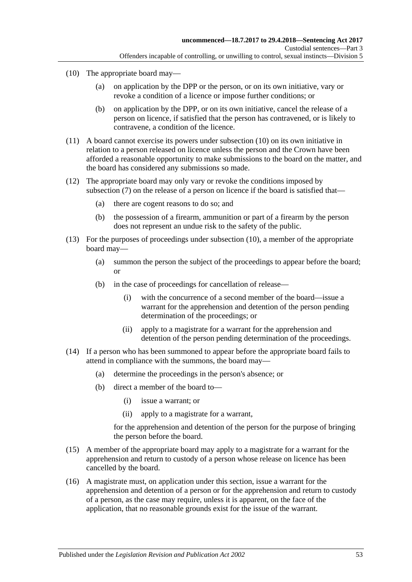- <span id="page-52-0"></span>(10) The appropriate board may—
	- (a) on application by the DPP or the person, or on its own initiative, vary or revoke a condition of a licence or impose further conditions; or
	- (b) on application by the DPP, or on its own initiative, cancel the release of a person on licence, if satisfied that the person has contravened, or is likely to contravene, a condition of the licence.
- (11) A board cannot exercise its powers under [subsection](#page-52-0) (10) on its own initiative in relation to a person released on licence unless the person and the Crown have been afforded a reasonable opportunity to make submissions to the board on the matter, and the board has considered any submissions so made.
- (12) The appropriate board may only vary or revoke the conditions imposed by [subsection](#page-51-1) (7) on the release of a person on licence if the board is satisfied that—
	- (a) there are cogent reasons to do so; and
	- (b) the possession of a firearm, ammunition or part of a firearm by the person does not represent an undue risk to the safety of the public.
- (13) For the purposes of proceedings under [subsection](#page-52-0) (10), a member of the appropriate board may—
	- (a) summon the person the subject of the proceedings to appear before the board; or
	- (b) in the case of proceedings for cancellation of release—
		- (i) with the concurrence of a second member of the board—issue a warrant for the apprehension and detention of the person pending determination of the proceedings; or
		- (ii) apply to a magistrate for a warrant for the apprehension and detention of the person pending determination of the proceedings.
- (14) If a person who has been summoned to appear before the appropriate board fails to attend in compliance with the summons, the board may—
	- (a) determine the proceedings in the person's absence; or
	- (b) direct a member of the board to—
		- (i) issue a warrant; or
		- (ii) apply to a magistrate for a warrant,

for the apprehension and detention of the person for the purpose of bringing the person before the board.

- (15) A member of the appropriate board may apply to a magistrate for a warrant for the apprehension and return to custody of a person whose release on licence has been cancelled by the board.
- (16) A magistrate must, on application under this section, issue a warrant for the apprehension and detention of a person or for the apprehension and return to custody of a person, as the case may require, unless it is apparent, on the face of the application, that no reasonable grounds exist for the issue of the warrant.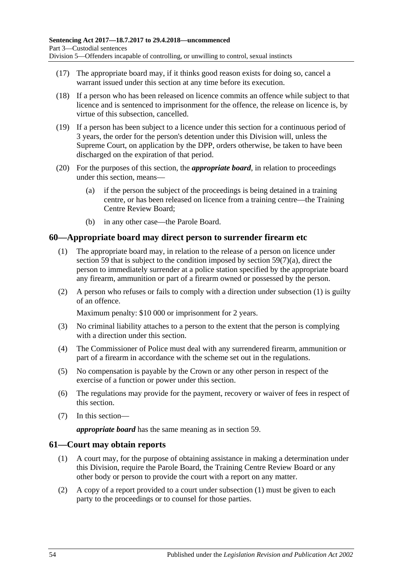- (17) The appropriate board may, if it thinks good reason exists for doing so, cancel a warrant issued under this section at any time before its execution.
- (18) If a person who has been released on licence commits an offence while subject to that licence and is sentenced to imprisonment for the offence, the release on licence is, by virtue of this subsection, cancelled.
- <span id="page-53-3"></span>(19) If a person has been subject to a licence under this section for a continuous period of 3 years, the order for the person's detention under this Division will, unless the Supreme Court, on application by the DPP, orders otherwise, be taken to have been discharged on the expiration of that period.
- (20) For the purposes of this section, the *appropriate board*, in relation to proceedings under this section, means—
	- (a) if the person the subject of the proceedings is being detained in a training centre, or has been released on licence from a training centre—the Training Centre Review Board;
	- (b) in any other case—the Parole Board.

## <span id="page-53-1"></span>**60—Appropriate board may direct person to surrender firearm etc**

- (1) The appropriate board may, in relation to the release of a person on licence under [section](#page-50-0) 59 that is subject to the condition imposed by section [59\(7\)\(a\),](#page-51-2) direct the person to immediately surrender at a police station specified by the appropriate board any firearm, ammunition or part of a firearm owned or possessed by the person.
- (2) A person who refuses or fails to comply with a direction under [subsection](#page-53-1) (1) is guilty of an offence.

Maximum penalty: \$10 000 or imprisonment for 2 years.

- (3) No criminal liability attaches to a person to the extent that the person is complying with a direction under this section.
- (4) The Commissioner of Police must deal with any surrendered firearm, ammunition or part of a firearm in accordance with the scheme set out in the regulations.
- (5) No compensation is payable by the Crown or any other person in respect of the exercise of a function or power under this section.
- (6) The regulations may provide for the payment, recovery or waiver of fees in respect of this section.
- (7) In this section—

*appropriate board* has the same meaning as in [section](#page-50-0) 59.

### <span id="page-53-2"></span><span id="page-53-0"></span>**61—Court may obtain reports**

- (1) A court may, for the purpose of obtaining assistance in making a determination under this Division, require the Parole Board, the Training Centre Review Board or any other body or person to provide the court with a report on any matter.
- (2) A copy of a report provided to a court under [subsection](#page-53-2) (1) must be given to each party to the proceedings or to counsel for those parties.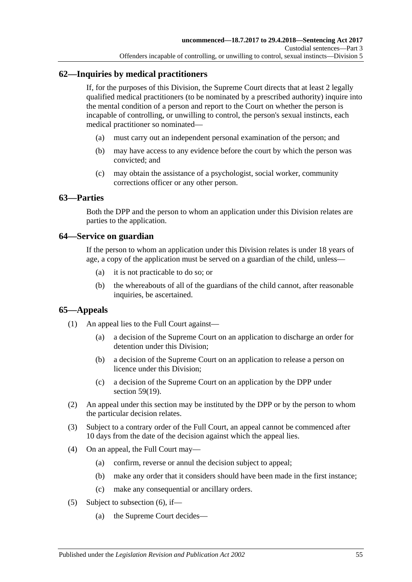# **62—Inquiries by medical practitioners**

If, for the purposes of this Division, the Supreme Court directs that at least 2 legally qualified medical practitioners (to be nominated by a prescribed authority) inquire into the mental condition of a person and report to the Court on whether the person is incapable of controlling, or unwilling to control, the person's sexual instincts, each medical practitioner so nominated—

- (a) must carry out an independent personal examination of the person; and
- (b) may have access to any evidence before the court by which the person was convicted; and
- (c) may obtain the assistance of a psychologist, social worker, community corrections officer or any other person.

### **63—Parties**

Both the DPP and the person to whom an application under this Division relates are parties to the application.

### **64—Service on guardian**

If the person to whom an application under this Division relates is under 18 years of age, a copy of the application must be served on a guardian of the child, unless—

- (a) it is not practicable to do so; or
- (b) the whereabouts of all of the guardians of the child cannot, after reasonable inquiries, be ascertained.

## **65—Appeals**

- (1) An appeal lies to the Full Court against—
	- (a) a decision of the Supreme Court on an application to discharge an order for detention under this Division;
	- (b) a decision of the Supreme Court on an application to release a person on licence under this Division;
	- (c) a decision of the Supreme Court on an application by the DPP under section [59\(19\).](#page-53-3)
- (2) An appeal under this section may be instituted by the DPP or by the person to whom the particular decision relates.
- (3) Subject to a contrary order of the Full Court, an appeal cannot be commenced after 10 days from the date of the decision against which the appeal lies.
- (4) On an appeal, the Full Court may—
	- (a) confirm, reverse or annul the decision subject to appeal;
	- (b) make any order that it considers should have been made in the first instance;
	- (c) make any consequential or ancillary orders.
- <span id="page-54-0"></span>(5) Subject to [subsection](#page-55-0) (6), if—
	- (a) the Supreme Court decides—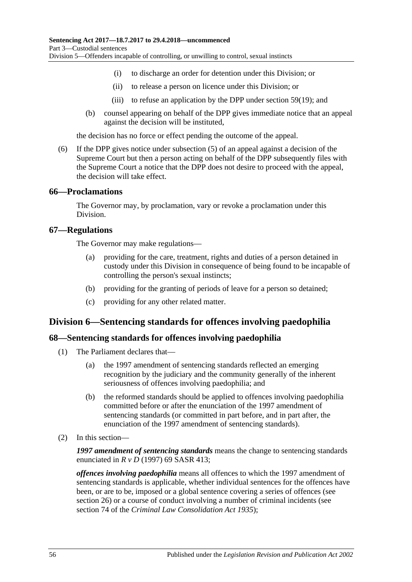- (i) to discharge an order for detention under this Division; or
- (ii) to release a person on licence under this Division; or
- (iii) to refuse an application by the DPP under [section](#page-53-3) 59(19); and
- (b) counsel appearing on behalf of the DPP gives immediate notice that an appeal against the decision will be instituted,

the decision has no force or effect pending the outcome of the appeal.

<span id="page-55-0"></span>(6) If the DPP gives notice under [subsection](#page-54-0) (5) of an appeal against a decision of the Supreme Court but then a person acting on behalf of the DPP subsequently files with the Supreme Court a notice that the DPP does not desire to proceed with the appeal, the decision will take effect.

### **66—Proclamations**

The Governor may, by proclamation, vary or revoke a proclamation under this Division.

### **67—Regulations**

The Governor may make regulations—

- (a) providing for the care, treatment, rights and duties of a person detained in custody under this Division in consequence of being found to be incapable of controlling the person's sexual instincts;
- (b) providing for the granting of periods of leave for a person so detained;
- (c) providing for any other related matter.

## **Division 6—Sentencing standards for offences involving paedophilia**

### **68—Sentencing standards for offences involving paedophilia**

- (1) The Parliament declares that—
	- (a) the 1997 amendment of sentencing standards reflected an emerging recognition by the judiciary and the community generally of the inherent seriousness of offences involving paedophilia; and
	- (b) the reformed standards should be applied to offences involving paedophilia committed before or after the enunciation of the 1997 amendment of sentencing standards (or committed in part before, and in part after, the enunciation of the 1997 amendment of sentencing standards).
- (2) In this section—

*1997 amendment of sentencing standards* means the change to sentencing standards enunciated in *R v D* (1997) 69 SASR 413;

*offences involving paedophilia* means all offences to which the 1997 amendment of sentencing standards is applicable, whether individual sentences for the offences have been, or are to be, imposed or a global sentence covering a series of offences (see [section](#page-20-0) 26) or a course of conduct involving a number of criminal incidents (see section 74 of the *[Criminal Law Consolidation Act](http://www.legislation.sa.gov.au/index.aspx?action=legref&type=act&legtitle=Criminal%20Law%20Consolidation%20Act%201935) 1935*);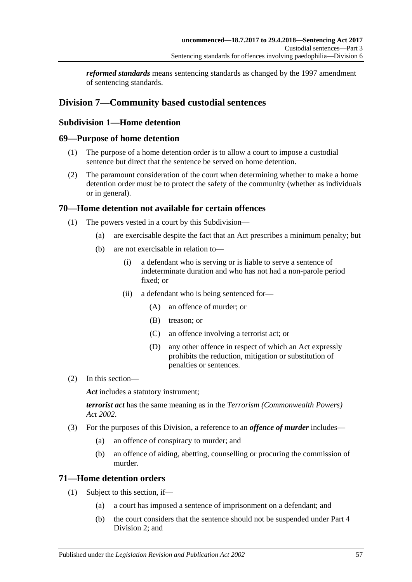*reformed standards* means sentencing standards as changed by the 1997 amendment of sentencing standards.

# **Division 7—Community based custodial sentences**

# **Subdivision 1—Home detention**

## **69—Purpose of home detention**

- (1) The purpose of a home detention order is to allow a court to impose a custodial sentence but direct that the sentence be served on home detention.
- (2) The paramount consideration of the court when determining whether to make a home detention order must be to protect the safety of the community (whether as individuals or in general).

## **70—Home detention not available for certain offences**

- (1) The powers vested in a court by this Subdivision—
	- (a) are exercisable despite the fact that an Act prescribes a minimum penalty; but
	- (b) are not exercisable in relation to—
		- (i) a defendant who is serving or is liable to serve a sentence of indeterminate duration and who has not had a non-parole period fixed; or
		- (ii) a defendant who is being sentenced for—
			- (A) an offence of murder; or
			- (B) treason; or
			- (C) an offence involving a terrorist act; or
			- (D) any other offence in respect of which an Act expressly prohibits the reduction, mitigation or substitution of penalties or sentences.
- (2) In this section—

Act includes a statutory instrument;

*terrorist act* has the same meaning as in the *[Terrorism \(Commonwealth Powers\)](http://www.legislation.sa.gov.au/index.aspx?action=legref&type=act&legtitle=Terrorism%20(Commonwealth%20Powers)%20Act%202002)  Act [2002](http://www.legislation.sa.gov.au/index.aspx?action=legref&type=act&legtitle=Terrorism%20(Commonwealth%20Powers)%20Act%202002)*.

- (3) For the purposes of this Division, a reference to an *offence of murder* includes—
	- (a) an offence of conspiracy to murder; and
	- (b) an offence of aiding, abetting, counselling or procuring the commission of murder.

## **71—Home detention orders**

- (1) Subject to this section, if—
	- (a) a court has imposed a sentence of imprisonment on a defendant; and
	- (b) the court considers that the sentence should not be suspended under [Part](#page-73-1) 4 [Division](#page-73-1) 2; and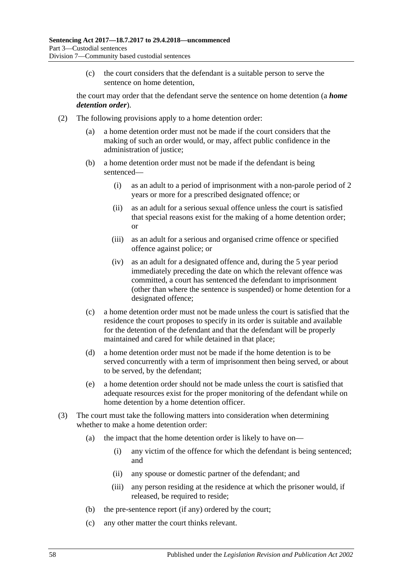(c) the court considers that the defendant is a suitable person to serve the sentence on home detention,

the court may order that the defendant serve the sentence on home detention (a *home detention order*).

- <span id="page-57-0"></span>(2) The following provisions apply to a home detention order:
	- (a) a home detention order must not be made if the court considers that the making of such an order would, or may, affect public confidence in the administration of justice;
	- (b) a home detention order must not be made if the defendant is being sentenced—
		- (i) as an adult to a period of imprisonment with a non-parole period of 2 years or more for a prescribed designated offence; or
		- (ii) as an adult for a serious sexual offence unless the court is satisfied that special reasons exist for the making of a home detention order; or
		- (iii) as an adult for a serious and organised crime offence or specified offence against police; or
		- (iv) as an adult for a designated offence and, during the 5 year period immediately preceding the date on which the relevant offence was committed, a court has sentenced the defendant to imprisonment (other than where the sentence is suspended) or home detention for a designated offence;
	- (c) a home detention order must not be made unless the court is satisfied that the residence the court proposes to specify in its order is suitable and available for the detention of the defendant and that the defendant will be properly maintained and cared for while detained in that place;
	- (d) a home detention order must not be made if the home detention is to be served concurrently with a term of imprisonment then being served, or about to be served, by the defendant;
	- (e) a home detention order should not be made unless the court is satisfied that adequate resources exist for the proper monitoring of the defendant while on home detention by a home detention officer.
- (3) The court must take the following matters into consideration when determining whether to make a home detention order:
	- (a) the impact that the home detention order is likely to have on—
		- (i) any victim of the offence for which the defendant is being sentenced; and
		- (ii) any spouse or domestic partner of the defendant; and
		- (iii) any person residing at the residence at which the prisoner would, if released, be required to reside;
	- (b) the pre-sentence report (if any) ordered by the court;
	- (c) any other matter the court thinks relevant.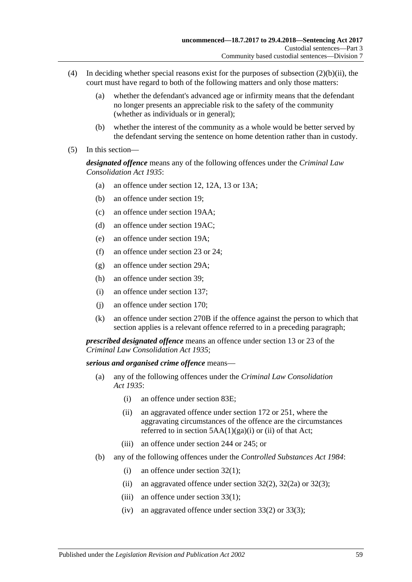- (4) In deciding whether special reasons exist for the purposes of [subsection](#page-57-0) (2)(b)(ii), the court must have regard to both of the following matters and only those matters:
	- (a) whether the defendant's advanced age or infirmity means that the defendant no longer presents an appreciable risk to the safety of the community (whether as individuals or in general);
	- (b) whether the interest of the community as a whole would be better served by the defendant serving the sentence on home detention rather than in custody.
- (5) In this section—

*designated offence* means any of the following offences under the *[Criminal Law](http://www.legislation.sa.gov.au/index.aspx?action=legref&type=act&legtitle=Criminal%20Law%20Consolidation%20Act%201935)  [Consolidation Act](http://www.legislation.sa.gov.au/index.aspx?action=legref&type=act&legtitle=Criminal%20Law%20Consolidation%20Act%201935) 1935*:

- (a) an offence under section 12, 12A, 13 or 13A;
- (b) an offence under section 19;
- (c) an offence under section 19AA;
- (d) an offence under section 19AC;
- (e) an offence under section 19A;
- (f) an offence under section 23 or 24;
- (g) an offence under section 29A;
- (h) an offence under section 39;
- (i) an offence under section 137;
- (j) an offence under section 170;
- (k) an offence under section 270B if the offence against the person to which that section applies is a relevant offence referred to in a preceding paragraph;

*prescribed designated offence* means an offence under section 13 or 23 of the *[Criminal Law Consolidation Act](http://www.legislation.sa.gov.au/index.aspx?action=legref&type=act&legtitle=Criminal%20Law%20Consolidation%20Act%201935) 1935*;

### *serious and organised crime offence* means—

- (a) any of the following offences under the *[Criminal Law Consolidation](http://www.legislation.sa.gov.au/index.aspx?action=legref&type=act&legtitle=Criminal%20Law%20Consolidation%20Act%201935)  Act [1935](http://www.legislation.sa.gov.au/index.aspx?action=legref&type=act&legtitle=Criminal%20Law%20Consolidation%20Act%201935)*:
	- (i) an offence under section 83E;
	- (ii) an aggravated offence under section 172 or 251, where the aggravating circumstances of the offence are the circumstances referred to in section  $5AA(1)(ga)(i)$  or (ii) of that Act;
	- (iii) an offence under section 244 or 245; or
- (b) any of the following offences under the *[Controlled Substances Act](http://www.legislation.sa.gov.au/index.aspx?action=legref&type=act&legtitle=Controlled%20Substances%20Act%201984) 1984*:
	- (i) an offence under section  $32(1)$ ;
	- (ii) an aggravated offence under section  $32(2)$ ,  $32(2a)$  or  $32(3)$ ;
	- (iii) an offence under section 33(1);
	- (iv) an aggravated offence under section 33(2) or 33(3);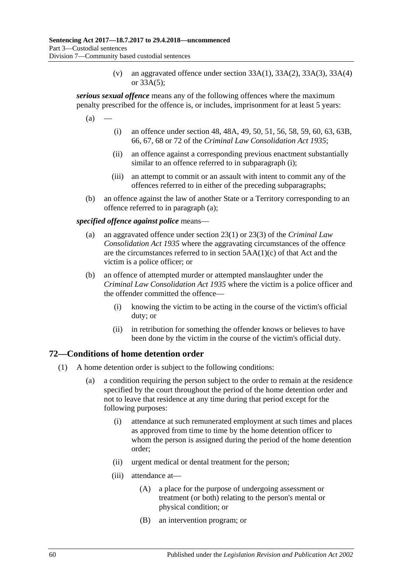(v) an aggravated offence under section  $33A(1)$ ,  $33A(2)$ ,  $33A(3)$ ,  $33A(4)$ or 33A(5);

<span id="page-59-1"></span>*serious sexual offence* means any of the following offences where the maximum penalty prescribed for the offence is, or includes, imprisonment for at least 5 years:

<span id="page-59-0"></span> $(a)$ 

- (i) an offence under section 48, 48A, 49, 50, 51, 56, 58, 59, 60, 63, 63B, 66, 67, 68 or 72 of the *[Criminal Law Consolidation Act](http://www.legislation.sa.gov.au/index.aspx?action=legref&type=act&legtitle=Criminal%20Law%20Consolidation%20Act%201935) 1935*;
- (ii) an offence against a corresponding previous enactment substantially similar to an offence referred to in [subparagraph](#page-59-0) (i);
- (iii) an attempt to commit or an assault with intent to commit any of the offences referred to in either of the preceding subparagraphs;
- (b) an offence against the law of another State or a Territory corresponding to an offence referred to in [paragraph](#page-59-1) (a);

*specified offence against police* means—

- (a) an aggravated offence under section 23(1) or 23(3) of the *[Criminal Law](http://www.legislation.sa.gov.au/index.aspx?action=legref&type=act&legtitle=Criminal%20Law%20Consolidation%20Act%201935)  [Consolidation Act](http://www.legislation.sa.gov.au/index.aspx?action=legref&type=act&legtitle=Criminal%20Law%20Consolidation%20Act%201935) 1935* where the aggravating circumstances of the offence are the circumstances referred to in section 5AA(1)(c) of that Act and the victim is a police officer; or
- (b) an offence of attempted murder or attempted manslaughter under the *[Criminal Law Consolidation Act](http://www.legislation.sa.gov.au/index.aspx?action=legref&type=act&legtitle=Criminal%20Law%20Consolidation%20Act%201935) 1935* where the victim is a police officer and the offender committed the offence—
	- (i) knowing the victim to be acting in the course of the victim's official duty; or
	- (ii) in retribution for something the offender knows or believes to have been done by the victim in the course of the victim's official duty.

## **72—Conditions of home detention order**

- (1) A home detention order is subject to the following conditions:
	- (a) a condition requiring the person subject to the order to remain at the residence specified by the court throughout the period of the home detention order and not to leave that residence at any time during that period except for the following purposes:
		- (i) attendance at such remunerated employment at such times and places as approved from time to time by the home detention officer to whom the person is assigned during the period of the home detention order;
		- (ii) urgent medical or dental treatment for the person;
		- (iii) attendance at—
			- (A) a place for the purpose of undergoing assessment or treatment (or both) relating to the person's mental or physical condition; or
			- (B) an intervention program; or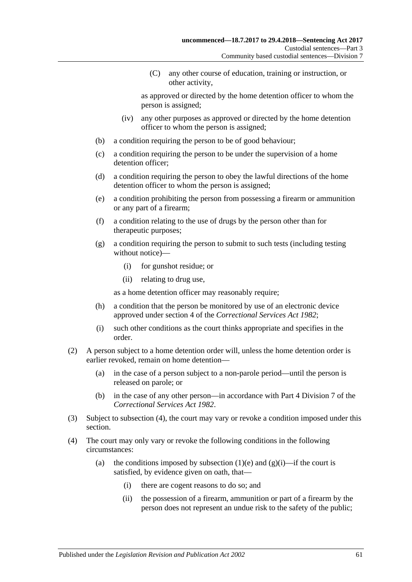(C) any other course of education, training or instruction, or other activity,

as approved or directed by the home detention officer to whom the person is assigned;

- (iv) any other purposes as approved or directed by the home detention officer to whom the person is assigned;
- (b) a condition requiring the person to be of good behaviour;
- (c) a condition requiring the person to be under the supervision of a home detention officer;
- (d) a condition requiring the person to obey the lawful directions of the home detention officer to whom the person is assigned;
- <span id="page-60-0"></span>(e) a condition prohibiting the person from possessing a firearm or ammunition or any part of a firearm;
- (f) a condition relating to the use of drugs by the person other than for therapeutic purposes;
- <span id="page-60-2"></span>(g) a condition requiring the person to submit to such tests (including testing without notice)—
	- (i) for gunshot residue; or
	- (ii) relating to drug use,

as a home detention officer may reasonably require;

- <span id="page-60-3"></span>(h) a condition that the person be monitored by use of an electronic device approved under section 4 of the *[Correctional Services Act](http://www.legislation.sa.gov.au/index.aspx?action=legref&type=act&legtitle=Correctional%20Services%20Act%201982) 1982*;
- (i) such other conditions as the court thinks appropriate and specifies in the order.
- (2) A person subject to a home detention order will, unless the home detention order is earlier revoked, remain on home detention—
	- (a) in the case of a person subject to a non-parole period—until the person is released on parole; or
	- (b) in the case of any other person—in accordance with Part 4 Division 7 of the *[Correctional Services Act](http://www.legislation.sa.gov.au/index.aspx?action=legref&type=act&legtitle=Correctional%20Services%20Act%201982) 1982*.
- (3) Subject to [subsection](#page-60-1) (4), the court may vary or revoke a condition imposed under this section.
- <span id="page-60-1"></span>(4) The court may only vary or revoke the following conditions in the following circumstances:
	- (a) the conditions imposed by [subsection](#page-60-0) (1)(e) and [\(g\)\(i\)—](#page-60-2)if the court is satisfied, by evidence given on oath, that—
		- (i) there are cogent reasons to do so; and
		- (ii) the possession of a firearm, ammunition or part of a firearm by the person does not represent an undue risk to the safety of the public;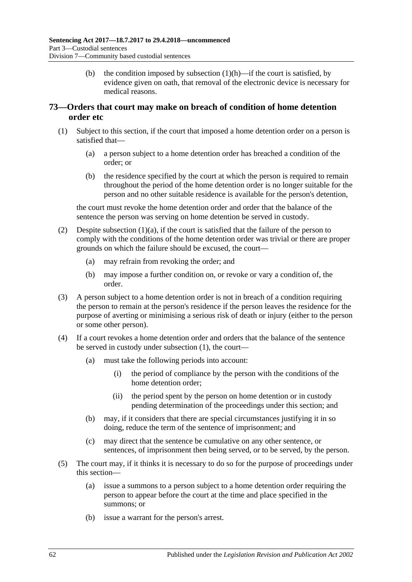(b) the condition imposed by [subsection](#page-60-3)  $(1)(h)$ —if the court is satisfied, by evidence given on oath, that removal of the electronic device is necessary for medical reasons.

# <span id="page-61-2"></span>**73—Orders that court may make on breach of condition of home detention order etc**

- <span id="page-61-1"></span><span id="page-61-0"></span>(1) Subject to this section, if the court that imposed a home detention order on a person is satisfied that—
	- (a) a person subject to a home detention order has breached a condition of the order; or
	- (b) the residence specified by the court at which the person is required to remain throughout the period of the home detention order is no longer suitable for the person and no other suitable residence is available for the person's detention,

the court must revoke the home detention order and order that the balance of the sentence the person was serving on home detention be served in custody.

- (2) Despite [subsection](#page-61-0) (1)(a), if the court is satisfied that the failure of the person to comply with the conditions of the home detention order was trivial or there are proper grounds on which the failure should be excused, the court—
	- (a) may refrain from revoking the order; and
	- (b) may impose a further condition on, or revoke or vary a condition of, the order.
- (3) A person subject to a home detention order is not in breach of a condition requiring the person to remain at the person's residence if the person leaves the residence for the purpose of averting or minimising a serious risk of death or injury (either to the person or some other person).
- (4) If a court revokes a home detention order and orders that the balance of the sentence be served in custody under [subsection](#page-61-1) (1), the court—
	- (a) must take the following periods into account:
		- (i) the period of compliance by the person with the conditions of the home detention order;
		- (ii) the period spent by the person on home detention or in custody pending determination of the proceedings under this section; and
	- (b) may, if it considers that there are special circumstances justifying it in so doing, reduce the term of the sentence of imprisonment; and
	- (c) may direct that the sentence be cumulative on any other sentence, or sentences, of imprisonment then being served, or to be served, by the person.
- (5) The court may, if it thinks it is necessary to do so for the purpose of proceedings under this section—
	- (a) issue a summons to a person subject to a home detention order requiring the person to appear before the court at the time and place specified in the summons; or
	- (b) issue a warrant for the person's arrest.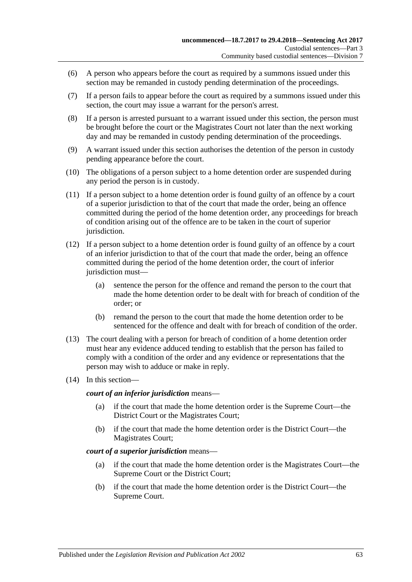- (6) A person who appears before the court as required by a summons issued under this section may be remanded in custody pending determination of the proceedings.
- (7) If a person fails to appear before the court as required by a summons issued under this section, the court may issue a warrant for the person's arrest.
- <span id="page-62-0"></span>(8) If a person is arrested pursuant to a warrant issued under this section, the person must be brought before the court or the Magistrates Court not later than the next working day and may be remanded in custody pending determination of the proceedings.
- (9) A warrant issued under this section authorises the detention of the person in custody pending appearance before the court.
- <span id="page-62-1"></span>(10) The obligations of a person subject to a home detention order are suspended during any period the person is in custody.
- (11) If a person subject to a home detention order is found guilty of an offence by a court of a superior jurisdiction to that of the court that made the order, being an offence committed during the period of the home detention order, any proceedings for breach of condition arising out of the offence are to be taken in the court of superior jurisdiction.
- (12) If a person subject to a home detention order is found guilty of an offence by a court of an inferior jurisdiction to that of the court that made the order, being an offence committed during the period of the home detention order, the court of inferior jurisdiction must-
	- (a) sentence the person for the offence and remand the person to the court that made the home detention order to be dealt with for breach of condition of the order; or
	- (b) remand the person to the court that made the home detention order to be sentenced for the offence and dealt with for breach of condition of the order.
- (13) The court dealing with a person for breach of condition of a home detention order must hear any evidence adduced tending to establish that the person has failed to comply with a condition of the order and any evidence or representations that the person may wish to adduce or make in reply.
- (14) In this section—

*court of an inferior jurisdiction* means—

- (a) if the court that made the home detention order is the Supreme Court—the District Court or the Magistrates Court;
- (b) if the court that made the home detention order is the District Court—the Magistrates Court;

### *court of a superior jurisdiction* means—

- (a) if the court that made the home detention order is the Magistrates Court—the Supreme Court or the District Court;
- (b) if the court that made the home detention order is the District Court—the Supreme Court.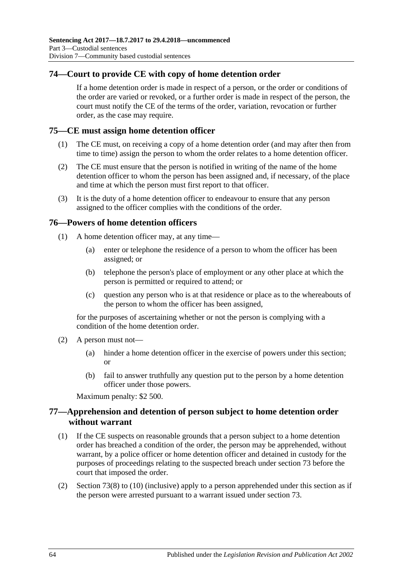# **74—Court to provide CE with copy of home detention order**

If a home detention order is made in respect of a person, or the order or conditions of the order are varied or revoked, or a further order is made in respect of the person, the court must notify the CE of the terms of the order, variation, revocation or further order, as the case may require.

## **75—CE must assign home detention officer**

- (1) The CE must, on receiving a copy of a home detention order (and may after then from time to time) assign the person to whom the order relates to a home detention officer.
- (2) The CE must ensure that the person is notified in writing of the name of the home detention officer to whom the person has been assigned and, if necessary, of the place and time at which the person must first report to that officer.
- (3) It is the duty of a home detention officer to endeavour to ensure that any person assigned to the officer complies with the conditions of the order.

### **76—Powers of home detention officers**

- (1) A home detention officer may, at any time—
	- (a) enter or telephone the residence of a person to whom the officer has been assigned; or
	- (b) telephone the person's place of employment or any other place at which the person is permitted or required to attend; or
	- (c) question any person who is at that residence or place as to the whereabouts of the person to whom the officer has been assigned,

for the purposes of ascertaining whether or not the person is complying with a condition of the home detention order.

- (2) A person must not—
	- (a) hinder a home detention officer in the exercise of powers under this section; or
	- (b) fail to answer truthfully any question put to the person by a home detention officer under those powers.

Maximum penalty: \$2 500.

## **77—Apprehension and detention of person subject to home detention order without warrant**

- (1) If the CE suspects on reasonable grounds that a person subject to a home detention order has breached a condition of the order, the person may be apprehended, without warrant, by a police officer or home detention officer and detained in custody for the purposes of proceedings relating to the suspected breach under [section](#page-61-2) 73 before the court that imposed the order.
- (2) [Section](#page-62-0) 73(8) to [\(10\)](#page-62-1) (inclusive) apply to a person apprehended under this section as if the person were arrested pursuant to a warrant issued under [section](#page-61-2) 73.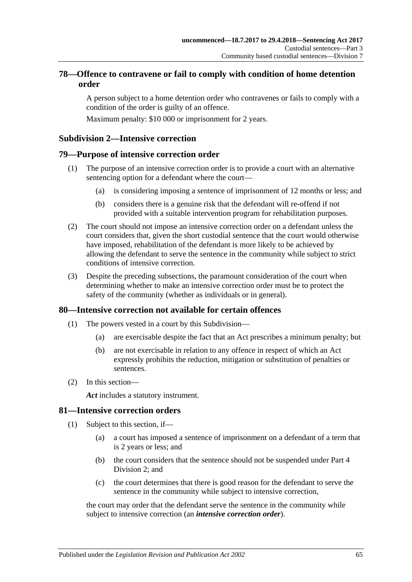# **78—Offence to contravene or fail to comply with condition of home detention order**

A person subject to a home detention order who contravenes or fails to comply with a condition of the order is guilty of an offence.

Maximum penalty: \$10 000 or imprisonment for 2 years.

### **Subdivision 2—Intensive correction**

### **79—Purpose of intensive correction order**

- (1) The purpose of an intensive correction order is to provide a court with an alternative sentencing option for a defendant where the court—
	- (a) is considering imposing a sentence of imprisonment of 12 months or less; and
	- (b) considers there is a genuine risk that the defendant will re-offend if not provided with a suitable intervention program for rehabilitation purposes.
- (2) The court should not impose an intensive correction order on a defendant unless the court considers that, given the short custodial sentence that the court would otherwise have imposed, rehabilitation of the defendant is more likely to be achieved by allowing the defendant to serve the sentence in the community while subject to strict conditions of intensive correction.
- (3) Despite the preceding subsections, the paramount consideration of the court when determining whether to make an intensive correction order must be to protect the safety of the community (whether as individuals or in general).

### **80—Intensive correction not available for certain offences**

- (1) The powers vested in a court by this Subdivision—
	- (a) are exercisable despite the fact that an Act prescribes a minimum penalty; but
	- (b) are not exercisable in relation to any offence in respect of which an Act expressly prohibits the reduction, mitigation or substitution of penalties or sentences.
- (2) In this section—

*Act* includes a statutory instrument.

### **81—Intensive correction orders**

- (1) Subject to this section, if—
	- (a) a court has imposed a sentence of imprisonment on a defendant of a term that is 2 years or less; and
	- (b) the court considers that the sentence should not be suspended under [Part](#page-73-1) 4 [Division](#page-73-1) 2; and
	- (c) the court determines that there is good reason for the defendant to serve the sentence in the community while subject to intensive correction,

<span id="page-64-0"></span>the court may order that the defendant serve the sentence in the community while subject to intensive correction (an *intensive correction order*).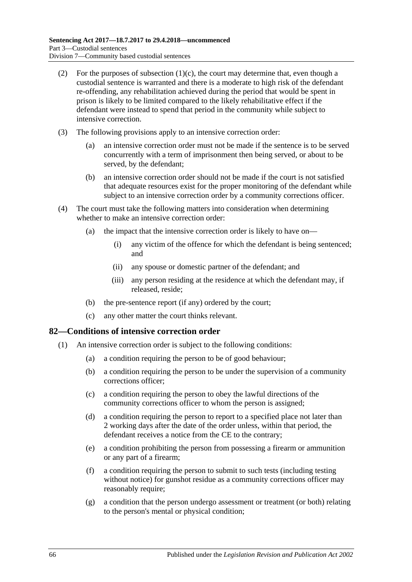- (2) For the purposes of [subsection](#page-64-0)  $(1)(c)$ , the court may determine that, even though a custodial sentence is warranted and there is a moderate to high risk of the defendant re-offending, any rehabilitation achieved during the period that would be spent in prison is likely to be limited compared to the likely rehabilitative effect if the defendant were instead to spend that period in the community while subject to intensive correction.
- (3) The following provisions apply to an intensive correction order:
	- (a) an intensive correction order must not be made if the sentence is to be served concurrently with a term of imprisonment then being served, or about to be served, by the defendant;
	- (b) an intensive correction order should not be made if the court is not satisfied that adequate resources exist for the proper monitoring of the defendant while subject to an intensive correction order by a community corrections officer.
- (4) The court must take the following matters into consideration when determining whether to make an intensive correction order:
	- (a) the impact that the intensive correction order is likely to have on—
		- (i) any victim of the offence for which the defendant is being sentenced; and
		- (ii) any spouse or domestic partner of the defendant; and
		- (iii) any person residing at the residence at which the defendant may, if released, reside;
	- (b) the pre-sentence report (if any) ordered by the court;
	- (c) any other matter the court thinks relevant.

### **82—Conditions of intensive correction order**

- <span id="page-65-1"></span><span id="page-65-0"></span>(1) An intensive correction order is subject to the following conditions:
	- (a) a condition requiring the person to be of good behaviour;
	- (b) a condition requiring the person to be under the supervision of a community corrections officer;
	- (c) a condition requiring the person to obey the lawful directions of the community corrections officer to whom the person is assigned;
	- (d) a condition requiring the person to report to a specified place not later than 2 working days after the date of the order unless, within that period, the defendant receives a notice from the CE to the contrary;
	- (e) a condition prohibiting the person from possessing a firearm or ammunition or any part of a firearm;
	- (f) a condition requiring the person to submit to such tests (including testing without notice) for gunshot residue as a community corrections officer may reasonably require;
	- (g) a condition that the person undergo assessment or treatment (or both) relating to the person's mental or physical condition;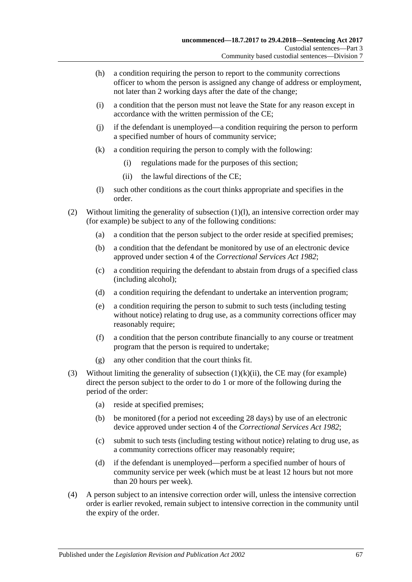- (h) a condition requiring the person to report to the community corrections officer to whom the person is assigned any change of address or employment, not later than 2 working days after the date of the change;
- (i) a condition that the person must not leave the State for any reason except in accordance with the written permission of the CE;
- (j) if the defendant is unemployed—a condition requiring the person to perform a specified number of hours of community service;
- (k) a condition requiring the person to comply with the following:
	- (i) regulations made for the purposes of this section;
	- (ii) the lawful directions of the CE;
- (l) such other conditions as the court thinks appropriate and specifies in the order.
- <span id="page-66-1"></span><span id="page-66-0"></span>(2) Without limiting the generality of [subsection](#page-66-0) (1)(l), an intensive correction order may (for example) be subject to any of the following conditions:
	- (a) a condition that the person subject to the order reside at specified premises;
	- (b) a condition that the defendant be monitored by use of an electronic device approved under section 4 of the *[Correctional Services Act](http://www.legislation.sa.gov.au/index.aspx?action=legref&type=act&legtitle=Correctional%20Services%20Act%201982) 1982*;
	- (c) a condition requiring the defendant to abstain from drugs of a specified class (including alcohol);
	- (d) a condition requiring the defendant to undertake an intervention program;
	- (e) a condition requiring the person to submit to such tests (including testing without notice) relating to drug use, as a community corrections officer may reasonably require;
	- (f) a condition that the person contribute financially to any course or treatment program that the person is required to undertake;
	- (g) any other condition that the court thinks fit.
- (3) Without limiting the generality of [subsection](#page-66-1)  $(1)(k)(ii)$ , the CE may (for example) direct the person subject to the order to do 1 or more of the following during the period of the order:
	- (a) reside at specified premises;
	- (b) be monitored (for a period not exceeding 28 days) by use of an electronic device approved under section 4 of the *[Correctional Services Act](http://www.legislation.sa.gov.au/index.aspx?action=legref&type=act&legtitle=Correctional%20Services%20Act%201982) 1982*;
	- (c) submit to such tests (including testing without notice) relating to drug use, as a community corrections officer may reasonably require;
	- (d) if the defendant is unemployed—perform a specified number of hours of community service per week (which must be at least 12 hours but not more than 20 hours per week).
- (4) A person subject to an intensive correction order will, unless the intensive correction order is earlier revoked, remain subject to intensive correction in the community until the expiry of the order.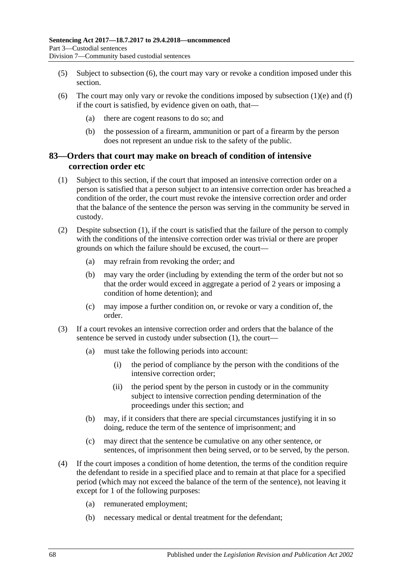- (5) Subject to [subsection](#page-67-0) (6), the court may vary or revoke a condition imposed under this section.
- <span id="page-67-0"></span>(6) The court may only vary or revoke the conditions imposed by [subsection](#page-65-0)  $(1)(e)$  and  $(f)$ if the court is satisfied, by evidence given on oath, that—
	- (a) there are cogent reasons to do so; and
	- (b) the possession of a firearm, ammunition or part of a firearm by the person does not represent an undue risk to the safety of the public.

## <span id="page-67-2"></span>**83—Orders that court may make on breach of condition of intensive correction order etc**

- <span id="page-67-1"></span>(1) Subject to this section, if the court that imposed an intensive correction order on a person is satisfied that a person subject to an intensive correction order has breached a condition of the order, the court must revoke the intensive correction order and order that the balance of the sentence the person was serving in the community be served in custody.
- (2) Despite [subsection](#page-67-1) (1), if the court is satisfied that the failure of the person to comply with the conditions of the intensive correction order was trivial or there are proper grounds on which the failure should be excused, the court—
	- (a) may refrain from revoking the order; and
	- (b) may vary the order (including by extending the term of the order but not so that the order would exceed in aggregate a period of 2 years or imposing a condition of home detention); and
	- (c) may impose a further condition on, or revoke or vary a condition of, the order.
- (3) If a court revokes an intensive correction order and orders that the balance of the sentence be served in custody under [subsection](#page-67-1) (1), the court—
	- (a) must take the following periods into account:
		- (i) the period of compliance by the person with the conditions of the intensive correction order;
		- (ii) the period spent by the person in custody or in the community subject to intensive correction pending determination of the proceedings under this section; and
	- (b) may, if it considers that there are special circumstances justifying it in so doing, reduce the term of the sentence of imprisonment; and
	- (c) may direct that the sentence be cumulative on any other sentence, or sentences, of imprisonment then being served, or to be served, by the person.
- (4) If the court imposes a condition of home detention, the terms of the condition require the defendant to reside in a specified place and to remain at that place for a specified period (which may not exceed the balance of the term of the sentence), not leaving it except for 1 of the following purposes:
	- (a) remunerated employment;
	- (b) necessary medical or dental treatment for the defendant;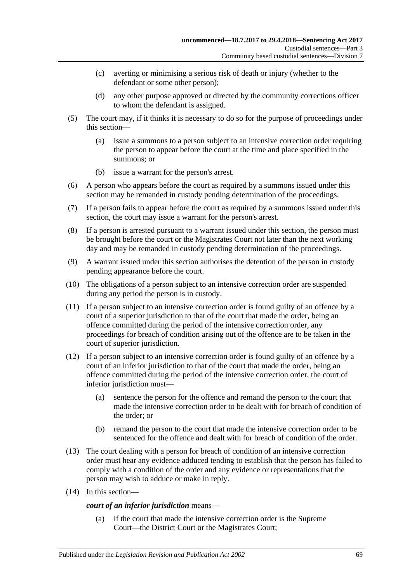- (c) averting or minimising a serious risk of death or injury (whether to the defendant or some other person);
- (d) any other purpose approved or directed by the community corrections officer to whom the defendant is assigned.
- (5) The court may, if it thinks it is necessary to do so for the purpose of proceedings under this section—
	- (a) issue a summons to a person subject to an intensive correction order requiring the person to appear before the court at the time and place specified in the summons; or
	- (b) issue a warrant for the person's arrest.
- (6) A person who appears before the court as required by a summons issued under this section may be remanded in custody pending determination of the proceedings.
- (7) If a person fails to appear before the court as required by a summons issued under this section, the court may issue a warrant for the person's arrest.
- (8) If a person is arrested pursuant to a warrant issued under this section, the person must be brought before the court or the Magistrates Court not later than the next working day and may be remanded in custody pending determination of the proceedings.
- <span id="page-68-0"></span>(9) A warrant issued under this section authorises the detention of the person in custody pending appearance before the court.
- (10) The obligations of a person subject to an intensive correction order are suspended during any period the person is in custody.
- <span id="page-68-1"></span>(11) If a person subject to an intensive correction order is found guilty of an offence by a court of a superior jurisdiction to that of the court that made the order, being an offence committed during the period of the intensive correction order, any proceedings for breach of condition arising out of the offence are to be taken in the court of superior jurisdiction.
- (12) If a person subject to an intensive correction order is found guilty of an offence by a court of an inferior jurisdiction to that of the court that made the order, being an offence committed during the period of the intensive correction order, the court of inferior jurisdiction must—
	- (a) sentence the person for the offence and remand the person to the court that made the intensive correction order to be dealt with for breach of condition of the order; or
	- (b) remand the person to the court that made the intensive correction order to be sentenced for the offence and dealt with for breach of condition of the order.
- (13) The court dealing with a person for breach of condition of an intensive correction order must hear any evidence adduced tending to establish that the person has failed to comply with a condition of the order and any evidence or representations that the person may wish to adduce or make in reply.
- (14) In this section—

### *court of an inferior jurisdiction* means—

(a) if the court that made the intensive correction order is the Supreme Court—the District Court or the Magistrates Court;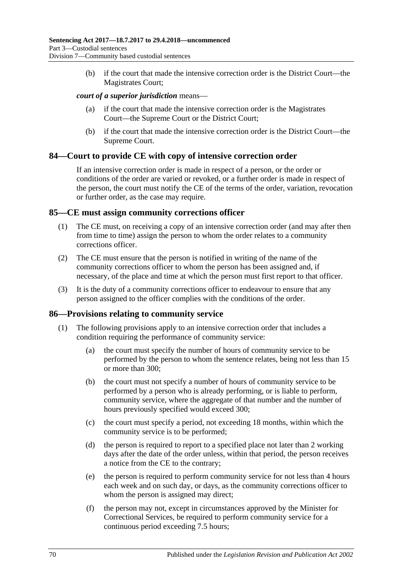(b) if the court that made the intensive correction order is the District Court—the Magistrates Court;

### *court of a superior jurisdiction* means—

- (a) if the court that made the intensive correction order is the Magistrates Court—the Supreme Court or the District Court;
- (b) if the court that made the intensive correction order is the District Court—the Supreme Court.

### **84—Court to provide CE with copy of intensive correction order**

If an intensive correction order is made in respect of a person, or the order or conditions of the order are varied or revoked, or a further order is made in respect of the person, the court must notify the CE of the terms of the order, variation, revocation or further order, as the case may require.

### **85—CE must assign community corrections officer**

- (1) The CE must, on receiving a copy of an intensive correction order (and may after then from time to time) assign the person to whom the order relates to a community corrections officer.
- (2) The CE must ensure that the person is notified in writing of the name of the community corrections officer to whom the person has been assigned and, if necessary, of the place and time at which the person must first report to that officer.
- (3) It is the duty of a community corrections officer to endeavour to ensure that any person assigned to the officer complies with the conditions of the order.

### **86—Provisions relating to community service**

- (1) The following provisions apply to an intensive correction order that includes a condition requiring the performance of community service:
	- (a) the court must specify the number of hours of community service to be performed by the person to whom the sentence relates, being not less than 15 or more than 300;
	- (b) the court must not specify a number of hours of community service to be performed by a person who is already performing, or is liable to perform, community service, where the aggregate of that number and the number of hours previously specified would exceed 300;
	- (c) the court must specify a period, not exceeding 18 months, within which the community service is to be performed;
	- (d) the person is required to report to a specified place not later than 2 working days after the date of the order unless, within that period, the person receives a notice from the CE to the contrary;
	- (e) the person is required to perform community service for not less than 4 hours each week and on such day, or days, as the community corrections officer to whom the person is assigned may direct;
	- (f) the person may not, except in circumstances approved by the Minister for Correctional Services, be required to perform community service for a continuous period exceeding 7.5 hours;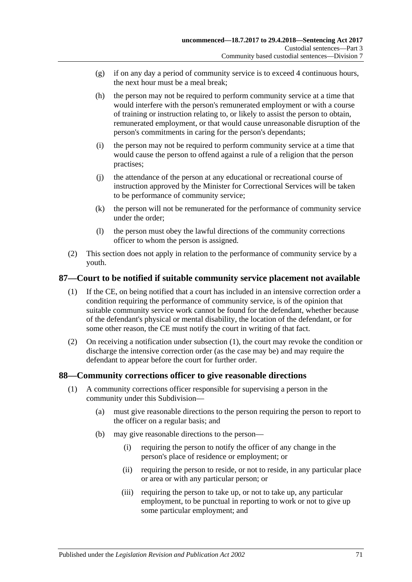- (g) if on any day a period of community service is to exceed 4 continuous hours, the next hour must be a meal break;
- (h) the person may not be required to perform community service at a time that would interfere with the person's remunerated employment or with a course of training or instruction relating to, or likely to assist the person to obtain, remunerated employment, or that would cause unreasonable disruption of the person's commitments in caring for the person's dependants;
- (i) the person may not be required to perform community service at a time that would cause the person to offend against a rule of a religion that the person practises;
- (j) the attendance of the person at any educational or recreational course of instruction approved by the Minister for Correctional Services will be taken to be performance of community service;
- (k) the person will not be remunerated for the performance of community service under the order;
- (l) the person must obey the lawful directions of the community corrections officer to whom the person is assigned.
- (2) This section does not apply in relation to the performance of community service by a youth.

# <span id="page-70-0"></span>**87—Court to be notified if suitable community service placement not available**

- (1) If the CE, on being notified that a court has included in an intensive correction order a condition requiring the performance of community service, is of the opinion that suitable community service work cannot be found for the defendant, whether because of the defendant's physical or mental disability, the location of the defendant, or for some other reason, the CE must notify the court in writing of that fact.
- (2) On receiving a notification under [subsection](#page-70-0) (1), the court may revoke the condition or discharge the intensive correction order (as the case may be) and may require the defendant to appear before the court for further order.

## **88—Community corrections officer to give reasonable directions**

- (1) A community corrections officer responsible for supervising a person in the community under this Subdivision—
	- (a) must give reasonable directions to the person requiring the person to report to the officer on a regular basis; and
	- (b) may give reasonable directions to the person—
		- (i) requiring the person to notify the officer of any change in the person's place of residence or employment; or
		- (ii) requiring the person to reside, or not to reside, in any particular place or area or with any particular person; or
		- (iii) requiring the person to take up, or not to take up, any particular employment, to be punctual in reporting to work or not to give up some particular employment; and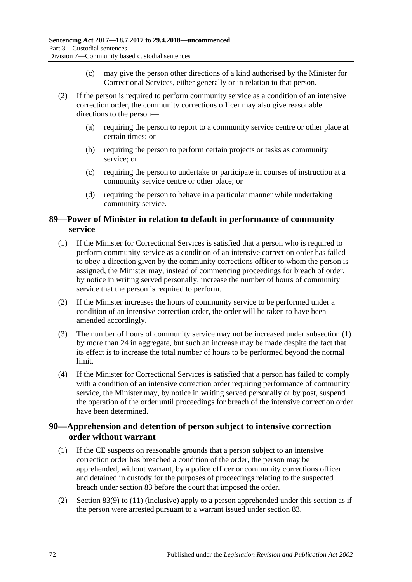- (c) may give the person other directions of a kind authorised by the Minister for Correctional Services, either generally or in relation to that person.
- (2) If the person is required to perform community service as a condition of an intensive correction order, the community corrections officer may also give reasonable directions to the person—
	- (a) requiring the person to report to a community service centre or other place at certain times; or
	- (b) requiring the person to perform certain projects or tasks as community service; or
	- (c) requiring the person to undertake or participate in courses of instruction at a community service centre or other place; or
	- (d) requiring the person to behave in a particular manner while undertaking community service.

# **89—Power of Minister in relation to default in performance of community service**

- <span id="page-71-0"></span>(1) If the Minister for Correctional Services is satisfied that a person who is required to perform community service as a condition of an intensive correction order has failed to obey a direction given by the community corrections officer to whom the person is assigned, the Minister may, instead of commencing proceedings for breach of order, by notice in writing served personally, increase the number of hours of community service that the person is required to perform.
- (2) If the Minister increases the hours of community service to be performed under a condition of an intensive correction order, the order will be taken to have been amended accordingly.
- (3) The number of hours of community service may not be increased unde[r subsection](#page-71-0) (1) by more than 24 in aggregate, but such an increase may be made despite the fact that its effect is to increase the total number of hours to be performed beyond the normal limit.
- (4) If the Minister for Correctional Services is satisfied that a person has failed to comply with a condition of an intensive correction order requiring performance of community service, the Minister may, by notice in writing served personally or by post, suspend the operation of the order until proceedings for breach of the intensive correction order have been determined.

## **90—Apprehension and detention of person subject to intensive correction order without warrant**

- (1) If the CE suspects on reasonable grounds that a person subject to an intensive correction order has breached a condition of the order, the person may be apprehended, without warrant, by a police officer or community corrections officer and detained in custody for the purposes of proceedings relating to the suspected breach under [section](#page-67-2) 83 before the court that imposed the order.
- (2) [Section](#page-68-0) 83(9) to [\(11\)](#page-68-1) (inclusive) apply to a person apprehended under this section as if the person were arrested pursuant to a warrant issued under [section](#page-67-2) 83.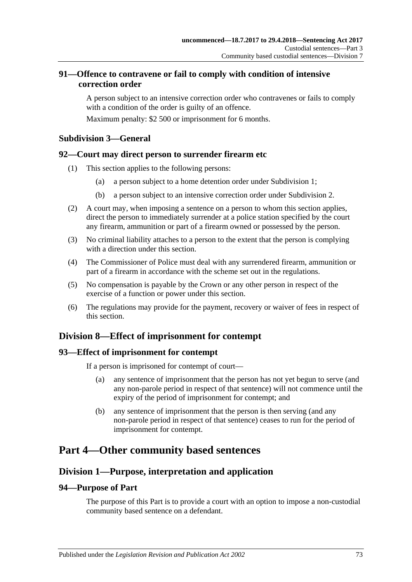## **91—Offence to contravene or fail to comply with condition of intensive correction order**

A person subject to an intensive correction order who contravenes or fails to comply with a condition of the order is guilty of an offence.

Maximum penalty: \$2 500 or imprisonment for 6 months.

## **Subdivision 3—General**

#### **92—Court may direct person to surrender firearm etc**

- (1) This section applies to the following persons:
	- (a) a person subject to a home detention order under [Subdivision](#page-56-0) 1;
	- (b) a person subject to an intensive correction order under [Subdivision](#page-64-0) 2.
- (2) A court may, when imposing a sentence on a person to whom this section applies, direct the person to immediately surrender at a police station specified by the court any firearm, ammunition or part of a firearm owned or possessed by the person.
- (3) No criminal liability attaches to a person to the extent that the person is complying with a direction under this section
- (4) The Commissioner of Police must deal with any surrendered firearm, ammunition or part of a firearm in accordance with the scheme set out in the regulations.
- (5) No compensation is payable by the Crown or any other person in respect of the exercise of a function or power under this section.
- (6) The regulations may provide for the payment, recovery or waiver of fees in respect of this section.

# **Division 8—Effect of imprisonment for contempt**

#### **93—Effect of imprisonment for contempt**

If a person is imprisoned for contempt of court—

- (a) any sentence of imprisonment that the person has not yet begun to serve (and any non-parole period in respect of that sentence) will not commence until the expiry of the period of imprisonment for contempt; and
- (b) any sentence of imprisonment that the person is then serving (and any non-parole period in respect of that sentence) ceases to run for the period of imprisonment for contempt.

# **Part 4—Other community based sentences**

# **Division 1—Purpose, interpretation and application**

## **94—Purpose of Part**

The purpose of this Part is to provide a court with an option to impose a non-custodial community based sentence on a defendant.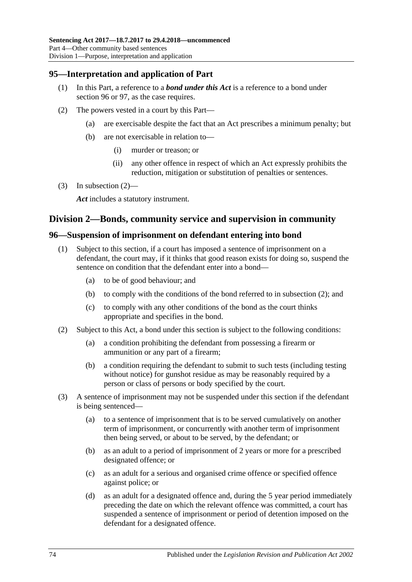#### **95—Interpretation and application of Part**

- (1) In this Part, a reference to a *bond under this Act* is a reference to a bond under [section](#page-73-0) 96 or [97,](#page-76-0) as the case requires.
- <span id="page-73-1"></span>(2) The powers vested in a court by this Part—
	- (a) are exercisable despite the fact that an Act prescribes a minimum penalty; but
	- (b) are not exercisable in relation to—
		- (i) murder or treason; or
		- (ii) any other offence in respect of which an Act expressly prohibits the reduction, mitigation or substitution of penalties or sentences.
- (3) In [subsection](#page-73-1)  $(2)$ —

*Act* includes a statutory instrument.

#### **Division 2—Bonds, community service and supervision in community**

#### <span id="page-73-4"></span><span id="page-73-0"></span>**96—Suspension of imprisonment on defendant entering into bond**

- (1) Subject to this section, if a court has imposed a sentence of imprisonment on a defendant, the court may, if it thinks that good reason exists for doing so, suspend the sentence on condition that the defendant enter into a bond—
	- (a) to be of good behaviour; and
	- (b) to comply with the conditions of the bond referred to in [subsection](#page-73-2) (2); and
	- (c) to comply with any other conditions of the bond as the court thinks appropriate and specifies in the bond.
- <span id="page-73-8"></span><span id="page-73-2"></span>(2) Subject to this Act, a bond under this section is subject to the following conditions:
	- (a) a condition prohibiting the defendant from possessing a firearm or ammunition or any part of a firearm;
	- (b) a condition requiring the defendant to submit to such tests (including testing without notice) for gunshot residue as may be reasonably required by a person or class of persons or body specified by the court.
- <span id="page-73-7"></span><span id="page-73-6"></span><span id="page-73-5"></span><span id="page-73-3"></span>(3) A sentence of imprisonment may not be suspended under this section if the defendant is being sentenced—
	- (a) to a sentence of imprisonment that is to be served cumulatively on another term of imprisonment, or concurrently with another term of imprisonment then being served, or about to be served, by the defendant; or
	- (b) as an adult to a period of imprisonment of 2 years or more for a prescribed designated offence; or
	- (c) as an adult for a serious and organised crime offence or specified offence against police; or
	- (d) as an adult for a designated offence and, during the 5 year period immediately preceding the date on which the relevant offence was committed, a court has suspended a sentence of imprisonment or period of detention imposed on the defendant for a designated offence.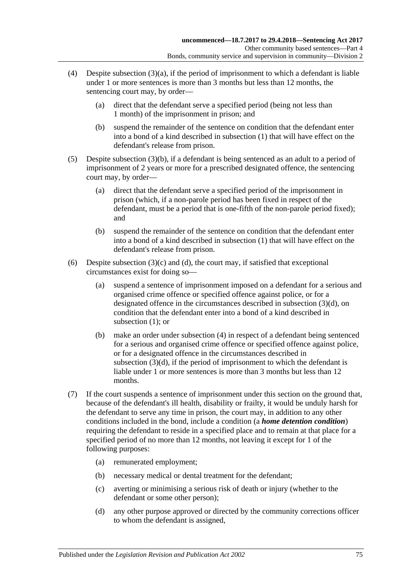- <span id="page-74-0"></span>(4) Despite [subsection](#page-73-3)  $(3)(a)$ , if the period of imprisonment to which a defendant is liable under 1 or more sentences is more than 3 months but less than 12 months, the sentencing court may, by order—
	- (a) direct that the defendant serve a specified period (being not less than 1 month) of the imprisonment in prison; and
	- (b) suspend the remainder of the sentence on condition that the defendant enter into a bond of a kind described in [subsection](#page-73-4) (1) that will have effect on the defendant's release from prison.
- <span id="page-74-1"></span>(5) Despite [subsection](#page-73-5) (3)(b), if a defendant is being sentenced as an adult to a period of imprisonment of 2 years or more for a prescribed designated offence, the sentencing court may, by order—
	- (a) direct that the defendant serve a specified period of the imprisonment in prison (which, if a non-parole period has been fixed in respect of the defendant, must be a period that is one-fifth of the non-parole period fixed); and
	- (b) suspend the remainder of the sentence on condition that the defendant enter into a bond of a kind described in [subsection](#page-73-4) (1) that will have effect on the defendant's release from prison.
- (6) Despite [subsection](#page-73-6)  $(3)(c)$  and  $(d)$ , the court may, if satisfied that exceptional circumstances exist for doing so—
	- (a) suspend a sentence of imprisonment imposed on a defendant for a serious and organised crime offence or specified offence against police, or for a designated offence in the circumstances described in [subsection](#page-73-7) (3)(d), on condition that the defendant enter into a bond of a kind described in [subsection](#page-73-4) (1); or
	- (b) make an order under [subsection](#page-74-0) (4) in respect of a defendant being sentenced for a serious and organised crime offence or specified offence against police, or for a designated offence in the circumstances described in [subsection](#page-73-7) (3)(d), if the period of imprisonment to which the defendant is liable under 1 or more sentences is more than 3 months but less than 12 months.
- (7) If the court suspends a sentence of imprisonment under this section on the ground that, because of the defendant's ill health, disability or frailty, it would be unduly harsh for the defendant to serve any time in prison, the court may, in addition to any other conditions included in the bond, include a condition (a *home detention condition*) requiring the defendant to reside in a specified place and to remain at that place for a specified period of no more than 12 months, not leaving it except for 1 of the following purposes:
	- (a) remunerated employment;
	- (b) necessary medical or dental treatment for the defendant;
	- (c) averting or minimising a serious risk of death or injury (whether to the defendant or some other person);
	- (d) any other purpose approved or directed by the community corrections officer to whom the defendant is assigned,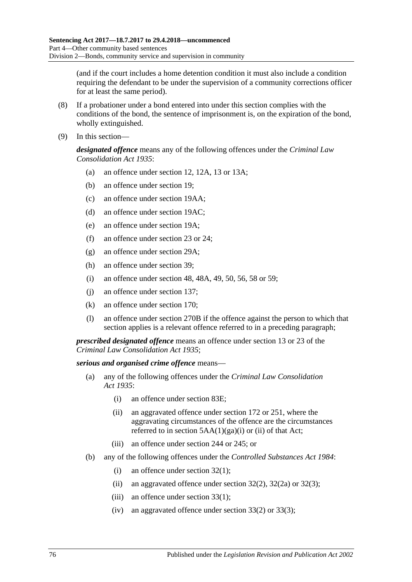(and if the court includes a home detention condition it must also include a condition requiring the defendant to be under the supervision of a community corrections officer for at least the same period).

- (8) If a probationer under a bond entered into under this section complies with the conditions of the bond, the sentence of imprisonment is, on the expiration of the bond, wholly extinguished.
- (9) In this section—

*designated offence* means any of the following offences under the *[Criminal Law](http://www.legislation.sa.gov.au/index.aspx?action=legref&type=act&legtitle=Criminal%20Law%20Consolidation%20Act%201935)  [Consolidation Act](http://www.legislation.sa.gov.au/index.aspx?action=legref&type=act&legtitle=Criminal%20Law%20Consolidation%20Act%201935) 1935*:

- (a) an offence under section 12, 12A, 13 or 13A;
- (b) an offence under section 19;
- (c) an offence under section 19AA;
- (d) an offence under section 19AC;
- (e) an offence under section 19A;
- (f) an offence under section 23 or 24;
- (g) an offence under section 29A;
- (h) an offence under section 39;
- (i) an offence under section 48, 48A, 49, 50, 56, 58 or 59;
- (j) an offence under section 137;
- (k) an offence under section 170;
- (l) an offence under section 270B if the offence against the person to which that section applies is a relevant offence referred to in a preceding paragraph;

*prescribed designated offence* means an offence under section 13 or 23 of the *[Criminal Law Consolidation Act](http://www.legislation.sa.gov.au/index.aspx?action=legref&type=act&legtitle=Criminal%20Law%20Consolidation%20Act%201935) 1935*;

#### *serious and organised crime offence* means—

- (a) any of the following offences under the *[Criminal Law Consolidation](http://www.legislation.sa.gov.au/index.aspx?action=legref&type=act&legtitle=Criminal%20Law%20Consolidation%20Act%201935)  Act [1935](http://www.legislation.sa.gov.au/index.aspx?action=legref&type=act&legtitle=Criminal%20Law%20Consolidation%20Act%201935)*:
	- (i) an offence under section 83E;
	- (ii) an aggravated offence under section 172 or 251, where the aggravating circumstances of the offence are the circumstances referred to in section  $5AA(1)(ga)(i)$  or (ii) of that Act;
	- (iii) an offence under section 244 or 245; or
- (b) any of the following offences under the *[Controlled Substances Act](http://www.legislation.sa.gov.au/index.aspx?action=legref&type=act&legtitle=Controlled%20Substances%20Act%201984) 1984*:
	- (i) an offence under section 32(1);
	- (ii) an aggravated offence under section  $32(2)$ ,  $32(2a)$  or  $32(3)$ ;
	- (iii) an offence under section 33(1);
	- (iv) an aggravated offence under section  $33(2)$  or  $33(3)$ ;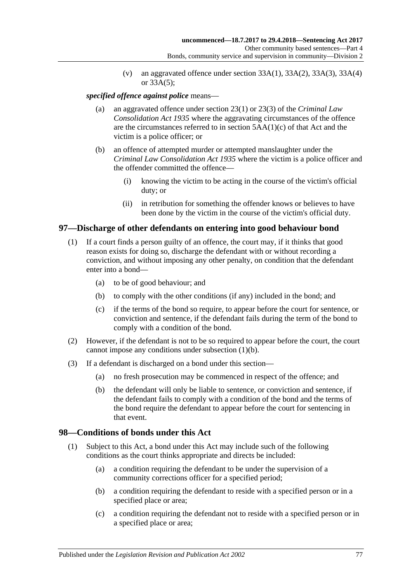(v) an aggravated offence under section  $33A(1)$ ,  $33A(2)$ ,  $33A(3)$ ,  $33A(4)$ or 33A(5);

#### *specified offence against police* means—

- (a) an aggravated offence under section 23(1) or 23(3) of the *[Criminal Law](http://www.legislation.sa.gov.au/index.aspx?action=legref&type=act&legtitle=Criminal%20Law%20Consolidation%20Act%201935)  [Consolidation Act](http://www.legislation.sa.gov.au/index.aspx?action=legref&type=act&legtitle=Criminal%20Law%20Consolidation%20Act%201935) 1935* where the aggravating circumstances of the offence are the circumstances referred to in section 5AA(1)(c) of that Act and the victim is a police officer; or
- (b) an offence of attempted murder or attempted manslaughter under the *[Criminal Law Consolidation Act](http://www.legislation.sa.gov.au/index.aspx?action=legref&type=act&legtitle=Criminal%20Law%20Consolidation%20Act%201935) 1935* where the victim is a police officer and the offender committed the offence—
	- (i) knowing the victim to be acting in the course of the victim's official duty; or
	- (ii) in retribution for something the offender knows or believes to have been done by the victim in the course of the victim's official duty.

#### <span id="page-76-0"></span>**97—Discharge of other defendants on entering into good behaviour bond**

- <span id="page-76-1"></span>(1) If a court finds a person guilty of an offence, the court may, if it thinks that good reason exists for doing so, discharge the defendant with or without recording a conviction, and without imposing any other penalty, on condition that the defendant enter into a bond—
	- (a) to be of good behaviour; and
	- (b) to comply with the other conditions (if any) included in the bond; and
	- (c) if the terms of the bond so require, to appear before the court for sentence, or conviction and sentence, if the defendant fails during the term of the bond to comply with a condition of the bond.
- (2) However, if the defendant is not to be so required to appear before the court, the court cannot impose any conditions under [subsection](#page-76-1) (1)(b).
- (3) If a defendant is discharged on a bond under this section—
	- (a) no fresh prosecution may be commenced in respect of the offence; and
	- (b) the defendant will only be liable to sentence, or conviction and sentence, if the defendant fails to comply with a condition of the bond and the terms of the bond require the defendant to appear before the court for sentencing in that event.

#### **98—Conditions of bonds under this Act**

- (1) Subject to this Act, a bond under this Act may include such of the following conditions as the court thinks appropriate and directs be included:
	- (a) a condition requiring the defendant to be under the supervision of a community corrections officer for a specified period;
	- (b) a condition requiring the defendant to reside with a specified person or in a specified place or area;
	- (c) a condition requiring the defendant not to reside with a specified person or in a specified place or area;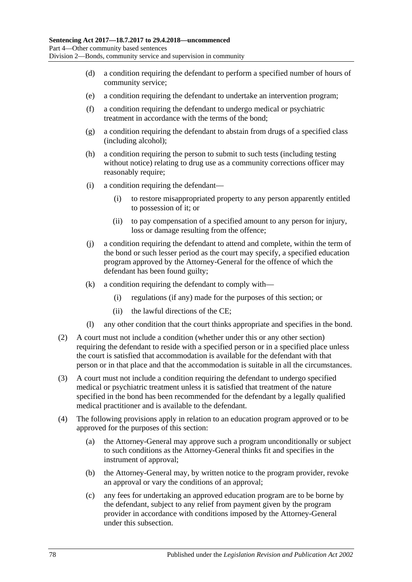- (d) a condition requiring the defendant to perform a specified number of hours of community service;
- (e) a condition requiring the defendant to undertake an intervention program;
- (f) a condition requiring the defendant to undergo medical or psychiatric treatment in accordance with the terms of the bond;
- (g) a condition requiring the defendant to abstain from drugs of a specified class (including alcohol);
- (h) a condition requiring the person to submit to such tests (including testing without notice) relating to drug use as a community corrections officer may reasonably require;
- (i) a condition requiring the defendant—
	- (i) to restore misappropriated property to any person apparently entitled to possession of it; or
	- (ii) to pay compensation of a specified amount to any person for injury, loss or damage resulting from the offence;
- (j) a condition requiring the defendant to attend and complete, within the term of the bond or such lesser period as the court may specify, a specified education program approved by the Attorney-General for the offence of which the defendant has been found guilty;
- (k) a condition requiring the defendant to comply with—
	- (i) regulations (if any) made for the purposes of this section; or
	- (ii) the lawful directions of the CE;
- (l) any other condition that the court thinks appropriate and specifies in the bond.
- (2) A court must not include a condition (whether under this or any other section) requiring the defendant to reside with a specified person or in a specified place unless the court is satisfied that accommodation is available for the defendant with that person or in that place and that the accommodation is suitable in all the circumstances.
- (3) A court must not include a condition requiring the defendant to undergo specified medical or psychiatric treatment unless it is satisfied that treatment of the nature specified in the bond has been recommended for the defendant by a legally qualified medical practitioner and is available to the defendant.
- (4) The following provisions apply in relation to an education program approved or to be approved for the purposes of this section:
	- (a) the Attorney-General may approve such a program unconditionally or subject to such conditions as the Attorney-General thinks fit and specifies in the instrument of approval;
	- (b) the Attorney-General may, by written notice to the program provider, revoke an approval or vary the conditions of an approval;
	- (c) any fees for undertaking an approved education program are to be borne by the defendant, subject to any relief from payment given by the program provider in accordance with conditions imposed by the Attorney-General under this subsection.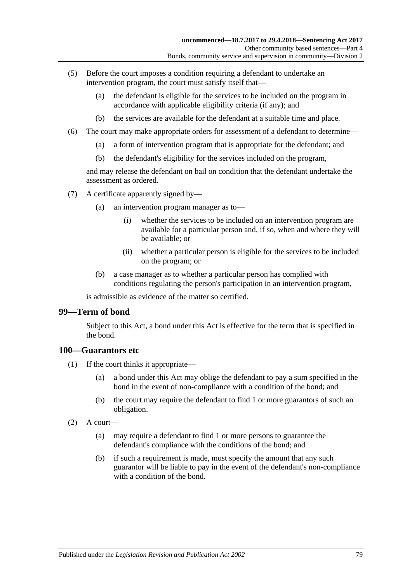- (5) Before the court imposes a condition requiring a defendant to undertake an intervention program, the court must satisfy itself that—
	- (a) the defendant is eligible for the services to be included on the program in accordance with applicable eligibility criteria (if any); and
	- (b) the services are available for the defendant at a suitable time and place.
- (6) The court may make appropriate orders for assessment of a defendant to determine—
	- (a) a form of intervention program that is appropriate for the defendant; and
	- (b) the defendant's eligibility for the services included on the program,

and may release the defendant on bail on condition that the defendant undertake the assessment as ordered.

- (7) A certificate apparently signed by—
	- (a) an intervention program manager as to—
		- (i) whether the services to be included on an intervention program are available for a particular person and, if so, when and where they will be available; or
		- (ii) whether a particular person is eligible for the services to be included on the program; or
	- (b) a case manager as to whether a particular person has complied with conditions regulating the person's participation in an intervention program,

is admissible as evidence of the matter so certified.

#### **99—Term of bond**

Subject to this Act, a bond under this Act is effective for the term that is specified in the bond.

#### **100—Guarantors etc**

- (1) If the court thinks it appropriate—
	- (a) a bond under this Act may oblige the defendant to pay a sum specified in the bond in the event of non-compliance with a condition of the bond; and
	- (b) the court may require the defendant to find 1 or more guarantors of such an obligation.
- $(2)$  A court—
	- (a) may require a defendant to find 1 or more persons to guarantee the defendant's compliance with the conditions of the bond; and
	- (b) if such a requirement is made, must specify the amount that any such guarantor will be liable to pay in the event of the defendant's non-compliance with a condition of the bond.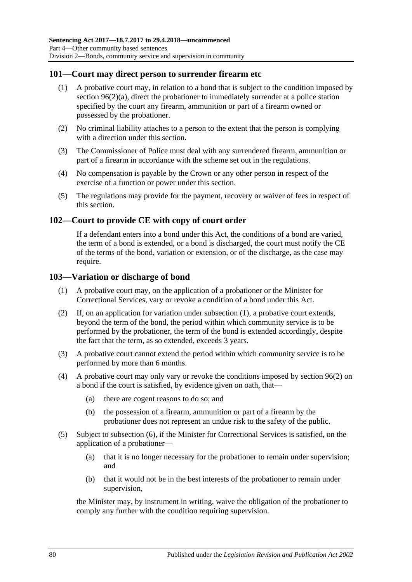#### **101—Court may direct person to surrender firearm etc**

- (1) A probative court may, in relation to a bond that is subject to the condition imposed by section [96\(2\)\(a\),](#page-73-8) direct the probationer to immediately surrender at a police station specified by the court any firearm, ammunition or part of a firearm owned or possessed by the probationer.
- (2) No criminal liability attaches to a person to the extent that the person is complying with a direction under this section.
- (3) The Commissioner of Police must deal with any surrendered firearm, ammunition or part of a firearm in accordance with the scheme set out in the regulations.
- (4) No compensation is payable by the Crown or any other person in respect of the exercise of a function or power under this section.
- (5) The regulations may provide for the payment, recovery or waiver of fees in respect of this section.

#### **102—Court to provide CE with copy of court order**

If a defendant enters into a bond under this Act, the conditions of a bond are varied, the term of a bond is extended, or a bond is discharged, the court must notify the CE of the terms of the bond, variation or extension, or of the discharge, as the case may require.

#### <span id="page-79-0"></span>**103—Variation or discharge of bond**

- (1) A probative court may, on the application of a probationer or the Minister for Correctional Services, vary or revoke a condition of a bond under this Act.
- (2) If, on an application for variation under [subsection](#page-79-0) (1), a probative court extends, beyond the term of the bond, the period within which community service is to be performed by the probationer, the term of the bond is extended accordingly, despite the fact that the term, as so extended, exceeds 3 years.
- (3) A probative court cannot extend the period within which community service is to be performed by more than 6 months.
- (4) A probative court may only vary or revoke the conditions imposed by [section](#page-73-2) 96(2) on a bond if the court is satisfied, by evidence given on oath, that—
	- (a) there are cogent reasons to do so; and
	- (b) the possession of a firearm, ammunition or part of a firearm by the probationer does not represent an undue risk to the safety of the public.
- (5) Subject to [subsection](#page-80-0) (6), if the Minister for Correctional Services is satisfied, on the application of a probationer—
	- (a) that it is no longer necessary for the probationer to remain under supervision; and
	- (b) that it would not be in the best interests of the probationer to remain under supervision,

the Minister may, by instrument in writing, waive the obligation of the probationer to comply any further with the condition requiring supervision.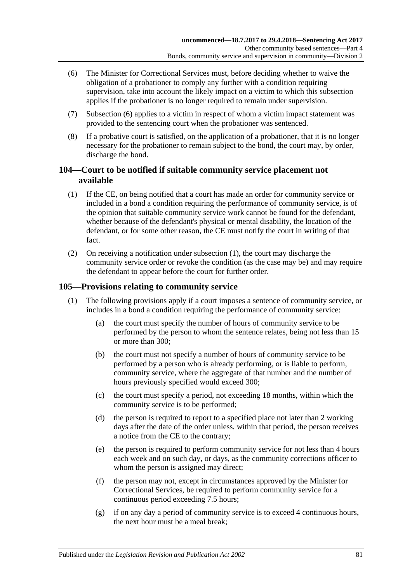- <span id="page-80-0"></span>(6) The Minister for Correctional Services must, before deciding whether to waive the obligation of a probationer to comply any further with a condition requiring supervision, take into account the likely impact on a victim to which this subsection applies if the probationer is no longer required to remain under supervision.
- (7) [Subsection](#page-80-0) (6) applies to a victim in respect of whom a victim impact statement was provided to the sentencing court when the probationer was sentenced.
- (8) If a probative court is satisfied, on the application of a probationer, that it is no longer necessary for the probationer to remain subject to the bond, the court may, by order, discharge the bond.

### **104—Court to be notified if suitable community service placement not available**

- <span id="page-80-1"></span>(1) If the CE, on being notified that a court has made an order for community service or included in a bond a condition requiring the performance of community service, is of the opinion that suitable community service work cannot be found for the defendant, whether because of the defendant's physical or mental disability, the location of the defendant, or for some other reason, the CE must notify the court in writing of that fact.
- (2) On receiving a notification under [subsection](#page-80-1) (1), the court may discharge the community service order or revoke the condition (as the case may be) and may require the defendant to appear before the court for further order.

### <span id="page-80-2"></span>**105—Provisions relating to community service**

- (1) The following provisions apply if a court imposes a sentence of community service, or includes in a bond a condition requiring the performance of community service:
	- (a) the court must specify the number of hours of community service to be performed by the person to whom the sentence relates, being not less than 15 or more than 300;
	- (b) the court must not specify a number of hours of community service to be performed by a person who is already performing, or is liable to perform, community service, where the aggregate of that number and the number of hours previously specified would exceed 300;
	- (c) the court must specify a period, not exceeding 18 months, within which the community service is to be performed;
	- (d) the person is required to report to a specified place not later than 2 working days after the date of the order unless, within that period, the person receives a notice from the CE to the contrary;
	- (e) the person is required to perform community service for not less than 4 hours each week and on such day, or days, as the community corrections officer to whom the person is assigned may direct:
	- (f) the person may not, except in circumstances approved by the Minister for Correctional Services, be required to perform community service for a continuous period exceeding 7.5 hours;
	- (g) if on any day a period of community service is to exceed 4 continuous hours, the next hour must be a meal break;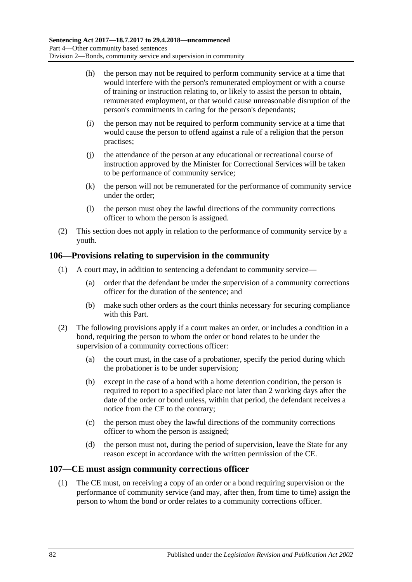- (h) the person may not be required to perform community service at a time that would interfere with the person's remunerated employment or with a course of training or instruction relating to, or likely to assist the person to obtain, remunerated employment, or that would cause unreasonable disruption of the person's commitments in caring for the person's dependants;
- (i) the person may not be required to perform community service at a time that would cause the person to offend against a rule of a religion that the person practises;
- (j) the attendance of the person at any educational or recreational course of instruction approved by the Minister for Correctional Services will be taken to be performance of community service;
- (k) the person will not be remunerated for the performance of community service under the order;
- (l) the person must obey the lawful directions of the community corrections officer to whom the person is assigned.
- (2) This section does not apply in relation to the performance of community service by a youth.

#### **106—Provisions relating to supervision in the community**

- (1) A court may, in addition to sentencing a defendant to community service—
	- (a) order that the defendant be under the supervision of a community corrections officer for the duration of the sentence; and
	- (b) make such other orders as the court thinks necessary for securing compliance with this Part.
- (2) The following provisions apply if a court makes an order, or includes a condition in a bond, requiring the person to whom the order or bond relates to be under the supervision of a community corrections officer:
	- (a) the court must, in the case of a probationer, specify the period during which the probationer is to be under supervision;
	- (b) except in the case of a bond with a home detention condition, the person is required to report to a specified place not later than 2 working days after the date of the order or bond unless, within that period, the defendant receives a notice from the CE to the contrary;
	- (c) the person must obey the lawful directions of the community corrections officer to whom the person is assigned;
	- (d) the person must not, during the period of supervision, leave the State for any reason except in accordance with the written permission of the CE.

#### **107—CE must assign community corrections officer**

(1) The CE must, on receiving a copy of an order or a bond requiring supervision or the performance of community service (and may, after then, from time to time) assign the person to whom the bond or order relates to a community corrections officer.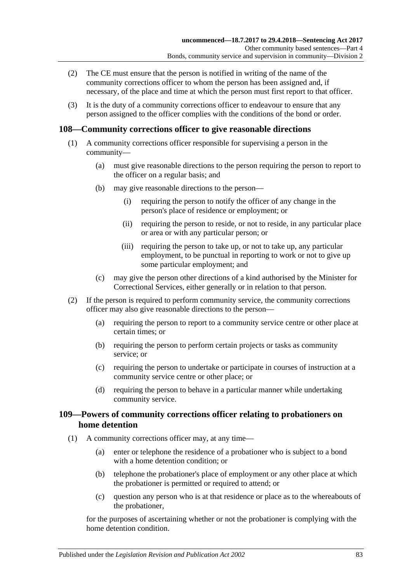- (2) The CE must ensure that the person is notified in writing of the name of the community corrections officer to whom the person has been assigned and, if necessary, of the place and time at which the person must first report to that officer.
- (3) It is the duty of a community corrections officer to endeavour to ensure that any person assigned to the officer complies with the conditions of the bond or order.

#### **108—Community corrections officer to give reasonable directions**

- (1) A community corrections officer responsible for supervising a person in the community—
	- (a) must give reasonable directions to the person requiring the person to report to the officer on a regular basis; and
	- (b) may give reasonable directions to the person—
		- (i) requiring the person to notify the officer of any change in the person's place of residence or employment; or
		- (ii) requiring the person to reside, or not to reside, in any particular place or area or with any particular person; or
		- (iii) requiring the person to take up, or not to take up, any particular employment, to be punctual in reporting to work or not to give up some particular employment; and
	- (c) may give the person other directions of a kind authorised by the Minister for Correctional Services, either generally or in relation to that person.
- (2) If the person is required to perform community service, the community corrections officer may also give reasonable directions to the person—
	- (a) requiring the person to report to a community service centre or other place at certain times; or
	- (b) requiring the person to perform certain projects or tasks as community service; or
	- (c) requiring the person to undertake or participate in courses of instruction at a community service centre or other place; or
	- (d) requiring the person to behave in a particular manner while undertaking community service.

#### **109—Powers of community corrections officer relating to probationers on home detention**

- (1) A community corrections officer may, at any time—
	- (a) enter or telephone the residence of a probationer who is subject to a bond with a home detention condition; or
	- (b) telephone the probationer's place of employment or any other place at which the probationer is permitted or required to attend; or
	- (c) question any person who is at that residence or place as to the whereabouts of the probationer,

for the purposes of ascertaining whether or not the probationer is complying with the home detention condition.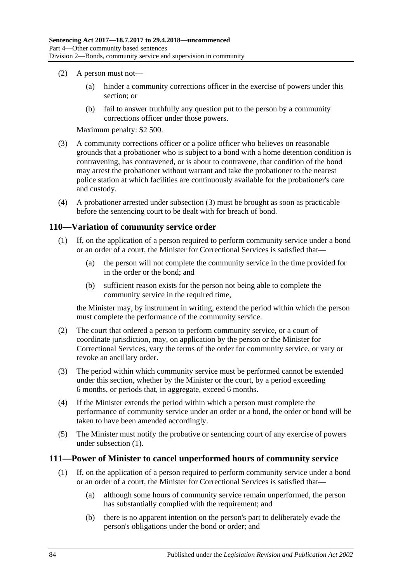- (2) A person must not—
	- (a) hinder a community corrections officer in the exercise of powers under this section; or
	- (b) fail to answer truthfully any question put to the person by a community corrections officer under those powers.

Maximum penalty: \$2 500.

- <span id="page-83-0"></span>(3) A community corrections officer or a police officer who believes on reasonable grounds that a probationer who is subject to a bond with a home detention condition is contravening, has contravened, or is about to contravene, that condition of the bond may arrest the probationer without warrant and take the probationer to the nearest police station at which facilities are continuously available for the probationer's care and custody.
- (4) A probationer arrested under [subsection](#page-83-0) (3) must be brought as soon as practicable before the sentencing court to be dealt with for breach of bond.

#### <span id="page-83-1"></span>**110—Variation of community service order**

- (1) If, on the application of a person required to perform community service under a bond or an order of a court, the Minister for Correctional Services is satisfied that—
	- (a) the person will not complete the community service in the time provided for in the order or the bond; and
	- (b) sufficient reason exists for the person not being able to complete the community service in the required time,

the Minister may, by instrument in writing, extend the period within which the person must complete the performance of the community service.

- (2) The court that ordered a person to perform community service, or a court of coordinate jurisdiction, may, on application by the person or the Minister for Correctional Services, vary the terms of the order for community service, or vary or revoke an ancillary order.
- (3) The period within which community service must be performed cannot be extended under this section, whether by the Minister or the court, by a period exceeding 6 months, or periods that, in aggregate, exceed 6 months.
- (4) If the Minister extends the period within which a person must complete the performance of community service under an order or a bond, the order or bond will be taken to have been amended accordingly.
- (5) The Minister must notify the probative or sentencing court of any exercise of powers under [subsection](#page-83-1) (1).

#### <span id="page-83-2"></span>**111—Power of Minister to cancel unperformed hours of community service**

- (1) If, on the application of a person required to perform community service under a bond or an order of a court, the Minister for Correctional Services is satisfied that—
	- (a) although some hours of community service remain unperformed, the person has substantially complied with the requirement; and
	- (b) there is no apparent intention on the person's part to deliberately evade the person's obligations under the bond or order; and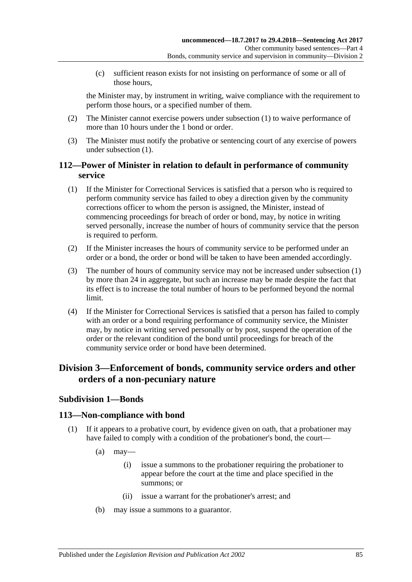(c) sufficient reason exists for not insisting on performance of some or all of those hours,

the Minister may, by instrument in writing, waive compliance with the requirement to perform those hours, or a specified number of them.

- (2) The Minister cannot exercise powers under [subsection](#page-83-2) (1) to waive performance of more than 10 hours under the 1 bond or order.
- (3) The Minister must notify the probative or sentencing court of any exercise of powers under [subsection](#page-83-2) (1).

#### **112—Power of Minister in relation to default in performance of community service**

- <span id="page-84-0"></span>(1) If the Minister for Correctional Services is satisfied that a person who is required to perform community service has failed to obey a direction given by the community corrections officer to whom the person is assigned, the Minister, instead of commencing proceedings for breach of order or bond, may, by notice in writing served personally, increase the number of hours of community service that the person is required to perform.
- (2) If the Minister increases the hours of community service to be performed under an order or a bond, the order or bond will be taken to have been amended accordingly.
- (3) The number of hours of community service may not be increased under [subsection](#page-84-0) (1) by more than 24 in aggregate, but such an increase may be made despite the fact that its effect is to increase the total number of hours to be performed beyond the normal limit.
- (4) If the Minister for Correctional Services is satisfied that a person has failed to comply with an order or a bond requiring performance of community service, the Minister may, by notice in writing served personally or by post, suspend the operation of the order or the relevant condition of the bond until proceedings for breach of the community service order or bond have been determined.

# **Division 3—Enforcement of bonds, community service orders and other orders of a non-pecuniary nature**

## **Subdivision 1—Bonds**

#### **113—Non-compliance with bond**

- (1) If it appears to a probative court, by evidence given on oath, that a probationer may have failed to comply with a condition of the probationer's bond, the court—
	- $(a)$  may—
		- (i) issue a summons to the probationer requiring the probationer to appear before the court at the time and place specified in the summons; or
		- (ii) issue a warrant for the probationer's arrest; and
	- (b) may issue a summons to a guarantor.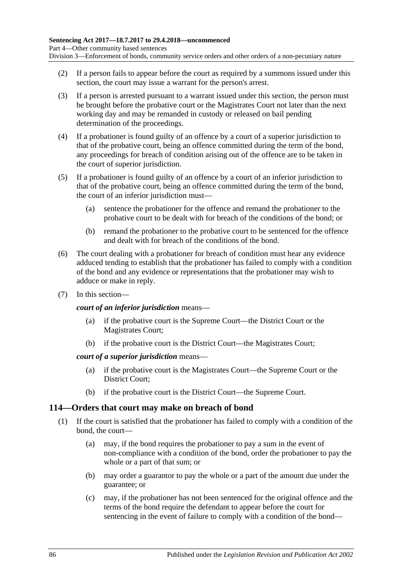- (2) If a person fails to appear before the court as required by a summons issued under this section, the court may issue a warrant for the person's arrest.
- (3) If a person is arrested pursuant to a warrant issued under this section, the person must be brought before the probative court or the Magistrates Court not later than the next working day and may be remanded in custody or released on bail pending determination of the proceedings.
- (4) If a probationer is found guilty of an offence by a court of a superior jurisdiction to that of the probative court, being an offence committed during the term of the bond, any proceedings for breach of condition arising out of the offence are to be taken in the court of superior jurisdiction.
- (5) If a probationer is found guilty of an offence by a court of an inferior jurisdiction to that of the probative court, being an offence committed during the term of the bond, the court of an inferior jurisdiction must—
	- (a) sentence the probationer for the offence and remand the probationer to the probative court to be dealt with for breach of the conditions of the bond; or
	- (b) remand the probationer to the probative court to be sentenced for the offence and dealt with for breach of the conditions of the bond.
- (6) The court dealing with a probationer for breach of condition must hear any evidence adduced tending to establish that the probationer has failed to comply with a condition of the bond and any evidence or representations that the probationer may wish to adduce or make in reply.
- (7) In this section—

*court of an inferior jurisdiction* means—

- (a) if the probative court is the Supreme Court—the District Court or the Magistrates Court;
- (b) if the probative court is the District Court—the Magistrates Court;

#### *court of a superior jurisdiction* means—

- (a) if the probative court is the Magistrates Court—the Supreme Court or the District Court;
- (b) if the probative court is the District Court—the Supreme Court.

#### **114—Orders that court may make on breach of bond**

- <span id="page-85-0"></span>(1) If the court is satisfied that the probationer has failed to comply with a condition of the bond, the court—
	- (a) may, if the bond requires the probationer to pay a sum in the event of non-compliance with a condition of the bond, order the probationer to pay the whole or a part of that sum; or
	- (b) may order a guarantor to pay the whole or a part of the amount due under the guarantee; or
	- (c) may, if the probationer has not been sentenced for the original offence and the terms of the bond require the defendant to appear before the court for sentencing in the event of failure to comply with a condition of the bond—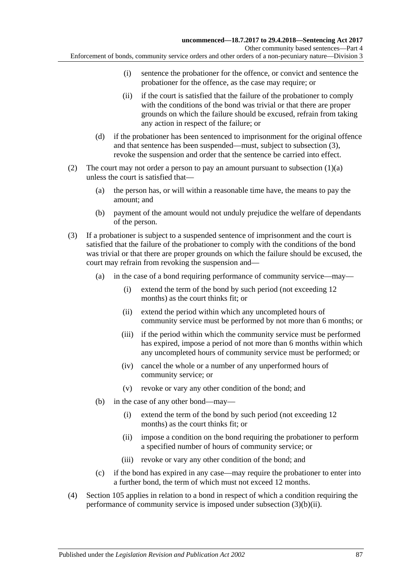- (i) sentence the probationer for the offence, or convict and sentence the probationer for the offence, as the case may require; or
	- (ii) if the court is satisfied that the failure of the probationer to comply with the conditions of the bond was trivial or that there are proper grounds on which the failure should be excused, refrain from taking any action in respect of the failure; or
- (d) if the probationer has been sentenced to imprisonment for the original offence and that sentence has been suspended—must, subject to [subsection](#page-86-0) (3), revoke the suspension and order that the sentence be carried into effect.
- (2) The court may not order a person to pay an amount pursuant to [subsection](#page-85-0)  $(1)(a)$ unless the court is satisfied that—
	- (a) the person has, or will within a reasonable time have, the means to pay the amount; and
	- (b) payment of the amount would not unduly prejudice the welfare of dependants of the person.
- <span id="page-86-0"></span>(3) If a probationer is subject to a suspended sentence of imprisonment and the court is satisfied that the failure of the probationer to comply with the conditions of the bond was trivial or that there are proper grounds on which the failure should be excused, the court may refrain from revoking the suspension and—
	- (a) in the case of a bond requiring performance of community service—may—
		- (i) extend the term of the bond by such period (not exceeding 12 months) as the court thinks fit; or
		- (ii) extend the period within which any uncompleted hours of community service must be performed by not more than 6 months; or
		- (iii) if the period within which the community service must be performed has expired, impose a period of not more than 6 months within which any uncompleted hours of community service must be performed; or
		- (iv) cancel the whole or a number of any unperformed hours of community service; or
		- (v) revoke or vary any other condition of the bond; and
	- (b) in the case of any other bond—may—
		- (i) extend the term of the bond by such period (not exceeding 12 months) as the court thinks fit; or
		- (ii) impose a condition on the bond requiring the probationer to perform a specified number of hours of community service; or
		- (iii) revoke or vary any other condition of the bond; and
	- (c) if the bond has expired in any case—may require the probationer to enter into a further bond, the term of which must not exceed 12 months.
- <span id="page-86-1"></span>(4) [Section](#page-80-2) 105 applies in relation to a bond in respect of which a condition requiring the performance of community service is imposed under [subsection](#page-86-1) (3)(b)(ii).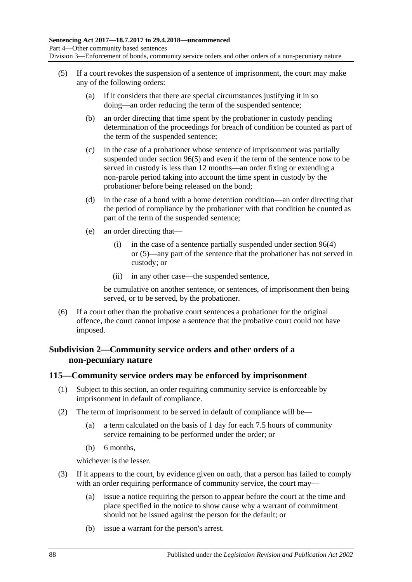- (5) If a court revokes the suspension of a sentence of imprisonment, the court may make any of the following orders:
	- (a) if it considers that there are special circumstances justifying it in so doing—an order reducing the term of the suspended sentence;
	- (b) an order directing that time spent by the probationer in custody pending determination of the proceedings for breach of condition be counted as part of the term of the suspended sentence;
	- (c) in the case of a probationer whose sentence of imprisonment was partially suspended under [section](#page-74-1) 96(5) and even if the term of the sentence now to be served in custody is less than 12 months—an order fixing or extending a non-parole period taking into account the time spent in custody by the probationer before being released on the bond;
	- (d) in the case of a bond with a home detention condition—an order directing that the period of compliance by the probationer with that condition be counted as part of the term of the suspended sentence;
	- (e) an order directing that—
		- (i) in the case of a sentence partially suspended under [section](#page-74-0) 96(4) or [\(5\)—](#page-74-1)any part of the sentence that the probationer has not served in custody; or
		- (ii) in any other case—the suspended sentence,

be cumulative on another sentence, or sentences, of imprisonment then being served, or to be served, by the probationer.

(6) If a court other than the probative court sentences a probationer for the original offence, the court cannot impose a sentence that the probative court could not have imposed.

#### **Subdivision 2—Community service orders and other orders of a non-pecuniary nature**

#### <span id="page-87-2"></span>**115—Community service orders may be enforced by imprisonment**

- (1) Subject to this section, an order requiring community service is enforceable by imprisonment in default of compliance.
- <span id="page-87-1"></span>(2) The term of imprisonment to be served in default of compliance will be—
	- (a) a term calculated on the basis of 1 day for each 7.5 hours of community service remaining to be performed under the order; or
	- (b) 6 months,

whichever is the lesser.

- <span id="page-87-0"></span>(3) If it appears to the court, by evidence given on oath, that a person has failed to comply with an order requiring performance of community service, the court may—
	- (a) issue a notice requiring the person to appear before the court at the time and place specified in the notice to show cause why a warrant of commitment should not be issued against the person for the default; or
	- (b) issue a warrant for the person's arrest.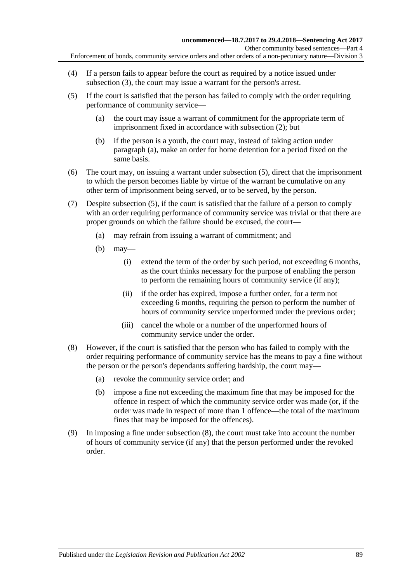- (4) If a person fails to appear before the court as required by a notice issued under [subsection](#page-87-0) (3), the court may issue a warrant for the person's arrest.
- <span id="page-88-1"></span><span id="page-88-0"></span>(5) If the court is satisfied that the person has failed to comply with the order requiring performance of community service—
	- (a) the court may issue a warrant of commitment for the appropriate term of imprisonment fixed in accordance with [subsection](#page-87-1) (2); but
	- (b) if the person is a youth, the court may, instead of taking action under [paragraph](#page-88-0) (a), make an order for home detention for a period fixed on the same basis.
- (6) The court may, on issuing a warrant under [subsection](#page-88-1) (5), direct that the imprisonment to which the person becomes liable by virtue of the warrant be cumulative on any other term of imprisonment being served, or to be served, by the person.
- (7) Despite [subsection](#page-88-1) (5), if the court is satisfied that the failure of a person to comply with an order requiring performance of community service was trivial or that there are proper grounds on which the failure should be excused, the court—
	- (a) may refrain from issuing a warrant of commitment; and
	- (b) may—
		- (i) extend the term of the order by such period, not exceeding 6 months, as the court thinks necessary for the purpose of enabling the person to perform the remaining hours of community service (if any);
		- (ii) if the order has expired, impose a further order, for a term not exceeding 6 months, requiring the person to perform the number of hours of community service unperformed under the previous order;
		- (iii) cancel the whole or a number of the unperformed hours of community service under the order.
- <span id="page-88-2"></span>(8) However, if the court is satisfied that the person who has failed to comply with the order requiring performance of community service has the means to pay a fine without the person or the person's dependants suffering hardship, the court may—
	- (a) revoke the community service order; and
	- (b) impose a fine not exceeding the maximum fine that may be imposed for the offence in respect of which the community service order was made (or, if the order was made in respect of more than 1 offence—the total of the maximum fines that may be imposed for the offences).
- (9) In imposing a fine under [subsection](#page-88-2) (8), the court must take into account the number of hours of community service (if any) that the person performed under the revoked order.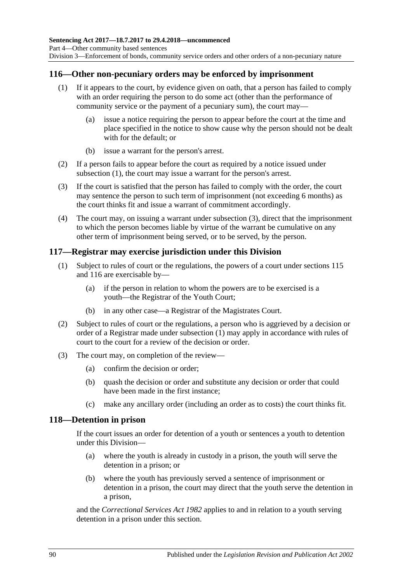#### <span id="page-89-2"></span><span id="page-89-0"></span>**116—Other non-pecuniary orders may be enforced by imprisonment**

- (1) If it appears to the court, by evidence given on oath, that a person has failed to comply with an order requiring the person to do some act (other than the performance of community service or the payment of a pecuniary sum), the court may—
	- (a) issue a notice requiring the person to appear before the court at the time and place specified in the notice to show cause why the person should not be dealt with for the default; or
	- (b) issue a warrant for the person's arrest.
- (2) If a person fails to appear before the court as required by a notice issued under [subsection](#page-89-0) (1), the court may issue a warrant for the person's arrest.
- <span id="page-89-1"></span>(3) If the court is satisfied that the person has failed to comply with the order, the court may sentence the person to such term of imprisonment (not exceeding 6 months) as the court thinks fit and issue a warrant of commitment accordingly.
- (4) The court may, on issuing a warrant under [subsection](#page-89-1) (3), direct that the imprisonment to which the person becomes liable by virtue of the warrant be cumulative on any other term of imprisonment being served, or to be served, by the person.

#### <span id="page-89-3"></span>**117—Registrar may exercise jurisdiction under this Division**

- (1) Subject to rules of court or the regulations, the powers of a court under [sections](#page-87-2) 115 and [116](#page-89-2) are exercisable by—
	- (a) if the person in relation to whom the powers are to be exercised is a youth—the Registrar of the Youth Court;
	- (b) in any other case—a Registrar of the Magistrates Court.
- (2) Subject to rules of court or the regulations, a person who is aggrieved by a decision or order of a Registrar made under [subsection](#page-89-3) (1) may apply in accordance with rules of court to the court for a review of the decision or order.
- (3) The court may, on completion of the review—
	- (a) confirm the decision or order;
	- (b) quash the decision or order and substitute any decision or order that could have been made in the first instance;
	- (c) make any ancillary order (including an order as to costs) the court thinks fit.

#### **118—Detention in prison**

If the court issues an order for detention of a youth or sentences a youth to detention under this Division—

- (a) where the youth is already in custody in a prison, the youth will serve the detention in a prison; or
- (b) where the youth has previously served a sentence of imprisonment or detention in a prison, the court may direct that the youth serve the detention in a prison,

and the *[Correctional Services Act](http://www.legislation.sa.gov.au/index.aspx?action=legref&type=act&legtitle=Correctional%20Services%20Act%201982) 1982* applies to and in relation to a youth serving detention in a prison under this section.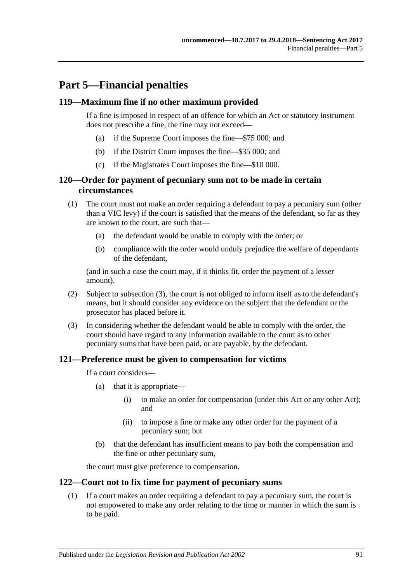# **Part 5—Financial penalties**

#### **119—Maximum fine if no other maximum provided**

If a fine is imposed in respect of an offence for which an Act or statutory instrument does not prescribe a fine, the fine may not exceed—

- (a) if the Supreme Court imposes the fine—\$75 000; and
- (b) if the District Court imposes the fine—\$35 000; and
- (c) if the Magistrates Court imposes the fine—\$10 000.

#### **120—Order for payment of pecuniary sum not to be made in certain circumstances**

- (1) The court must not make an order requiring a defendant to pay a pecuniary sum (other than a VIC levy) if the court is satisfied that the means of the defendant, so far as they are known to the court, are such that—
	- (a) the defendant would be unable to comply with the order; or
	- (b) compliance with the order would unduly prejudice the welfare of dependants of the defendant,

(and in such a case the court may, if it thinks fit, order the payment of a lesser amount).

- (2) Subject to [subsection](#page-90-0) (3), the court is not obliged to inform itself as to the defendant's means, but it should consider any evidence on the subject that the defendant or the prosecutor has placed before it.
- <span id="page-90-0"></span>(3) In considering whether the defendant would be able to comply with the order, the court should have regard to any information available to the court as to other pecuniary sums that have been paid, or are payable, by the defendant.

#### **121—Preference must be given to compensation for victims**

If a court considers—

- (a) that it is appropriate—
	- (i) to make an order for compensation (under this Act or any other Act); and
	- (ii) to impose a fine or make any other order for the payment of a pecuniary sum; but
- (b) that the defendant has insufficient means to pay both the compensation and the fine or other pecuniary sum,

the court must give preference to compensation.

#### <span id="page-90-1"></span>**122—Court not to fix time for payment of pecuniary sums**

(1) If a court makes an order requiring a defendant to pay a pecuniary sum, the court is not empowered to make any order relating to the time or manner in which the sum is to be paid.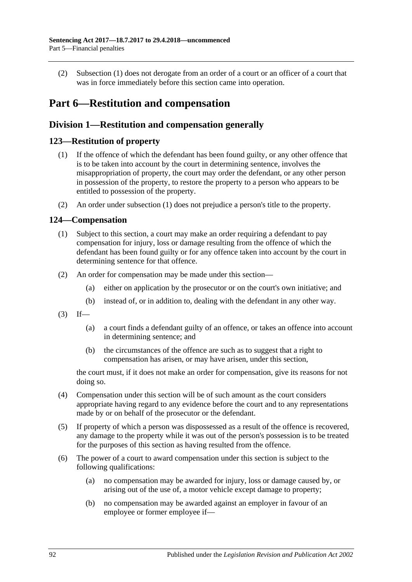(2) [Subsection](#page-90-1) (1) does not derogate from an order of a court or an officer of a court that was in force immediately before this section came into operation.

# **Part 6—Restitution and compensation**

## **Division 1—Restitution and compensation generally**

#### <span id="page-91-1"></span><span id="page-91-0"></span>**123—Restitution of property**

- (1) If the offence of which the defendant has been found guilty, or any other offence that is to be taken into account by the court in determining sentence, involves the misappropriation of property, the court may order the defendant, or any other person in possession of the property, to restore the property to a person who appears to be entitled to possession of the property.
- (2) An order under [subsection](#page-91-0) (1) does not prejudice a person's title to the property.

#### **124—Compensation**

- (1) Subject to this section, a court may make an order requiring a defendant to pay compensation for injury, loss or damage resulting from the offence of which the defendant has been found guilty or for any offence taken into account by the court in determining sentence for that offence.
- (2) An order for compensation may be made under this section—
	- (a) either on application by the prosecutor or on the court's own initiative; and
	- (b) instead of, or in addition to, dealing with the defendant in any other way.
- $(3)$  If—
	- (a) a court finds a defendant guilty of an offence, or takes an offence into account in determining sentence; and
	- (b) the circumstances of the offence are such as to suggest that a right to compensation has arisen, or may have arisen, under this section,

the court must, if it does not make an order for compensation, give its reasons for not doing so.

- (4) Compensation under this section will be of such amount as the court considers appropriate having regard to any evidence before the court and to any representations made by or on behalf of the prosecutor or the defendant.
- (5) If property of which a person was dispossessed as a result of the offence is recovered, any damage to the property while it was out of the person's possession is to be treated for the purposes of this section as having resulted from the offence.
- (6) The power of a court to award compensation under this section is subject to the following qualifications:
	- (a) no compensation may be awarded for injury, loss or damage caused by, or arising out of the use of, a motor vehicle except damage to property;
	- (b) no compensation may be awarded against an employer in favour of an employee or former employee if—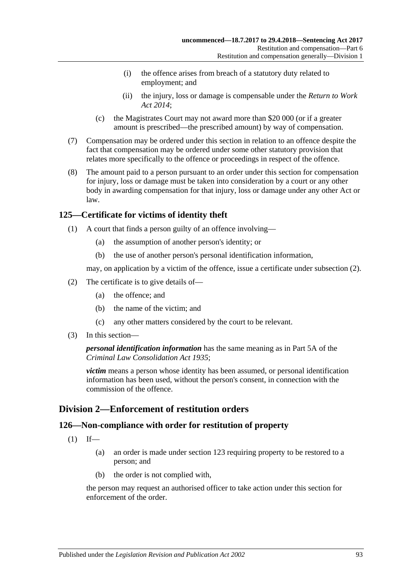- (i) the offence arises from breach of a statutory duty related to employment; and
- (ii) the injury, loss or damage is compensable under the *[Return to Work](http://www.legislation.sa.gov.au/index.aspx?action=legref&type=act&legtitle=Return%20to%20Work%20Act%202014)  [Act 2014](http://www.legislation.sa.gov.au/index.aspx?action=legref&type=act&legtitle=Return%20to%20Work%20Act%202014)*;
- (c) the Magistrates Court may not award more than \$20 000 (or if a greater amount is prescribed—the prescribed amount) by way of compensation.
- (7) Compensation may be ordered under this section in relation to an offence despite the fact that compensation may be ordered under some other statutory provision that relates more specifically to the offence or proceedings in respect of the offence.
- (8) The amount paid to a person pursuant to an order under this section for compensation for injury, loss or damage must be taken into consideration by a court or any other body in awarding compensation for that injury, loss or damage under any other Act or law.

## **125—Certificate for victims of identity theft**

- (1) A court that finds a person guilty of an offence involving—
	- (a) the assumption of another person's identity; or
	- (b) the use of another person's personal identification information,

may, on application by a victim of the offence, issue a certificate under [subsection](#page-92-0) (2).

- <span id="page-92-0"></span>(2) The certificate is to give details of—
	- (a) the offence; and
	- (b) the name of the victim; and
	- (c) any other matters considered by the court to be relevant.
- (3) In this section—

#### *personal identification information* has the same meaning as in Part 5A of the *[Criminal Law Consolidation Act](http://www.legislation.sa.gov.au/index.aspx?action=legref&type=act&legtitle=Criminal%20Law%20Consolidation%20Act%201935) 1935*;

*victim* means a person whose identity has been assumed, or personal identification information has been used, without the person's consent, in connection with the commission of the offence.

## **Division 2—Enforcement of restitution orders**

#### **126—Non-compliance with order for restitution of property**

- $(1)$  If—
	- (a) an order is made under [section](#page-91-1) 123 requiring property to be restored to a person; and
	- (b) the order is not complied with,

the person may request an authorised officer to take action under this section for enforcement of the order.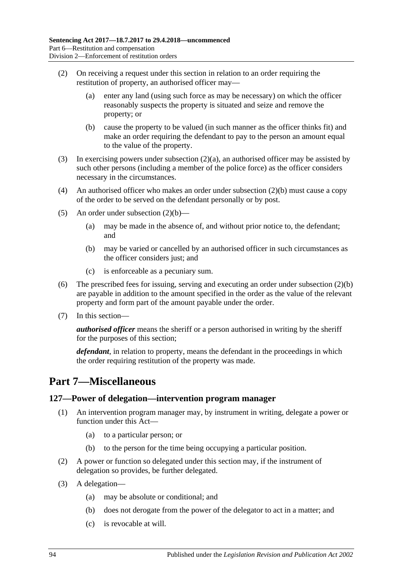- <span id="page-93-0"></span>(2) On receiving a request under this section in relation to an order requiring the restitution of property, an authorised officer may—
	- (a) enter any land (using such force as may be necessary) on which the officer reasonably suspects the property is situated and seize and remove the property; or
	- (b) cause the property to be valued (in such manner as the officer thinks fit) and make an order requiring the defendant to pay to the person an amount equal to the value of the property.
- <span id="page-93-1"></span>(3) In exercising powers under [subsection](#page-93-0) (2)(a), an authorised officer may be assisted by such other persons (including a member of the police force) as the officer considers necessary in the circumstances.
- (4) An authorised officer who makes an order under [subsection](#page-93-1) (2)(b) must cause a copy of the order to be served on the defendant personally or by post.
- (5) An order under [subsection](#page-93-1)  $(2)(b)$ 
	- (a) may be made in the absence of, and without prior notice to, the defendant; and
	- (b) may be varied or cancelled by an authorised officer in such circumstances as the officer considers just; and
	- (c) is enforceable as a pecuniary sum.
- (6) The prescribed fees for issuing, serving and executing an order under [subsection](#page-93-1) (2)(b) are payable in addition to the amount specified in the order as the value of the relevant property and form part of the amount payable under the order.
- (7) In this section—

*authorised officer* means the sheriff or a person authorised in writing by the sheriff for the purposes of this section;

*defendant*, in relation to property, means the defendant in the proceedings in which the order requiring restitution of the property was made.

# **Part 7—Miscellaneous**

#### **127—Power of delegation—intervention program manager**

- (1) An intervention program manager may, by instrument in writing, delegate a power or function under this Act—
	- (a) to a particular person; or
	- (b) to the person for the time being occupying a particular position.
- (2) A power or function so delegated under this section may, if the instrument of delegation so provides, be further delegated.
- (3) A delegation—
	- (a) may be absolute or conditional; and
	- (b) does not derogate from the power of the delegator to act in a matter; and
	- (c) is revocable at will.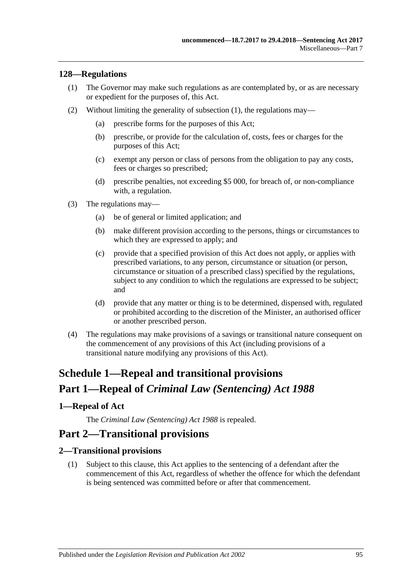#### <span id="page-94-0"></span>**128—Regulations**

- (1) The Governor may make such regulations as are contemplated by, or as are necessary or expedient for the purposes of, this Act.
- (2) Without limiting the generality of [subsection](#page-94-0) (1), the regulations may—
	- (a) prescribe forms for the purposes of this Act;
	- (b) prescribe, or provide for the calculation of, costs, fees or charges for the purposes of this Act;
	- (c) exempt any person or class of persons from the obligation to pay any costs, fees or charges so prescribed;
	- (d) prescribe penalties, not exceeding \$5 000, for breach of, or non-compliance with, a regulation.
- (3) The regulations may—
	- (a) be of general or limited application; and
	- (b) make different provision according to the persons, things or circumstances to which they are expressed to apply; and
	- (c) provide that a specified provision of this Act does not apply, or applies with prescribed variations, to any person, circumstance or situation (or person, circumstance or situation of a prescribed class) specified by the regulations, subject to any condition to which the regulations are expressed to be subject; and
	- (d) provide that any matter or thing is to be determined, dispensed with, regulated or prohibited according to the discretion of the Minister, an authorised officer or another prescribed person.
- (4) The regulations may make provisions of a savings or transitional nature consequent on the commencement of any provisions of this Act (including provisions of a transitional nature modifying any provisions of this Act).

# **Schedule 1—Repeal and transitional provisions Part 1—Repeal of** *Criminal Law (Sentencing) Act 1988*

#### <span id="page-94-1"></span>**1—Repeal of Act**

The *[Criminal Law \(Sentencing\) Act](http://www.legislation.sa.gov.au/index.aspx?action=legref&type=act&legtitle=Criminal%20Law%20(Sentencing)%20Act%201988) 1988* is repealed.

## **Part 2—Transitional provisions**

#### **2—Transitional provisions**

(1) Subject to this clause, this Act applies to the sentencing of a defendant after the commencement of this Act, regardless of whether the offence for which the defendant is being sentenced was committed before or after that commencement.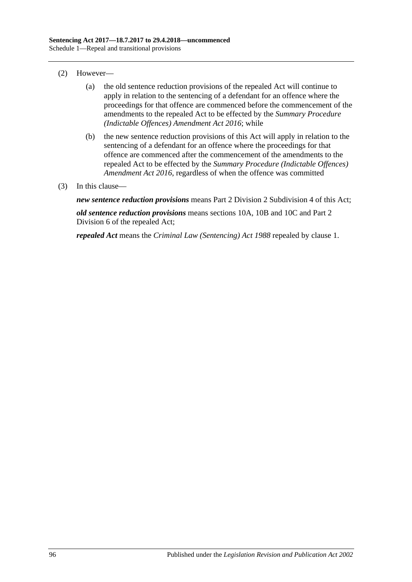- (2) However—
	- (a) the old sentence reduction provisions of the repealed Act will continue to apply in relation to the sentencing of a defendant for an offence where the proceedings for that offence are commenced before the commencement of the amendments to the repealed Act to be effected by the *[Summary Procedure](http://www.legislation.sa.gov.au/index.aspx?action=legref&type=act&legtitle=Summary%20Procedure%20(Indictable%20Offences)%20Amendment%20Act%202016)  [\(Indictable Offences\) Amendment Act 2016](http://www.legislation.sa.gov.au/index.aspx?action=legref&type=act&legtitle=Summary%20Procedure%20(Indictable%20Offences)%20Amendment%20Act%202016)*; while
	- (b) the new sentence reduction provisions of this Act will apply in relation to the sentencing of a defendant for an offence where the proceedings for that offence are commenced after the commencement of the amendments to the repealed Act to be effected by the *[Summary Procedure \(Indictable Offences\)](http://www.legislation.sa.gov.au/index.aspx?action=legref&type=act&legtitle=Summary%20Procedure%20(Indictable%20Offences)%20Amendment%20Act%202016)  [Amendment Act 2016](http://www.legislation.sa.gov.au/index.aspx?action=legref&type=act&legtitle=Summary%20Procedure%20(Indictable%20Offences)%20Amendment%20Act%202016)*, regardless of when the offence was committed
- (3) In this clause—

*new sentence reduction provisions* means Part 2 Division [2 Subdivision](#page-27-0) 4 of this Act;

*old sentence reduction provisions* means sections 10A, 10B and 10C and Part 2 Division 6 of the repealed Act;

*repealed Act* means the *[Criminal Law \(Sentencing\) Act](http://www.legislation.sa.gov.au/index.aspx?action=legref&type=act&legtitle=Criminal%20Law%20(Sentencing)%20Act%201988) 1988* repealed by [clause](#page-94-1) 1.